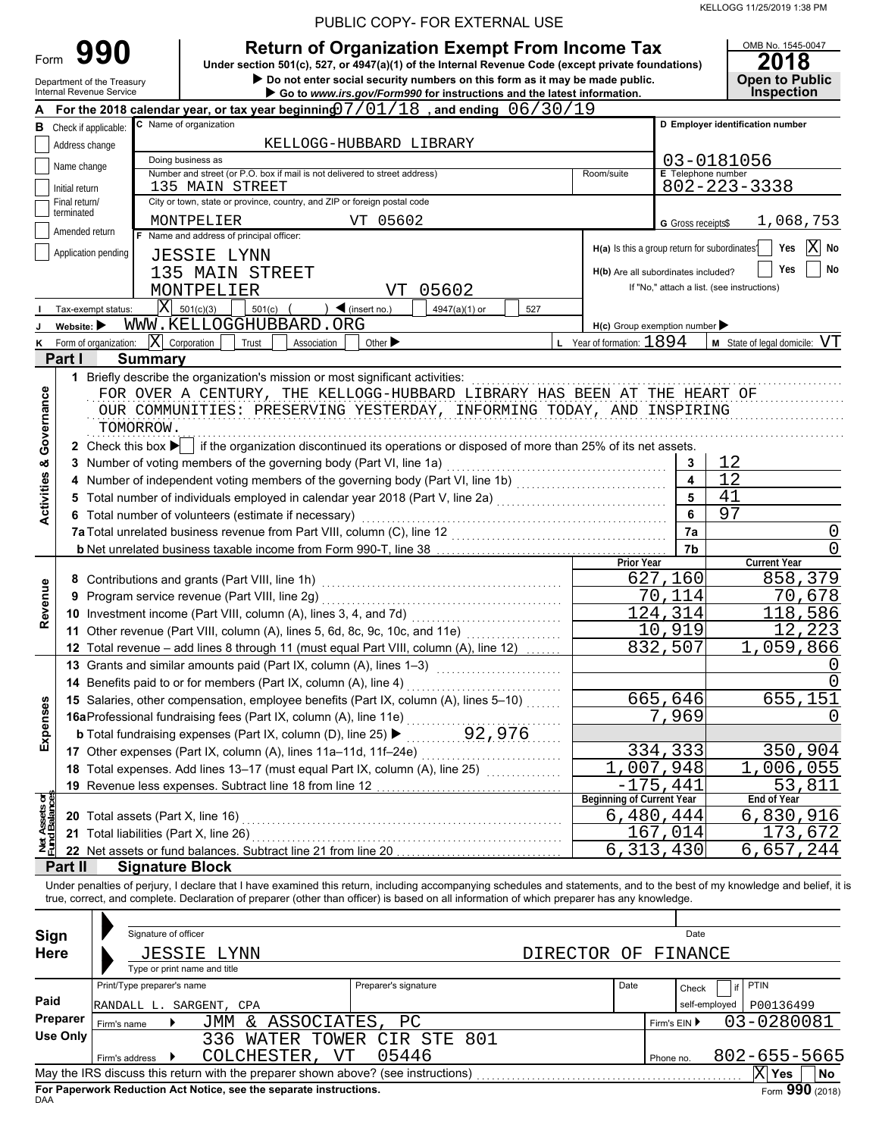| PUBLIC COPY- FOR EXTERNAL USE |  |
|-------------------------------|--|
|-------------------------------|--|

|                                |                                |                                                                      |                                                                          | PUBLIC COPY- FOR EXTERNAL USE                                                                                                                                                                                                                                                               |                      |                                                                |                           |                                                                         |
|--------------------------------|--------------------------------|----------------------------------------------------------------------|--------------------------------------------------------------------------|---------------------------------------------------------------------------------------------------------------------------------------------------------------------------------------------------------------------------------------------------------------------------------------------|----------------------|----------------------------------------------------------------|---------------------------|-------------------------------------------------------------------------|
| Form                           |                                | 990<br>Department of the Treasury<br><b>Internal Revenue Service</b> |                                                                          | <b>Return of Organization Exempt From Income Tax</b><br>Under section 501(c), 527, or 4947(a)(1) of the Internal Revenue Code (except private foundations)<br>Do not enter social security numbers on this form as it may be made public.                                                   |                      |                                                                |                           | OMB No. 1545-0047<br>2018<br><b>Open to Public</b><br><b>Inspection</b> |
|                                |                                |                                                                      |                                                                          | Go to www.irs.gov/Form990 for instructions and the latest information.<br>For the 2018 calendar year, or tax year beginning $07/01/18$ , and ending $06/30/19$                                                                                                                              |                      |                                                                |                           |                                                                         |
| в                              |                                | Check if applicable:                                                 | C Name of organization                                                   |                                                                                                                                                                                                                                                                                             |                      |                                                                |                           | D Employer identification number                                        |
|                                | Address change                 |                                                                      |                                                                          | KELLOGG-HUBBARD LIBRARY                                                                                                                                                                                                                                                                     |                      |                                                                |                           |                                                                         |
|                                |                                |                                                                      | Doing business as                                                        |                                                                                                                                                                                                                                                                                             |                      |                                                                |                           | 03-0181056                                                              |
|                                | Name change                    |                                                                      |                                                                          | Number and street (or P.O. box if mail is not delivered to street address)                                                                                                                                                                                                                  |                      | Room/suite                                                     | <b>E</b> Telephone number |                                                                         |
|                                | Initial return                 |                                                                      | 135 MAIN STREET                                                          |                                                                                                                                                                                                                                                                                             |                      |                                                                |                           | 802-223-3338                                                            |
|                                | Final return/<br>terminated    |                                                                      | City or town, state or province, country, and ZIP or foreign postal code |                                                                                                                                                                                                                                                                                             |                      |                                                                |                           |                                                                         |
|                                | Amended return                 |                                                                      | MONTPELIER                                                               | VT 05602                                                                                                                                                                                                                                                                                    |                      |                                                                | G Gross receipts\$        | 1,068,753                                                               |
|                                |                                | Application pending                                                  | F Name and address of principal officer:                                 |                                                                                                                                                                                                                                                                                             |                      | H(a) Is this a group return for subordinates?                  |                           | $ X $ No<br>Yes                                                         |
|                                |                                |                                                                      | <b>JESSIE LYNN</b>                                                       |                                                                                                                                                                                                                                                                                             |                      |                                                                |                           | No<br>Yes                                                               |
|                                |                                |                                                                      | 135 MAIN STREET                                                          |                                                                                                                                                                                                                                                                                             |                      | H(b) Are all subordinates included?                            |                           | If "No," attach a list. (see instructions)                              |
|                                |                                |                                                                      | MONTPELIER<br>$\vert X \vert$ 501(c)(3)                                  | 05602<br>VT                                                                                                                                                                                                                                                                                 |                      |                                                                |                           |                                                                         |
|                                | Website: $\blacktriangleright$ | Tax-exempt status:                                                   | 501(c)<br>WWW.KELLOGGHUBBARD.ORG                                         | $\blacktriangleleft$ (insert no.)                                                                                                                                                                                                                                                           | 4947(a)(1) or<br>527 |                                                                |                           |                                                                         |
| κ                              |                                | Form of organization:                                                | $ \mathbf{X} $ Corporation<br>Trust                                      | Other $\blacktriangleright$<br>Association                                                                                                                                                                                                                                                  |                      | $H(c)$ Group exemption number<br>$L$ Year of formation: $1894$ |                           | M State of legal domicile: VT                                           |
|                                | Part I                         | <b>Summary</b>                                                       |                                                                          |                                                                                                                                                                                                                                                                                             |                      |                                                                |                           |                                                                         |
|                                |                                |                                                                      |                                                                          | 1 Briefly describe the organization's mission or most significant activities:                                                                                                                                                                                                               |                      |                                                                |                           |                                                                         |
| Governance                     |                                | TOMORROW.                                                            |                                                                          | FOR OVER A CENTURY, THE KELLOGG-HUBBARD LIBRARY HAS BEEN AT THE HEART OF<br>OUR COMMUNITIES: PRESERVING YESTERDAY, INFORMING TODAY, AND INSPIRING<br>2 Check this box $\blacktriangleright$ if the organization discontinued its operations or disposed of more than 25% of its net assets. |                      |                                                                |                           |                                                                         |
|                                |                                |                                                                      |                                                                          | 3 Number of voting members of the governing body (Part VI, line 1a)                                                                                                                                                                                                                         |                      |                                                                | 3                         | 12                                                                      |
|                                |                                |                                                                      |                                                                          | 4 Number of independent voting members of the governing body (Part VI, line 1b) [[[[[[[[[[[[[[[[[[[[[[[[[[[[[                                                                                                                                                                               |                      |                                                                | $\overline{\mathbf{4}}$   | 12                                                                      |
|                                |                                |                                                                      |                                                                          |                                                                                                                                                                                                                                                                                             |                      |                                                                | 5                         | 41                                                                      |
| <b>Activities &amp;</b>        |                                |                                                                      | 6 Total number of volunteers (estimate if necessary)                     |                                                                                                                                                                                                                                                                                             |                      |                                                                | 6                         | 97                                                                      |
|                                |                                |                                                                      |                                                                          | 7a Total unrelated business revenue from Part VIII, column (C), line 12 [100] [100] [100] [100] [100] [100] [1                                                                                                                                                                              |                      |                                                                | 7a                        | 0                                                                       |
|                                |                                |                                                                      |                                                                          |                                                                                                                                                                                                                                                                                             |                      |                                                                | 7b                        | 0                                                                       |
|                                |                                |                                                                      |                                                                          |                                                                                                                                                                                                                                                                                             |                      | <b>Prior Year</b>                                              |                           | <b>Current Year</b>                                                     |
|                                |                                |                                                                      | 8 Contributions and grants (Part VIII, line 1h)                          |                                                                                                                                                                                                                                                                                             |                      |                                                                | 627,160                   | 858,379                                                                 |
| Revenue                        | 9                              |                                                                      | Program service revenue (Part VIII, line 2g)                             |                                                                                                                                                                                                                                                                                             |                      |                                                                | 70,114<br>124,314         | 70,678                                                                  |
|                                |                                |                                                                      |                                                                          | 11 Other revenue (Part VIII, column (A), lines 5, 6d, 8c, 9c, 10c, and 11e)                                                                                                                                                                                                                 |                      |                                                                | 10,919                    | 118,586<br>, 223<br>12                                                  |
|                                |                                |                                                                      |                                                                          | 12 Total revenue - add lines 8 through 11 (must equal Part VIII, column (A), line 12)                                                                                                                                                                                                       |                      |                                                                | 832,507                   | 1,059,866                                                               |
|                                |                                |                                                                      | 13 Grants and similar amounts paid (Part IX, column (A), lines 1-3)      |                                                                                                                                                                                                                                                                                             |                      |                                                                |                           | 0                                                                       |
|                                |                                |                                                                      | 14 Benefits paid to or for members (Part IX, column (A), line 4)         |                                                                                                                                                                                                                                                                                             |                      |                                                                |                           | $\Omega$                                                                |
|                                |                                |                                                                      |                                                                          | 15 Salaries, other compensation, employee benefits (Part IX, column (A), lines 5-10)                                                                                                                                                                                                        |                      |                                                                | 665,646                   | 655,151                                                                 |
| Expenses                       |                                |                                                                      | 16aProfessional fundraising fees (Part IX, column (A), line 11e)         |                                                                                                                                                                                                                                                                                             |                      |                                                                | 7,969                     | O                                                                       |
|                                |                                |                                                                      | <b>b</b> Total fundraising expenses (Part IX, column (D), line 25) ▶     |                                                                                                                                                                                                                                                                                             | 92,976               |                                                                |                           |                                                                         |
|                                |                                |                                                                      | 17 Other expenses (Part IX, column (A), lines 11a-11d, 11f-24e)          |                                                                                                                                                                                                                                                                                             |                      |                                                                | 334,333                   | 350,904                                                                 |
|                                |                                |                                                                      |                                                                          | 18 Total expenses. Add lines 13-17 (must equal Part IX, column (A), line 25)                                                                                                                                                                                                                |                      |                                                                | 1,007,948                 | 1,006,055                                                               |
|                                |                                |                                                                      | 19 Revenue less expenses. Subtract line 18 from line 12                  |                                                                                                                                                                                                                                                                                             |                      |                                                                | $-175, 441$               | 53,811                                                                  |
|                                |                                |                                                                      |                                                                          |                                                                                                                                                                                                                                                                                             |                      | <b>Beginning of Current Year</b>                               |                           | <b>End of Year</b>                                                      |
|                                |                                | <b>20</b> Total assets (Part X, line 16)                             |                                                                          |                                                                                                                                                                                                                                                                                             |                      |                                                                | 6,480,444                 | 6,830,916                                                               |
| Net Assets or<br>Fund Balances |                                | 21 Total liabilities (Part X, line 26)                               | 22 Net assets or fund balances. Subtract line 21 from line 20            |                                                                                                                                                                                                                                                                                             |                      |                                                                | 167,014<br>6, 313, 430    | 173,672<br>6,657,244                                                    |
|                                | Part II                        |                                                                      | <b>Signature Block</b>                                                   |                                                                                                                                                                                                                                                                                             |                      |                                                                |                           |                                                                         |
|                                |                                |                                                                      |                                                                          | Under penalties of perjury, I declare that I have examined this return, including accompanying schedules and statements, and to the best of my knowledge and belief, it                                                                                                                     |                      |                                                                |                           |                                                                         |
|                                |                                |                                                                      |                                                                          | true, correct, and complete. Declaration of preparer (other than officer) is based on all information of which preparer has any knowledge.                                                                                                                                                  |                      |                                                                |                           |                                                                         |
|                                |                                |                                                                      |                                                                          |                                                                                                                                                                                                                                                                                             |                      |                                                                |                           |                                                                         |
| Sign                           |                                | Signature of officer                                                 |                                                                          |                                                                                                                                                                                                                                                                                             |                      |                                                                | Date                      |                                                                         |
| <b>Here</b>                    |                                | JESSIE                                                               | LYNN                                                                     |                                                                                                                                                                                                                                                                                             | <b>DIRECTOR</b>      | ΟF                                                             | FINANCE                   |                                                                         |
|                                |                                |                                                                      | Type or print name and title                                             |                                                                                                                                                                                                                                                                                             |                      |                                                                |                           |                                                                         |
|                                |                                | Print/Type preparer's name                                           |                                                                          | Preparer's signature                                                                                                                                                                                                                                                                        |                      | Date                                                           | Check                     | PTIN<br>if                                                              |
| Paid                           |                                |                                                                      | RANDALL L. SARGENT, CPA                                                  |                                                                                                                                                                                                                                                                                             |                      |                                                                | self-employed             | P00136499                                                               |
|                                | Preparer                       | Firm's name                                                          | JMM & ASSOCIATES,                                                        | PC                                                                                                                                                                                                                                                                                          |                      |                                                                | Firm's EIN ▶              | 03-0280081                                                              |
|                                | <b>Use Only</b>                |                                                                      |                                                                          | 336 WATER TOWER CIR STE 801                                                                                                                                                                                                                                                                 |                      |                                                                |                           |                                                                         |
|                                |                                | Firm's address                                                       | COLCHESTER, VT                                                           | 05446                                                                                                                                                                                                                                                                                       |                      |                                                                | Phone no.                 | 802-655-5665                                                            |
|                                |                                |                                                                      |                                                                          |                                                                                                                                                                                                                                                                                             |                      |                                                                |                           | $X$ Yes<br>No                                                           |

| Sign            | Signature of officer                        |                                                                                   |                         |          |      |              | Date          |                 |    |
|-----------------|---------------------------------------------|-----------------------------------------------------------------------------------|-------------------------|----------|------|--------------|---------------|-----------------|----|
| <b>Here</b>     | JESSIE LYNN<br>Type or print name and title |                                                                                   |                         | DIRECTOR | ΟF   |              | FINANCE       |                 |    |
|                 |                                             |                                                                                   |                         |          |      |              |               |                 |    |
|                 | Print/Type preparer's name                  |                                                                                   | Preparer's signature    |          | Date |              | if<br>Check   | PTIN            |    |
| Paid            | RANDALL L.                                  | SARGENT, CPA                                                                      |                         |          |      |              | self-employed | P00136499       |    |
| Preparer        | Firm's name                                 | JMM & ASSOCIATES, PC                                                              |                         |          |      | Firm's $EIN$ |               | 03-0280081      |    |
| <b>Use Only</b> |                                             | 336.                                                                              | WATER TOWER CIR STE 801 |          |      |              |               |                 |    |
|                 | Firm's address                              | COLCHESTER,<br>VT                                                                 | 05446                   |          |      | Phone no.    |               | 802-655-5665    |    |
|                 |                                             | May the IRS discuss this return with the preparer shown above? (see instructions) |                         |          |      |              |               | Χ<br>Yes        | No |
| <b>DAA</b>      |                                             | For Paperwork Reduction Act Notice, see the separate instructions.                |                         |          |      |              |               | Form 990 (2018) |    |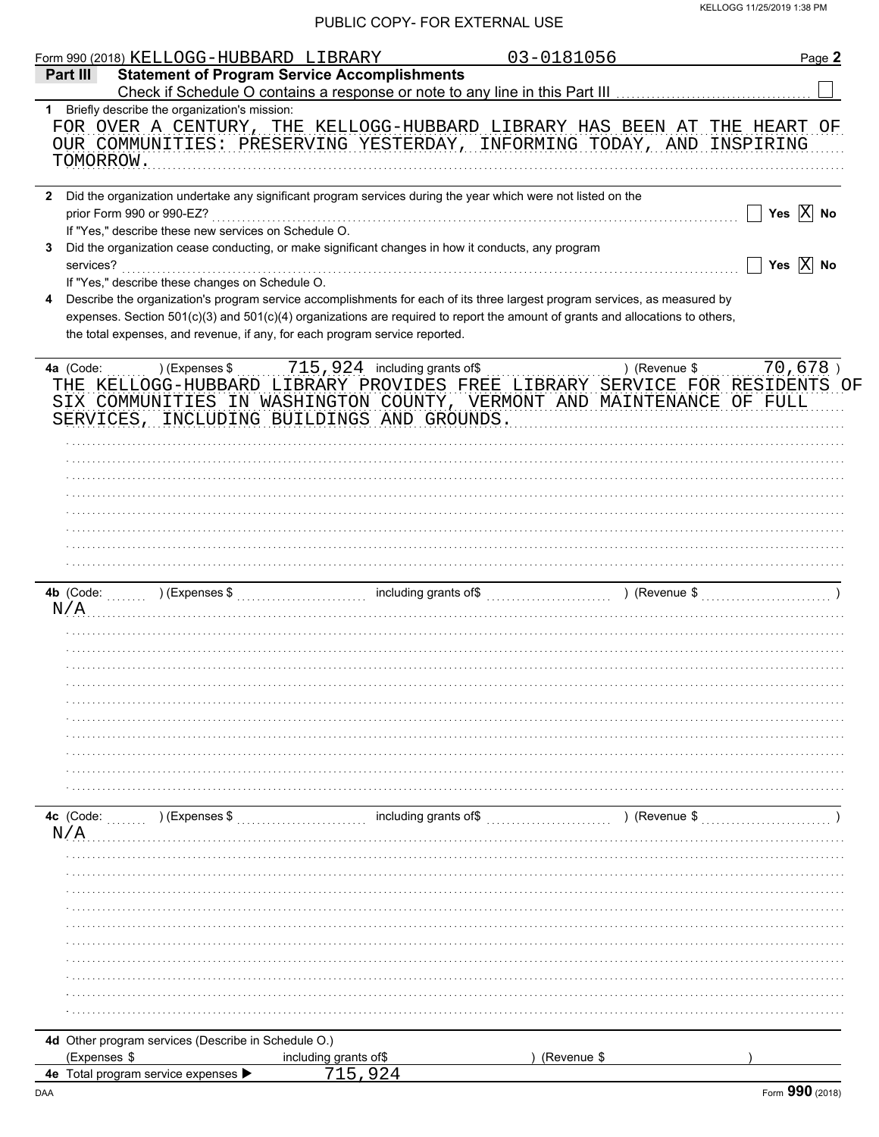|                  | Form 990 (2018) KELLOGG-HUBBARD LIBRARY                                                                                                                                                                                                                                                                                                                                                        |                       | 03-0181056                                                                 |               | Page 2                      |
|------------------|------------------------------------------------------------------------------------------------------------------------------------------------------------------------------------------------------------------------------------------------------------------------------------------------------------------------------------------------------------------------------------------------|-----------------------|----------------------------------------------------------------------------|---------------|-----------------------------|
| Part III         | <b>Statement of Program Service Accomplishments</b>                                                                                                                                                                                                                                                                                                                                            |                       |                                                                            |               |                             |
| TOMORROW.        | 1 Briefly describe the organization's mission:<br>FOR OVER A CENTURY, THE KELLOGG-HUBBARD LIBRARY HAS BEEN AT THE HEART OF<br>OUR COMMUNITIES: PRESERVING YESTERDAY, INFORMING TODAY, AND INSPIRING                                                                                                                                                                                            |                       |                                                                            |               |                             |
|                  | 2 Did the organization undertake any significant program services during the year which were not listed on the<br>prior Form 990 or 990-EZ?                                                                                                                                                                                                                                                    |                       |                                                                            |               | Yes $\boxed{\mathbf{X}}$ No |
| 3<br>services?   | If "Yes," describe these new services on Schedule O.<br>Did the organization cease conducting, or make significant changes in how it conducts, any program                                                                                                                                                                                                                                     |                       |                                                                            |               | Yes $\overline{X}$ No       |
| 4                | If "Yes," describe these changes on Schedule O.<br>Describe the organization's program service accomplishments for each of its three largest program services, as measured by<br>expenses. Section 501(c)(3) and 501(c)(4) organizations are required to report the amount of grants and allocations to others,<br>the total expenses, and revenue, if any, for each program service reported. |                       |                                                                            |               |                             |
| 4a (Code:        | THE KELLOGG-HUBBARD LIBRARY PROVIDES FREE LIBRARY SERVICE FOR RESIDENTS OF<br>SIX COMMUNITIES IN WASHINGTON COUNTY, VERMONT AND MAINTENANCE OF FULL<br>SERVICES, INCLUDING BUILDINGS AND GROUNDS.                                                                                                                                                                                              |                       | $(15, 924)$ including grants of $(25, 924)$ including grants of $(3, 100)$ |               | 70,678)                     |
|                  |                                                                                                                                                                                                                                                                                                                                                                                                |                       |                                                                            |               |                             |
|                  |                                                                                                                                                                                                                                                                                                                                                                                                |                       |                                                                            |               |                             |
|                  |                                                                                                                                                                                                                                                                                                                                                                                                |                       |                                                                            |               |                             |
| N/A              |                                                                                                                                                                                                                                                                                                                                                                                                |                       |                                                                            |               |                             |
|                  |                                                                                                                                                                                                                                                                                                                                                                                                |                       |                                                                            |               |                             |
|                  |                                                                                                                                                                                                                                                                                                                                                                                                |                       |                                                                            |               |                             |
|                  |                                                                                                                                                                                                                                                                                                                                                                                                |                       |                                                                            |               |                             |
|                  |                                                                                                                                                                                                                                                                                                                                                                                                |                       |                                                                            |               |                             |
| 4c (Code:<br>N/A | ) (Expenses \$                                                                                                                                                                                                                                                                                                                                                                                 |                       | including grants of\$                                                      | ) (Revenue \$ |                             |
|                  |                                                                                                                                                                                                                                                                                                                                                                                                |                       |                                                                            |               |                             |
|                  |                                                                                                                                                                                                                                                                                                                                                                                                |                       |                                                                            |               |                             |
|                  |                                                                                                                                                                                                                                                                                                                                                                                                |                       |                                                                            |               |                             |
|                  |                                                                                                                                                                                                                                                                                                                                                                                                |                       |                                                                            |               |                             |
| (Expenses \$     | 4d Other program services (Describe in Schedule O.)                                                                                                                                                                                                                                                                                                                                            | including grants of\$ | (Revenue \$                                                                |               |                             |
|                  | 4e Total program service expenses                                                                                                                                                                                                                                                                                                                                                              | 924                   |                                                                            |               |                             |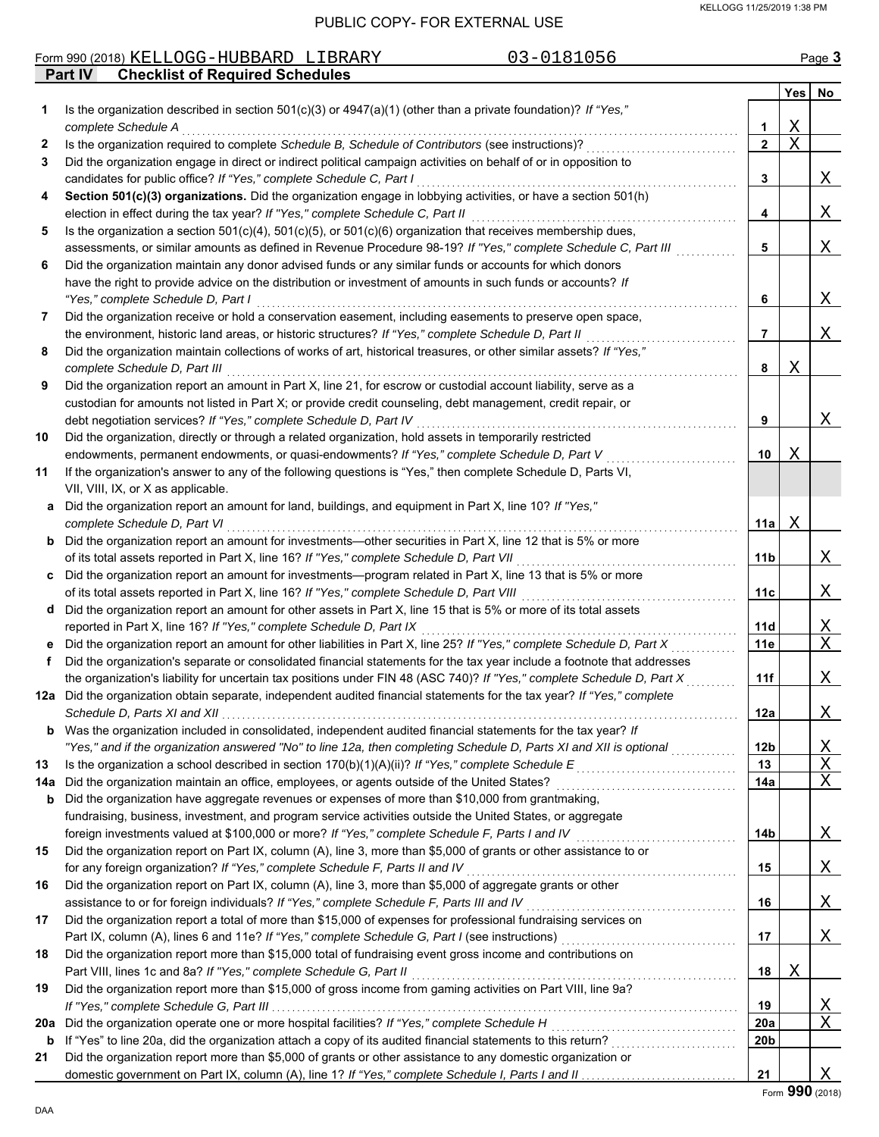|     | 03-0181056<br>Form 990 (2018) KELLOGG-HUBBARD LIBRARY                                                                                                                             |                 |                         | Page 3           |
|-----|-----------------------------------------------------------------------------------------------------------------------------------------------------------------------------------|-----------------|-------------------------|------------------|
|     | <b>Checklist of Required Schedules</b><br><b>Part IV</b>                                                                                                                          |                 |                         |                  |
|     |                                                                                                                                                                                   |                 | <b>Yes</b>              | No               |
| 1.  | Is the organization described in section $501(c)(3)$ or $4947(a)(1)$ (other than a private foundation)? If "Yes,"                                                                 |                 |                         |                  |
|     | complete Schedule A                                                                                                                                                               | 1               | Χ                       |                  |
| 2   | Is the organization required to complete Schedule B, Schedule of Contributors (see instructions)?                                                                                 | $\overline{2}$  | $\overline{\mathrm{X}}$ |                  |
| 3   | Did the organization engage in direct or indirect political campaign activities on behalf of or in opposition to                                                                  |                 |                         |                  |
|     | candidates for public office? If "Yes," complete Schedule C, Part I                                                                                                               | 3               |                         | X                |
| 4   | Section 501(c)(3) organizations. Did the organization engage in lobbying activities, or have a section 501(h)                                                                     |                 |                         |                  |
|     | election in effect during the tax year? If "Yes," complete Schedule C, Part II                                                                                                    | 4               |                         | X                |
| 5   | Is the organization a section $501(c)(4)$ , $501(c)(5)$ , or $501(c)(6)$ organization that receives membership dues,                                                              |                 |                         |                  |
|     | assessments, or similar amounts as defined in Revenue Procedure 98-19? If "Yes," complete Schedule C, Part III                                                                    | 5               |                         | X                |
| 6   | Did the organization maintain any donor advised funds or any similar funds or accounts for which donors                                                                           |                 |                         |                  |
|     | have the right to provide advice on the distribution or investment of amounts in such funds or accounts? If                                                                       |                 |                         |                  |
|     | "Yes," complete Schedule D, Part I                                                                                                                                                | 6               |                         | X                |
| 7   | Did the organization receive or hold a conservation easement, including easements to preserve open space,                                                                         |                 |                         |                  |
|     | the environment, historic land areas, or historic structures? If "Yes," complete Schedule D, Part II                                                                              | 7               |                         | X                |
| 8   | Did the organization maintain collections of works of art, historical treasures, or other similar assets? If "Yes,"                                                               |                 |                         |                  |
|     | complete Schedule D, Part III<br>Did the organization report an amount in Part X, line 21, for escrow or custodial account liability, serve as a                                  | 8               | Χ                       |                  |
| 9   |                                                                                                                                                                                   |                 |                         |                  |
|     | custodian for amounts not listed in Part X; or provide credit counseling, debt management, credit repair, or<br>debt negotiation services? If "Yes," complete Schedule D, Part IV | 9               |                         | X                |
| 10  | Did the organization, directly or through a related organization, hold assets in temporarily restricted                                                                           |                 |                         |                  |
|     | endowments, permanent endowments, or quasi-endowments? If "Yes," complete Schedule D, Part V                                                                                      | 10              | Χ                       |                  |
| 11  | If the organization's answer to any of the following questions is "Yes," then complete Schedule D, Parts VI,                                                                      |                 |                         |                  |
|     | VII, VIII, IX, or X as applicable.                                                                                                                                                |                 |                         |                  |
| a   | Did the organization report an amount for land, buildings, and equipment in Part X, line 10? If "Yes,"                                                                            |                 |                         |                  |
|     | complete Schedule D, Part VI                                                                                                                                                      | 11a             | Χ                       |                  |
|     | <b>b</b> Did the organization report an amount for investments—other securities in Part X, line 12 that is 5% or more                                                             |                 |                         |                  |
|     | of its total assets reported in Part X, line 16? If "Yes," complete Schedule D, Part VII                                                                                          | 11 <sub>b</sub> |                         | X                |
| c   | Did the organization report an amount for investments—program related in Part X, line 13 that is 5% or more                                                                       |                 |                         |                  |
|     | of its total assets reported in Part X, line 16? If "Yes," complete Schedule D, Part VIII                                                                                         | 11c             |                         | X                |
| d   | Did the organization report an amount for other assets in Part X, line 15 that is 5% or more of its total assets                                                                  |                 |                         |                  |
|     | reported in Part X, line 16? If "Yes," complete Schedule D, Part IX                                                                                                               | <b>11d</b>      |                         | <u>X</u>         |
|     | Did the organization report an amount for other liabilities in Part X, line 25? If "Yes," complete Schedule D, Part X                                                             | 11e             |                         | $\overline{X}$   |
| f   | Did the organization's separate or consolidated financial statements for the tax year include a footnote that addresses                                                           |                 |                         |                  |
|     | the organization's liability for uncertain tax positions under FIN 48 (ASC 740)? If "Yes," complete Schedule D, Part X                                                            | 11f             |                         | X                |
|     | 12a Did the organization obtain separate, independent audited financial statements for the tax year? If "Yes," complete                                                           |                 |                         |                  |
|     | Schedule D, Parts XI and XII                                                                                                                                                      | 12a             |                         | $\mathbf{X}_{-}$ |
|     | <b>b</b> Was the organization included in consolidated, independent audited financial statements for the tax year? If                                                             |                 |                         |                  |
|     | "Yes," and if the organization answered "No" to line 12a, then completing Schedule D, Parts XI and XII is optional                                                                | 12 <sub>b</sub> |                         | <u>х</u>         |
| 13  | Is the organization a school described in section $170(b)(1)(A)(ii)?$ If "Yes," complete Schedule E                                                                               | 13              |                         | X                |
| 14a | Did the organization maintain an office, employees, or agents outside of the United States?                                                                                       | 14a             |                         | $\mathbf X$      |
| b   | Did the organization have aggregate revenues or expenses of more than \$10,000 from grantmaking,                                                                                  |                 |                         |                  |
|     | fundraising, business, investment, and program service activities outside the United States, or aggregate                                                                         |                 |                         |                  |
|     | foreign investments valued at \$100,000 or more? If "Yes," complete Schedule F, Parts I and IV                                                                                    | 14 <sub>b</sub> |                         | Χ                |
| 15  | Did the organization report on Part IX, column (A), line 3, more than \$5,000 of grants or other assistance to or                                                                 |                 |                         |                  |
|     | for any foreign organization? If "Yes," complete Schedule F, Parts II and IV                                                                                                      | 15              |                         | Χ                |
| 16  | Did the organization report on Part IX, column (A), line 3, more than \$5,000 of aggregate grants or other                                                                        |                 |                         |                  |
|     | assistance to or for foreign individuals? If "Yes," complete Schedule F, Parts III and IV                                                                                         | 16              |                         | Χ                |
| 17  | Did the organization report a total of more than \$15,000 of expenses for professional fundraising services on                                                                    |                 |                         |                  |
|     | Part IX, column (A), lines 6 and 11e? If "Yes," complete Schedule G, Part I (see instructions)                                                                                    | 17              |                         | X                |
| 18  | Did the organization report more than \$15,000 total of fundraising event gross income and contributions on                                                                       |                 |                         |                  |
|     | Part VIII, lines 1c and 8a? If "Yes," complete Schedule G, Part II                                                                                                                | 18              | Χ                       |                  |
| 19  | Did the organization report more than \$15,000 of gross income from gaming activities on Part VIII, line 9a?                                                                      |                 |                         |                  |
|     |                                                                                                                                                                                   | 19              |                         | <u>X</u>         |
| 20a | Did the organization operate one or more hospital facilities? If "Yes," complete Schedule H                                                                                       | 20a             |                         | X                |
| b   | If "Yes" to line 20a, did the organization attach a copy of its audited financial statements to this return?                                                                      | 20 <sub>b</sub> |                         |                  |
| 21  | Did the organization report more than \$5,000 of grants or other assistance to any domestic organization or                                                                       |                 |                         |                  |
|     |                                                                                                                                                                                   | 21              |                         | Χ                |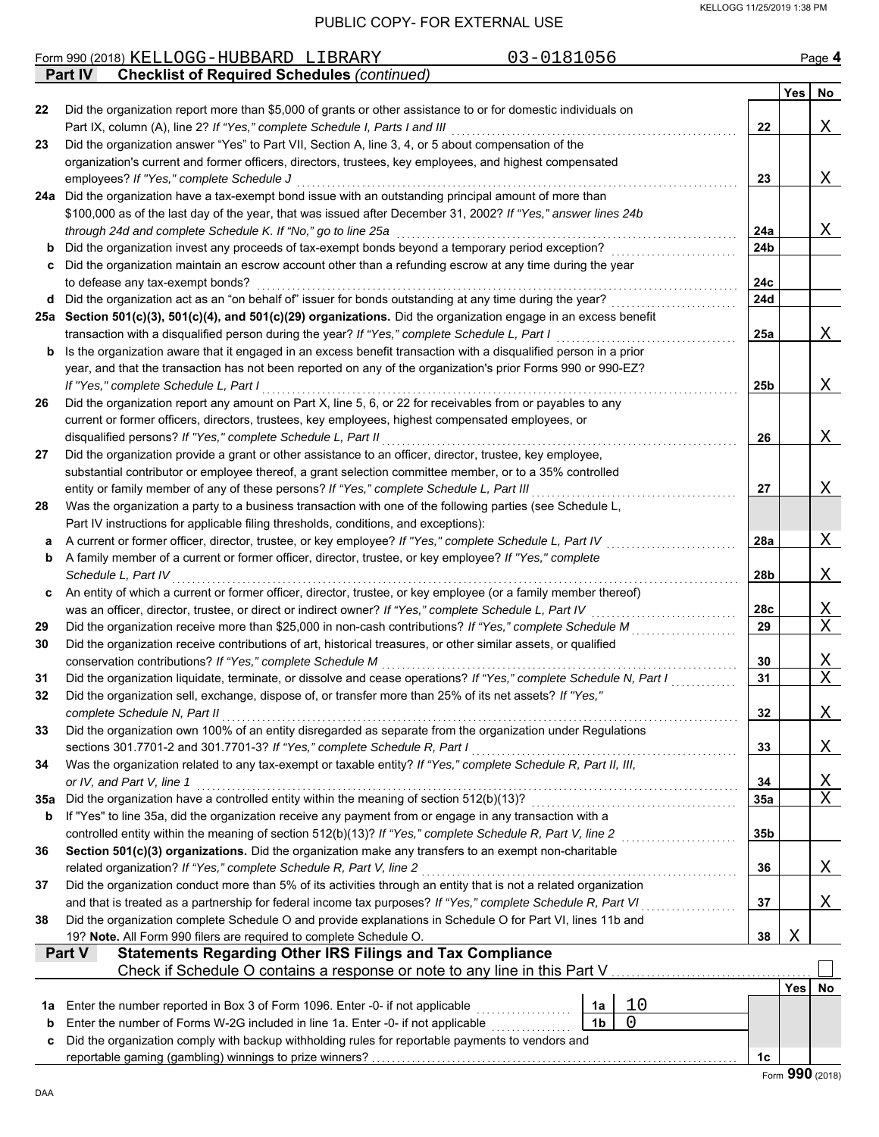|         | 03-0181056<br>Form 990 (2018) KELLOGG-HUBBARD LIBRARY                                                                                                                                                             |                 |     | Page 4                     |
|---------|-------------------------------------------------------------------------------------------------------------------------------------------------------------------------------------------------------------------|-----------------|-----|----------------------------|
|         | <b>Checklist of Required Schedules (continued)</b><br><b>Part IV</b>                                                                                                                                              |                 |     |                            |
| 22      | Did the organization report more than \$5,000 of grants or other assistance to or for domestic individuals on                                                                                                     |                 | Yes | No                         |
|         | Part IX, column (A), line 2? If "Yes," complete Schedule I, Parts I and III                                                                                                                                       | 22              |     | Χ                          |
| 23      | Did the organization answer "Yes" to Part VII, Section A, line 3, 4, or 5 about compensation of the                                                                                                               |                 |     |                            |
|         | organization's current and former officers, directors, trustees, key employees, and highest compensated                                                                                                           |                 |     |                            |
|         | employees? If "Yes," complete Schedule J                                                                                                                                                                          | 23              |     | Χ                          |
|         | 24a Did the organization have a tax-exempt bond issue with an outstanding principal amount of more than                                                                                                           |                 |     |                            |
|         | \$100,000 as of the last day of the year, that was issued after December 31, 2002? If "Yes," answer lines 24b                                                                                                     |                 |     |                            |
|         | through 24d and complete Schedule K. If "No," go to line 25a                                                                                                                                                      | 24a             |     | X                          |
| b       | Did the organization invest any proceeds of tax-exempt bonds beyond a temporary period exception?                                                                                                                 | 24 <sub>b</sub> |     |                            |
| c       | Did the organization maintain an escrow account other than a refunding escrow at any time during the year                                                                                                         |                 |     |                            |
|         | to defease any tax-exempt bonds?                                                                                                                                                                                  | 24c             |     |                            |
| d       | Did the organization act as an "on behalf of" issuer for bonds outstanding at any time during the year?                                                                                                           | 24d             |     |                            |
|         | 25a Section 501(c)(3), 501(c)(4), and 501(c)(29) organizations. Did the organization engage in an excess benefit<br>transaction with a disqualified person during the year? If "Yes," complete Schedule L, Part I | 25a             |     | X                          |
| b       | Is the organization aware that it engaged in an excess benefit transaction with a disqualified person in a prior                                                                                                  |                 |     |                            |
|         | year, and that the transaction has not been reported on any of the organization's prior Forms 990 or 990-EZ?                                                                                                      |                 |     |                            |
|         | If "Yes," complete Schedule L, Part I                                                                                                                                                                             | 25b             |     | X                          |
| 26      | Did the organization report any amount on Part X, line 5, 6, or 22 for receivables from or payables to any                                                                                                        |                 |     |                            |
|         | current or former officers, directors, trustees, key employees, highest compensated employees, or                                                                                                                 |                 |     |                            |
|         | disqualified persons? If "Yes," complete Schedule L, Part II                                                                                                                                                      | 26              |     | X                          |
| 27      | Did the organization provide a grant or other assistance to an officer, director, trustee, key employee,                                                                                                          |                 |     |                            |
|         | substantial contributor or employee thereof, a grant selection committee member, or to a 35% controlled                                                                                                           |                 |     |                            |
|         | entity or family member of any of these persons? If "Yes," complete Schedule L, Part III                                                                                                                          | 27              |     | Χ                          |
| 28      | Was the organization a party to a business transaction with one of the following parties (see Schedule L,                                                                                                         |                 |     |                            |
|         | Part IV instructions for applicable filing thresholds, conditions, and exceptions):                                                                                                                               |                 |     |                            |
| а       | A current or former officer, director, trustee, or key employee? If "Yes," complete Schedule L, Part IV                                                                                                           | 28a             |     | X                          |
| b       | A family member of a current or former officer, director, trustee, or key employee? If "Yes," complete<br>Schedule L, Part IV                                                                                     | 28b             |     | X                          |
| c       | An entity of which a current or former officer, director, trustee, or key employee (or a family member thereof)                                                                                                   |                 |     |                            |
|         | was an officer, director, trustee, or direct or indirect owner? If "Yes," complete Schedule L, Part IV                                                                                                            | 28c             |     | <u>X</u>                   |
| 29      | Did the organization receive more than \$25,000 in non-cash contributions? If "Yes," complete Schedule M                                                                                                          | 29              |     | $\overline{X}$             |
| 30      | Did the organization receive contributions of art, historical treasures, or other similar assets, or qualified                                                                                                    |                 |     |                            |
|         | conservation contributions? If "Yes," complete Schedule M                                                                                                                                                         | 30              |     | <u>X</u>                   |
| 31      | Did the organization liquidate, terminate, or dissolve and cease operations? If "Yes," complete Schedule N, Part I                                                                                                | 31              |     | $\overline{X}$             |
|         | Did the organization sell, exchange, dispose of, or transfer more than 25% of its net assets? If "Yes,"                                                                                                           |                 |     |                            |
|         | complete Schedule N, Part II                                                                                                                                                                                      | 32              |     | Χ                          |
| 33      | Did the organization own 100% of an entity disregarded as separate from the organization under Regulations                                                                                                        |                 |     |                            |
|         | sections 301.7701-2 and 301.7701-3? If "Yes," complete Schedule R, Part I                                                                                                                                         | 33              |     | Χ                          |
| 34      | Was the organization related to any tax-exempt or taxable entity? If "Yes," complete Schedule R, Part II, III,                                                                                                    |                 |     |                            |
| 35а     | or IV, and Part V, line 1<br>Did the organization have a controlled entity within the meaning of section 512(b)(13)?                                                                                              | 34<br>35a       |     | <u>X</u><br>$\overline{X}$ |
| b       | If "Yes" to line 35a, did the organization receive any payment from or engage in any transaction with a                                                                                                           |                 |     |                            |
|         | controlled entity within the meaning of section 512(b)(13)? If "Yes," complete Schedule R, Part V, line 2                                                                                                         | 35b             |     |                            |
| 36      | Section 501(c)(3) organizations. Did the organization make any transfers to an exempt non-charitable                                                                                                              |                 |     |                            |
|         | related organization? If "Yes," complete Schedule R, Part V, line 2                                                                                                                                               | 36              |     | Χ                          |
| 37      | Did the organization conduct more than 5% of its activities through an entity that is not a related organization                                                                                                  |                 |     |                            |
|         | and that is treated as a partnership for federal income tax purposes? If "Yes," complete Schedule R, Part VI                                                                                                      | 37              |     | Χ                          |
| 38      | Did the organization complete Schedule O and provide explanations in Schedule O for Part VI, lines 11b and                                                                                                        |                 |     |                            |
|         | 19? Note. All Form 990 filers are required to complete Schedule O.                                                                                                                                                | 38              | X   |                            |
|         | Part V<br><b>Statements Regarding Other IRS Filings and Tax Compliance</b>                                                                                                                                        |                 |     |                            |
|         | Check if Schedule O contains a response or note to any line in this Part V                                                                                                                                        |                 |     |                            |
|         | 10                                                                                                                                                                                                                |                 | Yes | No                         |
| 1a<br>b | Enter the number reported in Box 3 of Form 1096. Enter -0- if not applicable<br>1a<br>0<br>Enter the number of Forms W-2G included in line 1a. Enter -0- if not applicable<br>1 <sub>b</sub>                      |                 |     |                            |
| c       | Did the organization comply with backup withholding rules for reportable payments to vendors and                                                                                                                  |                 |     |                            |
|         |                                                                                                                                                                                                                   | 1c              |     |                            |
|         |                                                                                                                                                                                                                   |                 | nnn |                            |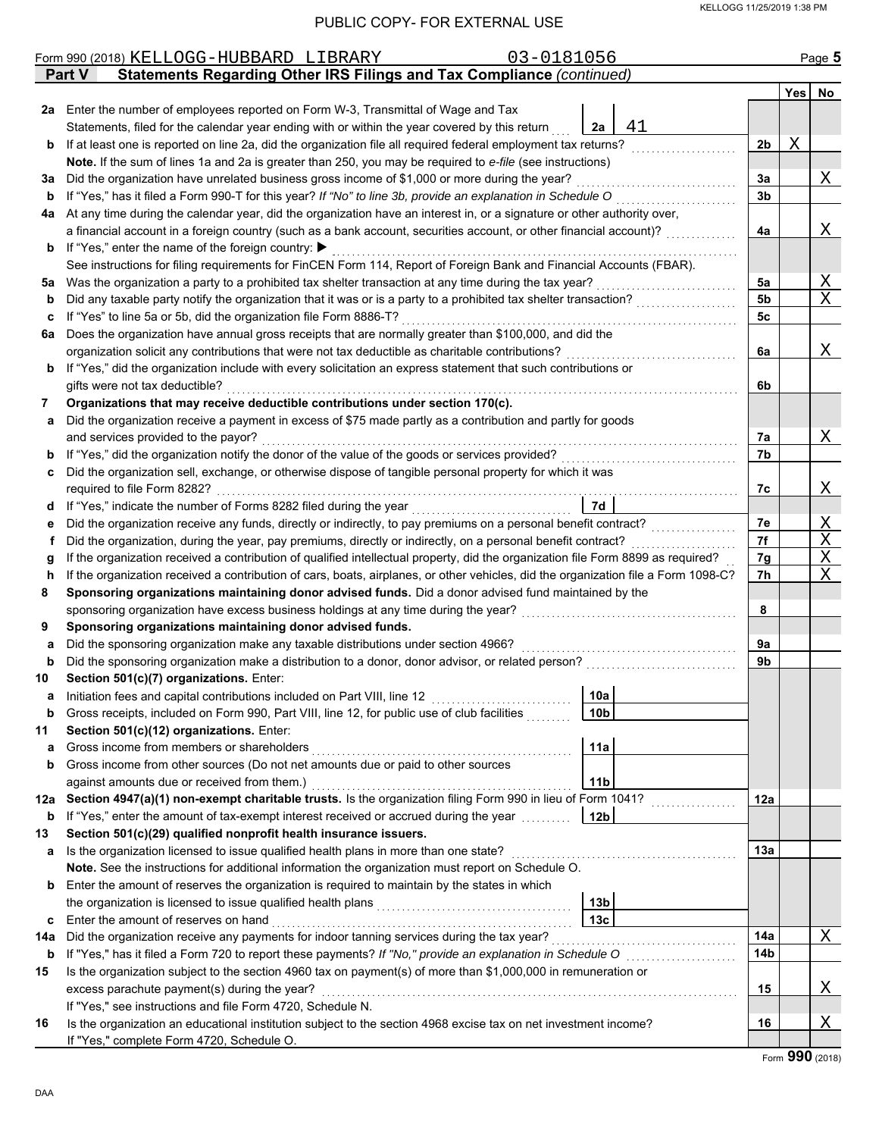|     | 03-0181056<br>Form 990 (2018) KELLOGG-HUBBARD LIBRARY                                                                              |                 |                |            | Page 5         |
|-----|------------------------------------------------------------------------------------------------------------------------------------|-----------------|----------------|------------|----------------|
|     | Statements Regarding Other IRS Filings and Tax Compliance (continued)<br><b>Part V</b>                                             |                 |                |            |                |
|     |                                                                                                                                    |                 |                | <b>Yes</b> | No             |
| 2a  | Enter the number of employees reported on Form W-3, Transmittal of Wage and Tax                                                    |                 |                |            |                |
|     | Statements, filed for the calendar year ending with or within the year covered by this return                                      | 41<br>2a        |                |            |                |
| b   | If at least one is reported on line 2a, did the organization file all required federal employment tax returns?                     |                 | 2 <sub>b</sub> | Χ          |                |
|     | Note. If the sum of lines 1a and 2a is greater than 250, you may be required to e-file (see instructions)                          |                 |                |            |                |
| За  | Did the organization have unrelated business gross income of \$1,000 or more during the year?                                      |                 | За             |            | Χ              |
| b   | If "Yes," has it filed a Form 990-T for this year? If "No" to line 3b, provide an explanation in Schedule O                        |                 | 3 <sub>b</sub> |            |                |
| 4a  | At any time during the calendar year, did the organization have an interest in, or a signature or other authority over,            |                 |                |            |                |
|     | a financial account in a foreign country (such as a bank account, securities account, or other financial account)?                 |                 | 4a             |            | Χ              |
| b   | If "Yes," enter the name of the foreign country: ▶                                                                                 |                 |                |            |                |
|     | See instructions for filing requirements for FinCEN Form 114, Report of Foreign Bank and Financial Accounts (FBAR).                |                 |                |            |                |
| 5a  | Was the organization a party to a prohibited tax shelter transaction at any time during the tax year?                              |                 | 5a             |            | <u>X</u>       |
| b   | Did any taxable party notify the organization that it was or is a party to a prohibited tax shelter transaction?                   |                 | 5b             |            | $\overline{X}$ |
| c   | If "Yes" to line 5a or 5b, did the organization file Form 8886-T?                                                                  |                 | 5c             |            |                |
| 6a  | Does the organization have annual gross receipts that are normally greater than \$100,000, and did the                             |                 |                |            |                |
|     | organization solicit any contributions that were not tax deductible as charitable contributions?                                   |                 | 6a             |            | Χ              |
| b   | If "Yes," did the organization include with every solicitation an express statement that such contributions or                     |                 |                |            |                |
|     | gifts were not tax deductible?                                                                                                     |                 | 6b             |            |                |
| 7   | Organizations that may receive deductible contributions under section 170(c).                                                      |                 |                |            |                |
| a   | Did the organization receive a payment in excess of \$75 made partly as a contribution and partly for goods                        |                 |                |            |                |
|     | and services provided to the payor?                                                                                                |                 | 7a             |            | Χ              |
| b   | If "Yes," did the organization notify the donor of the value of the goods or services provided?                                    |                 | 7b             |            |                |
| c   | Did the organization sell, exchange, or otherwise dispose of tangible personal property for which it was                           |                 |                |            |                |
|     | required to file Form 8282?                                                                                                        |                 | 7c             |            | Χ              |
| d   |                                                                                                                                    | <b>7d</b>       |                |            |                |
| е   | Did the organization receive any funds, directly or indirectly, to pay premiums on a personal benefit contract?                    |                 | 7e             |            | Χ              |
| f   | Did the organization, during the year, pay premiums, directly or indirectly, on a personal benefit contract?                       |                 | 7f             |            | $\mathbf X$    |
| g   | If the organization received a contribution of qualified intellectual property, did the organization file Form 8899 as required?   |                 | 7g             |            | $\mathbf X$    |
| h   | If the organization received a contribution of cars, boats, airplanes, or other vehicles, did the organization file a Form 1098-C? |                 | 7h             |            | $\mathbf X$    |
| 8   | Sponsoring organizations maintaining donor advised funds. Did a donor advised fund maintained by the                               |                 |                |            |                |
|     | sponsoring organization have excess business holdings at any time during the year?                                                 |                 | 8              |            |                |
| 9   | Sponsoring organizations maintaining donor advised funds.                                                                          |                 |                |            |                |
| a   | Did the sponsoring organization make any taxable distributions under section 4966?                                                 |                 | 9а             |            |                |
| b   | Did the sponsoring organization make a distribution to a donor, donor advisor, or related person?                                  |                 | 9b             |            |                |
| 10  | Section 501(c)(7) organizations. Enter:                                                                                            |                 |                |            |                |
|     | Initiation fees and capital contributions included on Part VIII, line 12                                                           | 10a             |                |            |                |
| b   | Gross receipts, included on Form 990, Part VIII, line 12, for public use of club facilities                                        | 10b             |                |            |                |
| 11  | Section 501(c)(12) organizations. Enter:                                                                                           |                 |                |            |                |
| a   | Gross income from members or shareholders                                                                                          | 11a             |                |            |                |
| b   | Gross income from other sources (Do not net amounts due or paid to other sources                                                   |                 |                |            |                |
|     | against amounts due or received from them.)                                                                                        | 11 <sub>b</sub> |                |            |                |
| 12a | Section 4947(a)(1) non-exempt charitable trusts. Is the organization filing Form 990 in lieu of Form 1041?                         |                 | 12a            |            |                |
| b   | If "Yes," enter the amount of tax-exempt interest received or accrued during the year                                              | 12 <sub>b</sub> |                |            |                |
| 13  | Section 501(c)(29) qualified nonprofit health insurance issuers.                                                                   |                 |                |            |                |
| а   | Is the organization licensed to issue qualified health plans in more than one state?                                               |                 | 13a            |            |                |
|     | Note. See the instructions for additional information the organization must report on Schedule O.                                  |                 |                |            |                |
| b   | Enter the amount of reserves the organization is required to maintain by the states in which                                       |                 |                |            |                |
|     | the organization is licensed to issue qualified health plans                                                                       | 13 <sub>b</sub> |                |            |                |
| c   | Enter the amount of reserves on hand                                                                                               | 13 <sub>c</sub> |                |            |                |
| 14a | Did the organization receive any payments for indoor tanning services during the tax year?                                         |                 | 14a            |            | Χ              |
| b   | If "Yes," has it filed a Form 720 to report these payments? If "No," provide an explanation in Schedule O                          |                 | 14b            |            |                |
| 15  | Is the organization subject to the section 4960 tax on payment(s) of more than \$1,000,000 in remuneration or                      |                 |                |            |                |
|     | excess parachute payment(s) during the year?                                                                                       |                 | 15             |            | Χ              |
|     | If "Yes," see instructions and file Form 4720, Schedule N.                                                                         |                 |                |            |                |
| 16  | Is the organization an educational institution subject to the section 4968 excise tax on net investment income?                    |                 | 16             |            | Χ              |
|     | If "Yes," complete Form 4720, Schedule O.                                                                                          |                 |                |            |                |
|     |                                                                                                                                    |                 |                |            |                |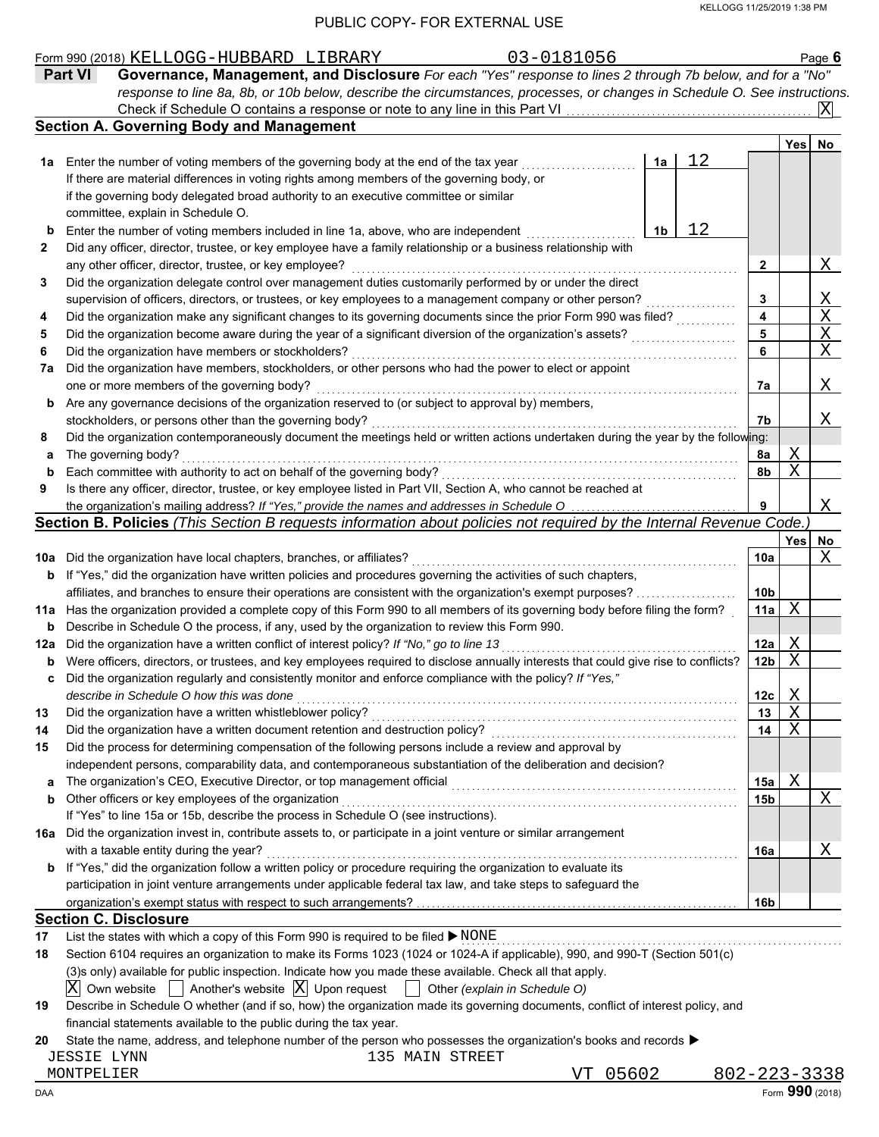|     |                                                                                                                                     |    | KELLOGG 11/25/2019 1:38 PM |                         |              |                   |
|-----|-------------------------------------------------------------------------------------------------------------------------------------|----|----------------------------|-------------------------|--------------|-------------------|
|     | PUBLIC COPY- FOR EXTERNAL USE                                                                                                       |    |                            |                         |              |                   |
|     | 03-0181056<br>Form 990 (2018) KELLOGG-HUBBARD LIBRARY                                                                               |    |                            |                         |              | Page $6$          |
|     | Governance, Management, and Disclosure For each "Yes" response to lines 2 through 7b below, and for a "No"<br><b>Part VI</b>        |    |                            |                         |              |                   |
|     | response to line 8a, 8b, or 10b below, describe the circumstances, processes, or changes in Schedule O. See instructions.           |    |                            |                         |              |                   |
|     | Check if Schedule O contains a response or note to any line in this Part VI                                                         |    |                            |                         |              | ΙXΙ               |
|     | <b>Section A. Governing Body and Management</b>                                                                                     |    |                            |                         |              |                   |
|     |                                                                                                                                     |    |                            |                         | Yes          | No                |
| 1a  | Enter the number of voting members of the governing body at the end of the tax year                                                 | 1a | 12                         |                         |              |                   |
|     | If there are material differences in voting rights among members of the governing body, or                                          |    |                            |                         |              |                   |
|     | if the governing body delegated broad authority to an executive committee or similar                                                |    |                            |                         |              |                   |
|     | committee, explain in Schedule O.                                                                                                   |    |                            |                         |              |                   |
|     | Enter the number of voting members included in line 1a, above, who are independent                                                  | 1b | 12                         |                         |              |                   |
| 2   | Did any officer, director, trustee, or key employee have a family relationship or a business relationship with                      |    |                            |                         |              |                   |
|     | any other officer, director, trustee, or key employee?                                                                              |    |                            | 2                       |              | Χ                 |
| 3   | Did the organization delegate control over management duties customarily performed by or under the direct                           |    |                            |                         |              |                   |
|     | supervision of officers, directors, or trustees, or key employees to a management company or other person?                          |    |                            | 3                       |              |                   |
| 4   | Did the organization make any significant changes to its governing documents since the prior Form 990 was filed?                    |    |                            | $\overline{\mathbf{4}}$ |              |                   |
| 5   | Did the organization become aware during the year of a significant diversion of the organization's assets?                          |    |                            | 5                       |              | $\frac{X}{X}}{X}$ |
| 6   | Did the organization have members or stockholders?                                                                                  |    |                            | 6                       |              |                   |
| 7a  | Did the organization have members, stockholders, or other persons who had the power to elect or appoint                             |    |                            |                         |              |                   |
|     | one or more members of the governing body?                                                                                          |    |                            | 7a                      |              | X                 |
| b   | Are any governance decisions of the organization reserved to (or subject to approval by) members,                                   |    |                            |                         |              |                   |
|     | stockholders, or persons other than the governing body?                                                                             |    |                            | 7b                      |              | Χ                 |
| 8   | Did the organization contemporaneously document the meetings held or written actions undertaken during the year by the following:   |    |                            |                         |              |                   |
| a   | The governing body?                                                                                                                 |    |                            | 8a                      | Χ            |                   |
| b   | Each committee with authority to act on behalf of the governing body?                                                               |    |                            | 8b                      | $\rm X$      |                   |
| 9   | Is there any officer, director, trustee, or key employee listed in Part VII, Section A, who cannot be reached at                    |    |                            |                         |              |                   |
|     | the organization's mailing address? If "Yes," provide the names and addresses in Schedule O                                         |    |                            | 9                       |              | X                 |
|     | Section B. Policies (This Section B requests information about policies not required by the Internal Revenue Code.                  |    |                            |                         |              |                   |
|     |                                                                                                                                     |    |                            |                         | Yes          | No                |
| 10a | Did the organization have local chapters, branches, or affiliates?                                                                  |    |                            | 10a                     |              | Χ                 |
| b   | If "Yes," did the organization have written policies and procedures governing the activities of such chapters,                      |    |                            |                         |              |                   |
|     | affiliates, and branches to ensure their operations are consistent with the organization's exempt purposes?                         |    |                            | 10 <sub>b</sub>         |              |                   |
| 11a | Has the organization provided a complete copy of this Form 990 to all members of its governing body before filing the form?         |    |                            | 11a                     | Χ            |                   |
| b   | Describe in Schedule O the process, if any, used by the organization to review this Form 990.                                       |    |                            |                         |              |                   |
| 12a | Did the organization have a written conflict of interest policy? If "No," go to line 13                                             |    |                            | 12a                     | Χ            |                   |
| b   | Were officers, directors, or trustees, and key employees required to disclose annually interests that could give rise to conflicts? |    |                            | 12 <sub>b</sub>         | X            |                   |
| c   | Did the organization regularly and consistently monitor and enforce compliance with the policy? If "Yes,"                           |    |                            |                         |              |                   |
|     | describe in Schedule O how this was done                                                                                            |    |                            | 12c                     | $\mathbf{X}$ |                   |
| 13  | Did the organization have a written whistleblower policy?                                                                           |    |                            | 13                      | X            |                   |
| 14  | Did the organization have a written document retention and destruction policy?                                                      |    |                            | 14                      | $\mathbf X$  |                   |
| 15  | Did the process for determining compensation of the following persons include a review and approval by                              |    |                            |                         |              |                   |
|     | independent persons, comparability data, and contemporaneous substantiation of the deliberation and decision?                       |    |                            |                         |              |                   |
| а   |                                                                                                                                     |    |                            | 15a                     | Χ            |                   |
| b   | Other officers or key employees of the organization                                                                                 |    |                            | 15 <sub>b</sub>         |              | Χ                 |
|     | If "Yes" to line 15a or 15b, describe the process in Schedule O (see instructions).                                                 |    |                            |                         |              |                   |
| 16a | Did the organization invest in, contribute assets to, or participate in a joint venture or similar arrangement                      |    |                            |                         |              |                   |
|     | with a taxable entity during the year?                                                                                              |    |                            | 16a                     |              | Χ                 |
| b   | If "Yes," did the organization follow a written policy or procedure requiring the organization to evaluate its                      |    |                            |                         |              |                   |

|     | If yes to line to a or top, describe the process in Schedule O (see instructions).                                      |                 |  |
|-----|-------------------------------------------------------------------------------------------------------------------------|-----------------|--|
| 16а | Did the organization invest in, contribute assets to, or participate in a joint venture or similar arrangement          |                 |  |
|     | with a taxable entity during the year?                                                                                  | <b>16a</b>      |  |
|     | <b>b</b> If "Yes," did the organization follow a written policy or procedure requiring the organization to evaluate its |                 |  |
|     | participation in joint venture arrangements under applicable federal tax law, and take steps to safequard the           |                 |  |
|     | organization's exempt status with respect to such arrangements?                                                         | 16 <sub>b</sub> |  |

#### **Section C. Disclosure**

| 17 List the states with which a copy of this Form 990 is required to be filed $\blacktriangleright$ NONE                                                                                  |
|-------------------------------------------------------------------------------------------------------------------------------------------------------------------------------------------|
| $\overline{a}$ and $\overline{a}$ and $\overline{a}$ and $\overline{a}$ and $\overline{a}$ and $\overline{a}$ and $\overline{a}$ and $\overline{a}$ and $\overline{a}$ and $\overline{a}$ |

| 18 | Section 6104 requires an organization to make its Forms 1023 (1024 or 1024-A if applicable), 990, and 990-T (Section 501(c)                  |
|----|----------------------------------------------------------------------------------------------------------------------------------------------|
|    | (3)s only) available for public inspection. Indicate how you made these available. Check all that apply.                                     |
|    | $\boxed{X}$ Own website $\boxed{\phantom{X}}$ Another's website $\boxed{X}$ Upon request $\boxed{\phantom{X}}$ Other (explain in Schedule O) |
| 19 | Describe in Schedule O whether (and if so, how) the organization made its governing documents, conflict of interest policy, and              |
|    | financial statements available to the public during the tax year.                                                                            |
| 20 | State the name, address, and telephone number of the person who possesses the organization's books and records $\blacktriangleright$         |
|    | 135 MAIN STREET<br><b>JESSIE LYNN</b>                                                                                                        |
|    | $802 - 2$<br>VT 05602<br>MONTPELIER                                                                                                          |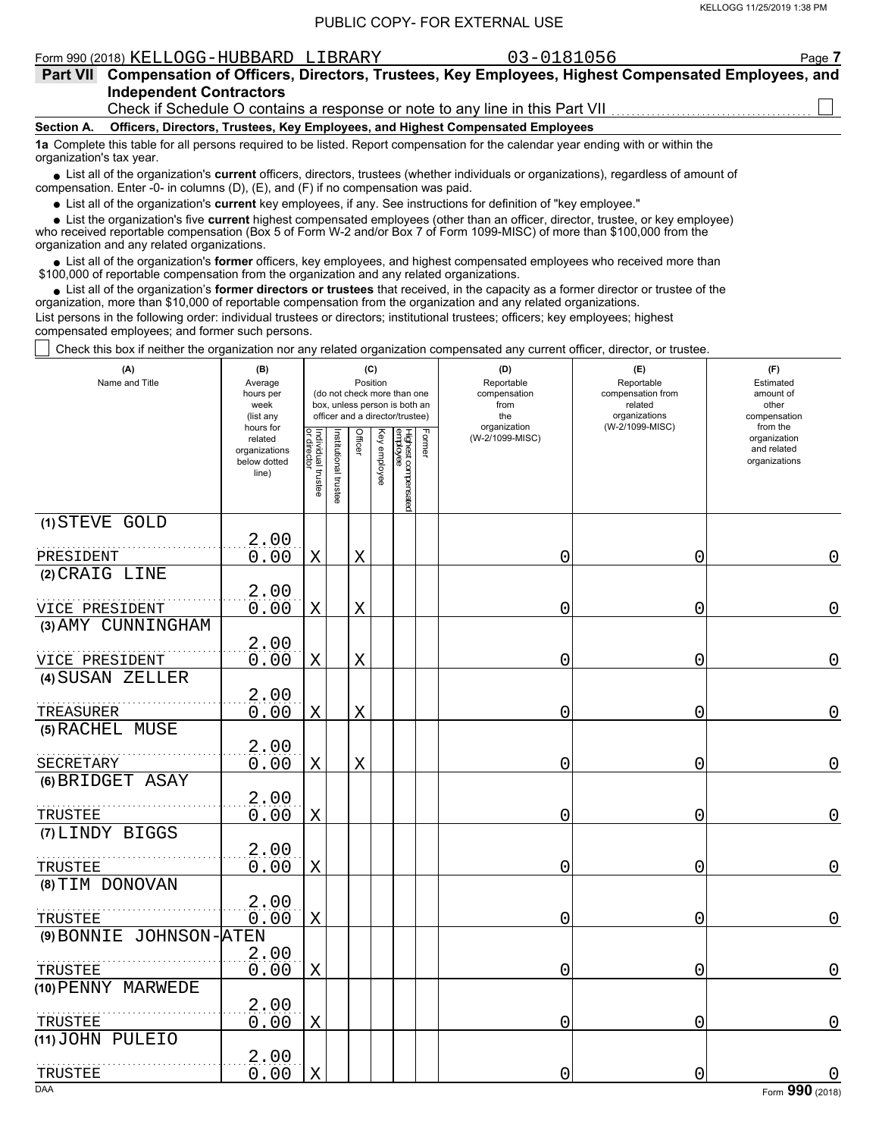#### Form 990 (2018) Page **7** KELLOGG-HUBBARD LIBRARY 03-0181056

**Independent Contractors Part VII Compensation of Officers, Directors, Trustees, Key Employees, Highest Compensated Employees, and** Check if Schedule O contains a response or note to any line in this Part VII.

**Section A. Officers, Directors, Trustees, Key Employees, and Highest Compensated Employees**

**1a** Complete this table for all persons required to be listed. Report compensation for the calendar year ending with or within the

organization's tax year.

■ List all of the organization's **current** officers, directors, trustees (whether individuals or organizations), regardless of amount of compensation. Enter -0- in columns (D), (E), and (F) if no compensation was paid.

List all of the organization's **current** key employees, if any. See instructions for definition of "key employee."

■ List all of the organization's **current** key employees, if any. See instructions for definition of "key employee."<br>■ List the organization's five **current** highest compensated employees (other than an officer, director,

who received reportable compensation (Box 5 of Form W-2 and/or Box 7 of Form 1099-MISC) of more than \$100,000 from the organization and any related organizations.

• List all of the organization's **former** officers, key employees, and highest compensated employees who received more than<br>00,000 of reportable compensation from the organization and any related organizations. \$100,000 of reportable compensation from the organization and any related organizations.

• List all of the organization's **former directors or trustees** that received, in the capacity as a former director or trustee of the organization, more than \$10,000 of reportable compensation from the organization and any related organizations. List persons in the following order: individual trustees or directors; institutional trustees; officers; key employees; highest compensated employees; and former such persons.

Check this box if neither the organization nor any related organization compensated any current officer, director, or trustee.

| (A)<br>Name and Title   | (B)<br>Average<br>hours per<br>week<br>(list any               | (C)<br>Position<br>(do not check more than one<br>box, unless person is both an<br>officer and a director/trustee) |                       |             |              |                                                                                                 |  | (D)<br>Reportable<br>compensation<br>from<br>the | (E)<br>Reportable<br>compensation from<br>related<br>organizations | (F)<br>Estimated<br>amount of<br>other<br>compensation |  |  |
|-------------------------|----------------------------------------------------------------|--------------------------------------------------------------------------------------------------------------------|-----------------------|-------------|--------------|-------------------------------------------------------------------------------------------------|--|--------------------------------------------------|--------------------------------------------------------------------|--------------------------------------------------------|--|--|
|                         | hours for<br>related<br>organizations<br>below dotted<br>line) | Individual trustee<br>or director                                                                                  | Institutional trustee | Officer     | Key employee | (W-2/1099-MISC)<br>organization<br>Former<br>Highest compensated<br>employee<br>(W-2/1099-MISC) |  |                                                  | from the<br>organization<br>and related<br>organizations           |                                                        |  |  |
| (1) STEVE GOLD          |                                                                |                                                                                                                    |                       |             |              |                                                                                                 |  |                                                  |                                                                    |                                                        |  |  |
| PRESIDENT               | 2.00<br>0.00                                                   | $\mathbf X$                                                                                                        |                       | $\mathbf X$ |              |                                                                                                 |  | 0                                                | 0                                                                  | 0                                                      |  |  |
| (2) CRAIG LINE          |                                                                |                                                                                                                    |                       |             |              |                                                                                                 |  |                                                  |                                                                    |                                                        |  |  |
| VICE PRESIDENT          | 2.00<br>0.00                                                   | X                                                                                                                  |                       | $\mathbf X$ |              |                                                                                                 |  | 0                                                | 0                                                                  | 0                                                      |  |  |
| (3) AMY CUNNINGHAM      |                                                                |                                                                                                                    |                       |             |              |                                                                                                 |  |                                                  |                                                                    |                                                        |  |  |
| VICE PRESIDENT          | 2.00<br>0.00                                                   | $\mathbf X$                                                                                                        |                       | $\mathbf X$ |              |                                                                                                 |  | 0                                                | 0                                                                  | 0                                                      |  |  |
| (4) SUSAN ZELLER        |                                                                |                                                                                                                    |                       |             |              |                                                                                                 |  |                                                  |                                                                    |                                                        |  |  |
| TREASURER               | 2.00<br>0.00                                                   | X                                                                                                                  |                       | Χ           |              |                                                                                                 |  | 0                                                | 0                                                                  | 0                                                      |  |  |
| (5) RACHEL MUSE         | 2.00                                                           |                                                                                                                    |                       |             |              |                                                                                                 |  |                                                  |                                                                    |                                                        |  |  |
| SECRETARY               | 0.00                                                           | $\mathbf X$                                                                                                        |                       | $\mathbf X$ |              |                                                                                                 |  | 0                                                | 0                                                                  | 0                                                      |  |  |
| (6) BRIDGET ASAY        |                                                                |                                                                                                                    |                       |             |              |                                                                                                 |  |                                                  |                                                                    |                                                        |  |  |
| TRUSTEE                 | 2.00<br>0.00                                                   | X                                                                                                                  |                       |             |              |                                                                                                 |  | 0                                                | 0                                                                  | 0                                                      |  |  |
| (7) LINDY BIGGS         |                                                                |                                                                                                                    |                       |             |              |                                                                                                 |  |                                                  |                                                                    |                                                        |  |  |
| TRUSTEE                 | 2.00<br>0.00                                                   | $\mathbf X$                                                                                                        |                       |             |              |                                                                                                 |  | 0                                                | 0                                                                  | 0                                                      |  |  |
| (8) TIM DONOVAN         |                                                                |                                                                                                                    |                       |             |              |                                                                                                 |  |                                                  |                                                                    |                                                        |  |  |
| TRUSTEE                 | 2.00<br>0.00                                                   | $\mathbf X$                                                                                                        |                       |             |              |                                                                                                 |  | 0                                                | 0                                                                  | $\overline{0}$                                         |  |  |
| (9) BONNIE JOHNSON-ATEN |                                                                |                                                                                                                    |                       |             |              |                                                                                                 |  |                                                  |                                                                    |                                                        |  |  |
| TRUSTEE                 | 2.00<br>0.00                                                   | X                                                                                                                  |                       |             |              |                                                                                                 |  | 0                                                | 0                                                                  | 0                                                      |  |  |
| (10) PENNY MARWEDE      |                                                                |                                                                                                                    |                       |             |              |                                                                                                 |  |                                                  |                                                                    |                                                        |  |  |
| TRUSTEE                 | 2.00<br>0.00                                                   | X                                                                                                                  |                       |             |              |                                                                                                 |  | 0                                                | 0                                                                  | 0                                                      |  |  |
| (11) JOHN PULEIO        |                                                                |                                                                                                                    |                       |             |              |                                                                                                 |  |                                                  |                                                                    |                                                        |  |  |
|                         | 2.00<br>0.00                                                   |                                                                                                                    |                       |             |              |                                                                                                 |  |                                                  |                                                                    |                                                        |  |  |
| TRUSTEE<br><b>DAA</b>   |                                                                | X                                                                                                                  |                       |             |              |                                                                                                 |  | 0                                                | 0                                                                  | Form 990 (2018)                                        |  |  |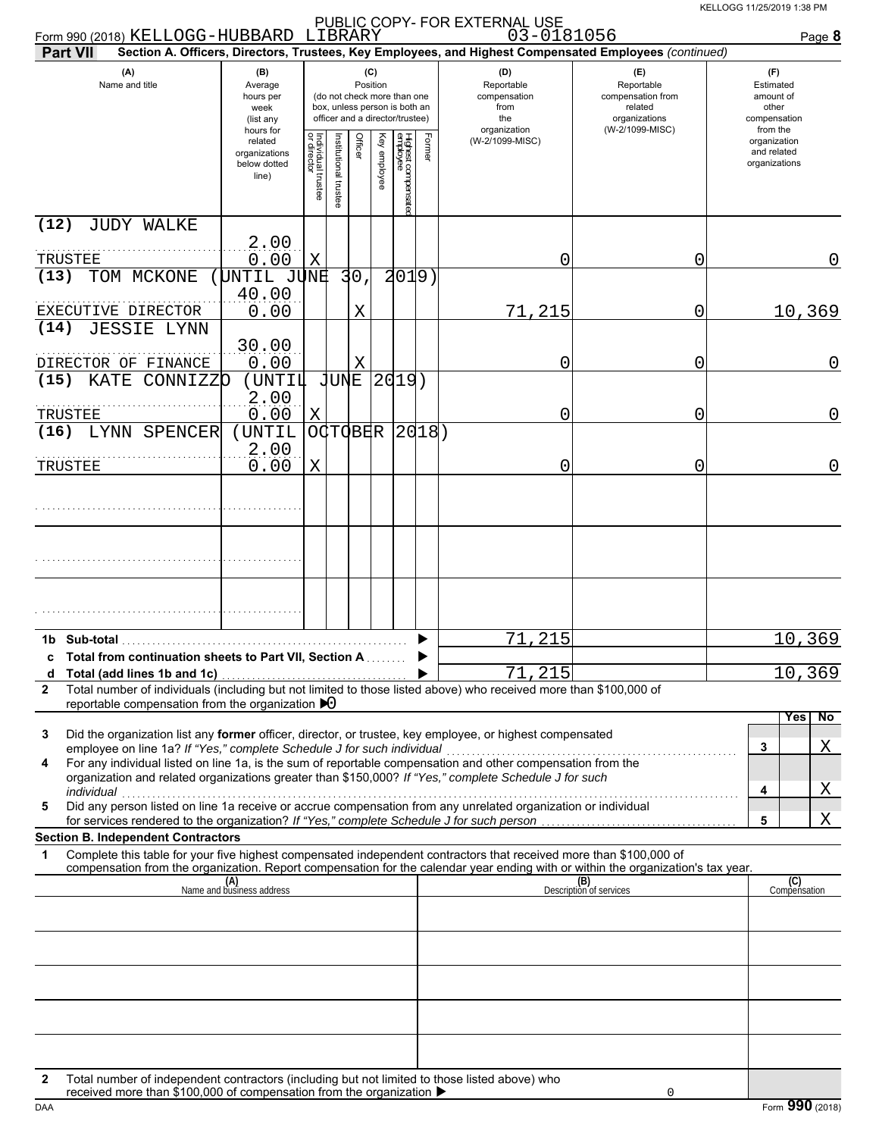| Form 990 (2018) KELLOGG-HUBBARD LIBRARY                                                                                                                                                                                                                                                                                                                                                                                                   |                                                               |                                   |                                                                                                                    |                 |                 |                                |           | 03-0181056                                                                                             |                                                                                       | Page 8                                                             |
|-------------------------------------------------------------------------------------------------------------------------------------------------------------------------------------------------------------------------------------------------------------------------------------------------------------------------------------------------------------------------------------------------------------------------------------------|---------------------------------------------------------------|-----------------------------------|--------------------------------------------------------------------------------------------------------------------|-----------------|-----------------|--------------------------------|-----------|--------------------------------------------------------------------------------------------------------|---------------------------------------------------------------------------------------|--------------------------------------------------------------------|
| <b>Part VII</b>                                                                                                                                                                                                                                                                                                                                                                                                                           |                                                               |                                   |                                                                                                                    |                 |                 |                                |           | Section A. Officers, Directors, Trustees, Key Employees, and Highest Compensated Employees (continued) |                                                                                       |                                                                    |
| (A)<br>Name and title                                                                                                                                                                                                                                                                                                                                                                                                                     | (B)<br>Average<br>hours per<br>week<br>(list any<br>hours for |                                   | (C)<br>Position<br>(do not check more than one<br>box, unless person is both an<br>officer and a director/trustee) |                 |                 |                                |           | (D)<br>Reportable<br>compensation<br>from<br>the<br>organization                                       | (E)<br>Reportable<br>compensation from<br>related<br>organizations<br>(W-2/1099-MISC) | (F)<br>Estimated<br>amount of<br>other<br>compensation<br>from the |
|                                                                                                                                                                                                                                                                                                                                                                                                                                           | related<br>organizations<br>below dotted<br>line)             | Individual trustee<br>or director | nstitutional trustee                                                                                               |                 | Ķey<br>employee | Highest compensate<br>employee | Form<br>ၜ | (W-2/1099-MISC)                                                                                        |                                                                                       | organization<br>and related<br>organizations                       |
| (12)<br><b>JUDY WALKE</b>                                                                                                                                                                                                                                                                                                                                                                                                                 |                                                               |                                   |                                                                                                                    |                 |                 |                                |           |                                                                                                        |                                                                                       |                                                                    |
| TRUSTEE                                                                                                                                                                                                                                                                                                                                                                                                                                   | 2.00<br>0.00                                                  | Χ                                 |                                                                                                                    |                 |                 |                                |           | 0                                                                                                      | 0                                                                                     | $\mathbf 0$                                                        |
| (13)<br>TOM MCKONE                                                                                                                                                                                                                                                                                                                                                                                                                        | UNTIL JUNE                                                    |                                   |                                                                                                                    | 30 <sub>1</sub> |                 | 2019)                          |           |                                                                                                        |                                                                                       |                                                                    |
| EXECUTIVE DIRECTOR                                                                                                                                                                                                                                                                                                                                                                                                                        | 40.00<br>0.00                                                 |                                   |                                                                                                                    | X               |                 |                                |           | 71,215                                                                                                 | 0                                                                                     | 10,369                                                             |
| <b>JESSIE LYNN</b><br>(14)                                                                                                                                                                                                                                                                                                                                                                                                                |                                                               |                                   |                                                                                                                    |                 |                 |                                |           |                                                                                                        |                                                                                       |                                                                    |
| DIRECTOR OF FINANCE                                                                                                                                                                                                                                                                                                                                                                                                                       | 30.00<br>0.00                                                 |                                   |                                                                                                                    | X               |                 |                                |           | 0                                                                                                      | 0                                                                                     | $\mathbf 0$                                                        |
| (15)<br>KATE CONNIZZO                                                                                                                                                                                                                                                                                                                                                                                                                     | (UNTIL                                                        |                                   | <b>JUNE</b>                                                                                                        |                 |                 | 2019)                          |           |                                                                                                        |                                                                                       |                                                                    |
| TRUSTEE                                                                                                                                                                                                                                                                                                                                                                                                                                   | 2.00<br>0.00                                                  | Χ                                 |                                                                                                                    |                 |                 |                                |           | 0                                                                                                      | 0                                                                                     | $\mathbf 0$                                                        |
| (16)<br>LYNN SPENCER                                                                                                                                                                                                                                                                                                                                                                                                                      | (UNTIL                                                        |                                   |                                                                                                                    |                 |                 | O(TOBER   2018)                |           |                                                                                                        |                                                                                       |                                                                    |
| TRUSTEE                                                                                                                                                                                                                                                                                                                                                                                                                                   | 2.00<br>0.00                                                  | X                                 |                                                                                                                    |                 |                 |                                |           | 0                                                                                                      | 0                                                                                     | $\mathbf 0$                                                        |
|                                                                                                                                                                                                                                                                                                                                                                                                                                           |                                                               |                                   |                                                                                                                    |                 |                 |                                |           |                                                                                                        |                                                                                       |                                                                    |
|                                                                                                                                                                                                                                                                                                                                                                                                                                           |                                                               |                                   |                                                                                                                    |                 |                 |                                |           |                                                                                                        |                                                                                       |                                                                    |
|                                                                                                                                                                                                                                                                                                                                                                                                                                           |                                                               |                                   |                                                                                                                    |                 |                 |                                |           |                                                                                                        |                                                                                       |                                                                    |
| 1b Sub-total<br>c Total from continuation sheets to Part VII, Section A                                                                                                                                                                                                                                                                                                                                                                   |                                                               |                                   |                                                                                                                    |                 |                 |                                |           | 71,215                                                                                                 |                                                                                       | 10,369                                                             |
| d Total (add lines 1b and 1c)                                                                                                                                                                                                                                                                                                                                                                                                             |                                                               |                                   |                                                                                                                    |                 |                 |                                |           | 71,215                                                                                                 |                                                                                       | 10,369                                                             |
| Total number of individuals (including but not limited to those listed above) who received more than \$100,000 of<br>2<br>reportable compensation from the organization $\blacktriangleright$ 0                                                                                                                                                                                                                                           |                                                               |                                   |                                                                                                                    |                 |                 |                                |           |                                                                                                        |                                                                                       |                                                                    |
| Did the organization list any <b>former</b> officer, director, or trustee, key employee, or highest compensated<br>3<br>employee on line 1a? If "Yes," complete Schedule J for such individual<br>For any individual listed on line 1a, is the sum of reportable compensation and other compensation from the<br>4<br>organization and related organizations greater than \$150,000? If "Yes," complete Schedule J for such<br>individual |                                                               |                                   |                                                                                                                    |                 |                 |                                |           |                                                                                                        |                                                                                       | No<br><b>Yes</b><br>Χ<br>3<br>Χ<br>4                               |
| Did any person listed on line 1a receive or accrue compensation from any unrelated organization or individual<br>5<br>for services rendered to the organization? If "Yes," complete Schedule J for such person                                                                                                                                                                                                                            |                                                               |                                   |                                                                                                                    |                 |                 |                                |           |                                                                                                        |                                                                                       | 5<br>Χ                                                             |
| <b>Section B. Independent Contractors</b>                                                                                                                                                                                                                                                                                                                                                                                                 |                                                               |                                   |                                                                                                                    |                 |                 |                                |           |                                                                                                        |                                                                                       |                                                                    |
| Complete this table for your five highest compensated independent contractors that received more than \$100,000 of<br>1<br>compensation from the organization. Report compensation for the calendar year ending with or within the organization's tax year.                                                                                                                                                                               |                                                               |                                   |                                                                                                                    |                 |                 |                                |           |                                                                                                        |                                                                                       |                                                                    |
|                                                                                                                                                                                                                                                                                                                                                                                                                                           | (A)<br>Name and business address                              |                                   |                                                                                                                    |                 |                 |                                |           |                                                                                                        | (B)<br>Description of services                                                        | (C)<br>Compensation                                                |
|                                                                                                                                                                                                                                                                                                                                                                                                                                           |                                                               |                                   |                                                                                                                    |                 |                 |                                |           |                                                                                                        |                                                                                       |                                                                    |
|                                                                                                                                                                                                                                                                                                                                                                                                                                           |                                                               |                                   |                                                                                                                    |                 |                 |                                |           |                                                                                                        |                                                                                       |                                                                    |
|                                                                                                                                                                                                                                                                                                                                                                                                                                           |                                                               |                                   |                                                                                                                    |                 |                 |                                |           |                                                                                                        |                                                                                       |                                                                    |
|                                                                                                                                                                                                                                                                                                                                                                                                                                           |                                                               |                                   |                                                                                                                    |                 |                 |                                |           |                                                                                                        |                                                                                       |                                                                    |
|                                                                                                                                                                                                                                                                                                                                                                                                                                           |                                                               |                                   |                                                                                                                    |                 |                 |                                |           |                                                                                                        |                                                                                       |                                                                    |
|                                                                                                                                                                                                                                                                                                                                                                                                                                           |                                                               |                                   |                                                                                                                    |                 |                 |                                |           |                                                                                                        |                                                                                       |                                                                    |
|                                                                                                                                                                                                                                                                                                                                                                                                                                           |                                                               |                                   |                                                                                                                    |                 |                 |                                |           |                                                                                                        |                                                                                       |                                                                    |
| Total number of independent contractors (including but not limited to those listed above) who<br>2<br>received more than \$100,000 of compensation from the organization ▶                                                                                                                                                                                                                                                                |                                                               |                                   |                                                                                                                    |                 |                 |                                |           |                                                                                                        | $\mathbf 0$                                                                           |                                                                    |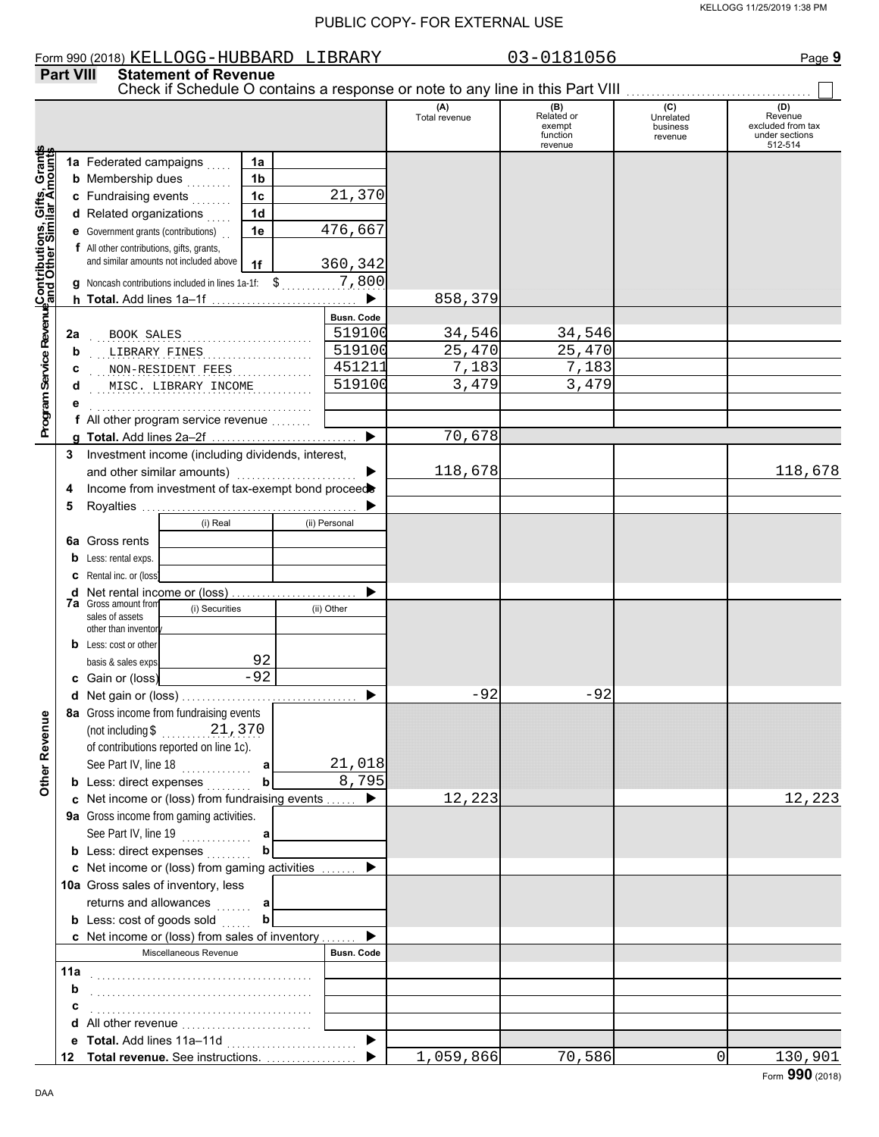#### Form 990 (2018) Page **9** KELLOGG-HUBBARD LIBRARY 03-0181056 **Part VIII Statement of Revenue** Check if Schedule O contains a response or note to any line in this Part VIII **(A) (B) (C) (D)** Total revenue **Related or Revenue**<br>
excluded from tax<br>
excluded from tax exempt business function under sections revenue 512-514 revenue **Contributions, Gifts, Grants and Other Similar Amounts** Grants **1a 1a** Federated campaigns ..... Gifts, Gra<br>illar Amou **1b b** Membership dues <sub>. . .</sub> . . . . . **1c** 21,370 **c** Fundraising events **. . . . . . 1d d** Related organizations **.** . . . . Program Service RevenueContributions, 476,667 **1e e** Government grants (contributions) . . **f** All other contributions, gifts, grants, and similar amounts not included above **1f** 360,342 7,800 **g** Noncash contributions included in lines 1a-1f:  $\mathsf{\$}$  . . . . . . . . . . 858,379  $\blacktriangleright$ **h Total.** Add lines 1a–1f . . . . . . . . . . . . . . . . . . . . . . . . . . . . . **Program Service Revenue Busn. Code** . . . . . . . . . . . . . . . . . . . . . . . . . . . . . . . . . . . . . . . . . . . . BOOK SALES 519100 34,546 34,546 **2a** . . . . . . . . . . . . . . . . . . . . . . . . . . . . . . . . . . . . . . . . . . . . LIBRARY FINES 519100 25,470 25,470 **b** . . . . . . . . . . . . . . . . . . . . . . . . . . . . . . . . . . . . . . . . . . . . NON-RESIDENT FEES 451211 7,183 7,183 **c d** . . . . . . . . . . . . . . . . . . . . . . . . . . . . . . . . . . . . . . . . . . . . MISC. LIBRARY INCOME 519100 3,479 3,479 **e** . . . . . . . . . . . . . . . . . . . . . . . . . . . . . . . . . . . . . . . . . . . . **f** All other program service revenue . . . . . . . . 70,678 **g Total.** Add lines 2a–2f . . . . . . . . . . . . . . . . . . . . . . . . . . . . . **3** Investment income (including dividends, interest, and other similar amounts)  $\blacksquare$ 118,678 118,678 **4** Income from investment of tax-exempt bond proceed **5** Royalties . . . . . . . . . . . . . . . . . . . . . . . . . . . . . . . . . . . . . . . . . . . b (i) Real (ii) Personal **6a** Gross rents **b** Less: rental exps. **c** Rental inc. or (loss) ь **d** Net rental income or (loss) . . . . . . . . . . . . . . . . . . . . . . . . . **7a** Gross amount from (i) Securities (ii) Other sales of assets other than inventor **b** Less: cost or other 92 basis & sales exps.  $-92$ **c** Gain or (loss)  $-92$   $-92$ **d** Net gain or (loss) . . . . . . . . . . . . . . . . . . . . . . . . . . . . . . . . . . . **8a** Gross income from fundraising events **Other Revenue Other Revenue** (not including \$ . . . . . . . . . . . . . . . . . . . . 21,370 of contributions reported on line 1c). See Part IV, line 18 . . . . . . . . . . . . . . 21,018 **a b** 8,795 **b** Less: direct expenses . . . . . . . . 12,223 12,223 **c** Net income or (loss) from fundraising events . . . . . . ▶ **9a** Gross income from gaming activities. See Part IV, line 19 . . . . . . . . . . . . . . **a b b** Less: direct expenses **. . . . . . .** .  $\blacktriangleright$ Net income or (loss) from gaming activities . . . . . . . **c** 10a Gross sales of inventory, less returns and allowances **a b b** Less:  $\cosh$  of goods  $\sinh$ ь **c** Net income or (loss) from sales of inventory ....... Miscellaneous Revenue **Busn. Code 11a** . . . . . . . . . . . . . . . . . . . . . . . . . . . . . . . . . . . . . . . . . . . . **b c** . . . . . . . . . . . . . . . . . . . . . . . . . . . . . . . . . . . . . . . . . . . . **d** All other revenue . . . . . . . . . . . . . . . . . . . . . . . . . .

1,059,866 70,586 0 130,901

**e Total.** Add lines 11a–11d . . . . . . . . . . . . . . . . . . . . . . . . . . **Total revenue.** See instructions. . . . . . . . . . . . . . . . . . . **12**

 $\blacksquare$ 

 $\blacktriangleright$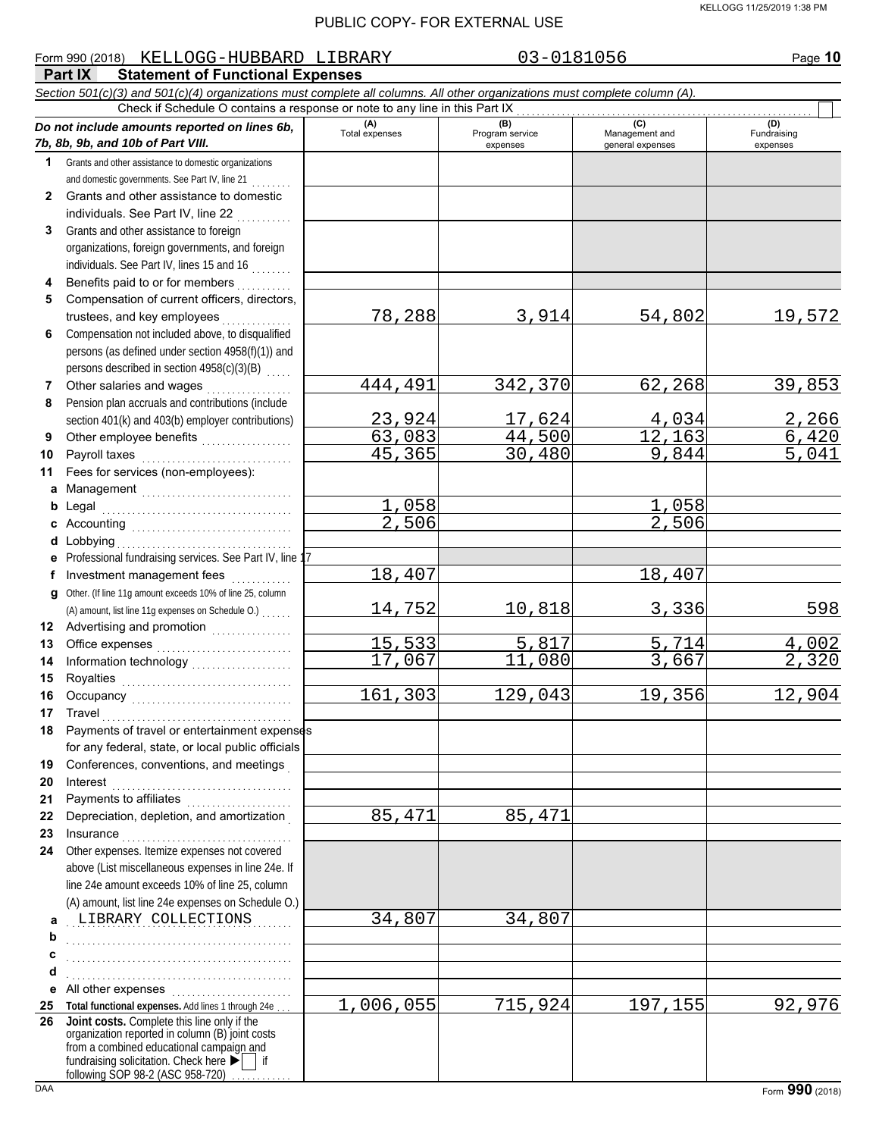#### KELLOGG 11/25/2019 1:38 PM

#### PUBLIC COPY- FOR EXTERNAL USE

|              | Form 990 (2018) KELLOGG-HUBBARD LIBRARY                                                                                    |                       | 03-0181056             |                        | Page 10               |
|--------------|----------------------------------------------------------------------------------------------------------------------------|-----------------------|------------------------|------------------------|-----------------------|
|              | <b>Statement of Functional Expenses</b><br>Part IX                                                                         |                       |                        |                        |                       |
|              | Section 501(c)(3) and 501(c)(4) organizations must complete all columns. All other organizations must complete column (A). |                       |                        |                        |                       |
|              | Check if Schedule O contains a response or note to any line in this Part IX                                                |                       |                        |                        |                       |
|              | Do not include amounts reported on lines 6b,                                                                               | (A)<br>Total expenses | (B)<br>Program service | (C)<br>Management and  | (D)<br>Fundraising    |
|              | 7b, 8b, 9b, and 10b of Part VIII.                                                                                          |                       | expenses               | general expenses       | expenses              |
| 1            | Grants and other assistance to domestic organizations                                                                      |                       |                        |                        |                       |
|              | and domestic governments. See Part IV, line 21                                                                             |                       |                        |                        |                       |
| $\mathbf{2}$ | Grants and other assistance to domestic                                                                                    |                       |                        |                        |                       |
|              | individuals. See Part IV, line 22                                                                                          |                       |                        |                        |                       |
| 3            | Grants and other assistance to foreign                                                                                     |                       |                        |                        |                       |
|              | organizations, foreign governments, and foreign                                                                            |                       |                        |                        |                       |
|              | individuals. See Part IV, lines 15 and 16                                                                                  |                       |                        |                        |                       |
| 4            | Benefits paid to or for members                                                                                            |                       |                        |                        |                       |
| 5            | Compensation of current officers, directors,                                                                               |                       |                        |                        |                       |
|              | trustees, and key employees                                                                                                | 78,288                | 3,914                  | 54,802                 | 19,572                |
| 6            | Compensation not included above, to disqualified                                                                           |                       |                        |                        |                       |
|              | persons (as defined under section 4958(f)(1)) and                                                                          |                       |                        |                        |                       |
|              | persons described in section 4958(c)(3)(B)                                                                                 |                       |                        |                        |                       |
| 7            | Other salaries and wages<br>.                                                                                              | 444,491               | 342,370                | 62,268                 | 39,853                |
| 8            | Pension plan accruals and contributions (include                                                                           |                       |                        |                        |                       |
|              | section 401(k) and 403(b) employer contributions)                                                                          | 23,924                | 17,624                 |                        |                       |
| 9            | Other employee benefits                                                                                                    | 63,083                | 44,500                 | $\frac{4,034}{12,163}$ | $\frac{2,266}{6,420}$ |
| 10           |                                                                                                                            | 45,365                | 30,480                 | 9,844                  | 5,041                 |
| 11           | Fees for services (non-employees):                                                                                         |                       |                        |                        |                       |
|              |                                                                                                                            |                       |                        |                        |                       |
| b            |                                                                                                                            | 1,058                 |                        | 1,058                  |                       |
|              |                                                                                                                            | $\overline{2,506}$    |                        | 2,506                  |                       |
|              |                                                                                                                            |                       |                        |                        |                       |
| е            | Professional fundraising services. See Part IV, line 1                                                                     |                       |                        |                        |                       |
| f            | Investment management fees<br>.                                                                                            | 18, 407               |                        | 18,407                 |                       |
| g            | Other. (If line 11g amount exceeds 10% of line 25, column                                                                  |                       |                        |                        |                       |
|              | (A) amount, list line 11g expenses on Schedule O.)                                                                         | 14,752                | 10,818                 | 3,336                  | 598                   |
| 12           |                                                                                                                            |                       |                        |                        |                       |
| 13           |                                                                                                                            | 15,533                | 5,817                  | 5,714                  | 4,002                 |
| 14           |                                                                                                                            | 17,067                | 11,080                 | 3,667                  | 2,320                 |
| 15           | Royalties                                                                                                                  |                       |                        |                        |                       |
| 16           |                                                                                                                            | 161,303               | 129,043                | 19,356                 | 12,904                |
| 17           | Travel                                                                                                                     |                       |                        |                        |                       |
| 18           | Payments of travel or entertainment expenses                                                                               |                       |                        |                        |                       |
|              | for any federal, state, or local public officials                                                                          |                       |                        |                        |                       |
| 19           | Conferences, conventions, and meetings                                                                                     |                       |                        |                        |                       |
| 20           | Interest                                                                                                                   |                       |                        |                        |                       |
| 21           |                                                                                                                            |                       |                        |                        |                       |
| 22           | Depreciation, depletion, and amortization                                                                                  | 85,471                | 85,471                 |                        |                       |
| 23           | Insurance                                                                                                                  |                       |                        |                        |                       |
| 24           | Other expenses. Itemize expenses not covered                                                                               |                       |                        |                        |                       |
|              | above (List miscellaneous expenses in line 24e. If                                                                         |                       |                        |                        |                       |
|              | line 24e amount exceeds 10% of line 25, column                                                                             |                       |                        |                        |                       |
|              | (A) amount, list line 24e expenses on Schedule O.)                                                                         |                       |                        |                        |                       |
| a            | LIBRARY COLLECTIONS                                                                                                        | 34,807                | 34,807                 |                        |                       |
| b            |                                                                                                                            |                       |                        |                        |                       |
| c            |                                                                                                                            |                       |                        |                        |                       |
| d            |                                                                                                                            |                       |                        |                        |                       |
| е            | All other expenses                                                                                                         |                       |                        |                        |                       |
| 25           | Total functional expenses. Add lines 1 through 24e                                                                         | 1,006,055             | 715,924                | 197,155                | 92,976                |
| 26           | Joint costs. Complete this line only if the                                                                                |                       |                        |                        |                       |
|              | organization reported in column (B) joint costs<br>from a combined educational campaign and                                |                       |                        |                        |                       |

fundraising solicitation. Check here  $\blacktriangleright$  | if

following SOP 98-2 (ASC 958-720) . . . . . . . . . .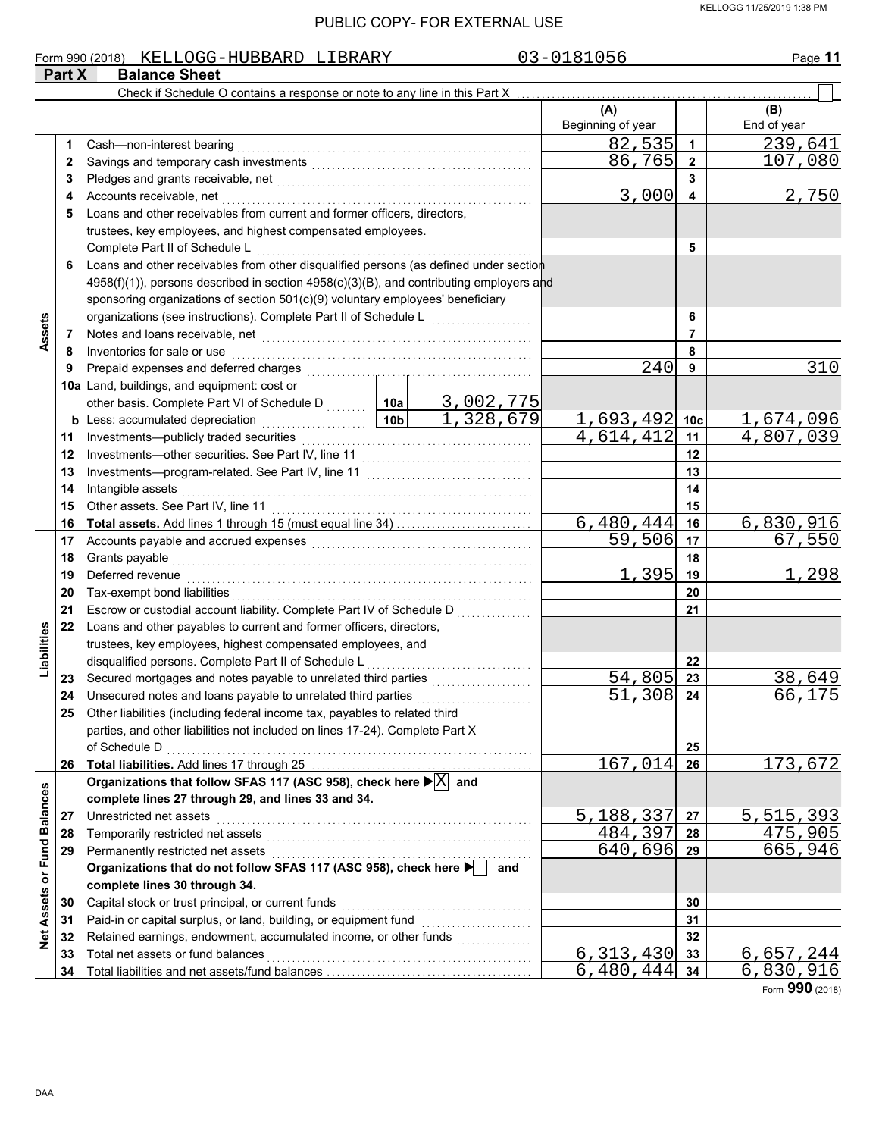#### KELLOGG 11/25/2019 1:38 PM

|                             | Part X | Form 990 (2018) KELLOGG-HUBBARD LIBRARY<br><b>Balance Sheet</b>                                                                                                                                                               |                 |                                     | 03-0181056               |                 | Page 11                |
|-----------------------------|--------|-------------------------------------------------------------------------------------------------------------------------------------------------------------------------------------------------------------------------------|-----------------|-------------------------------------|--------------------------|-----------------|------------------------|
|                             |        | Check if Schedule O contains a response or note to any line in this Part X                                                                                                                                                    |                 |                                     |                          |                 |                        |
|                             |        |                                                                                                                                                                                                                               |                 |                                     | (A)<br>Beginning of year |                 | (B)<br>End of year     |
|                             | 1      | Cash-non-interest bearing                                                                                                                                                                                                     |                 |                                     | 82,535                   | $\mathbf{1}$    | 239,641                |
|                             | 2      |                                                                                                                                                                                                                               |                 | 86,765                              | $\overline{2}$           | 107,080         |                        |
|                             | 3      |                                                                                                                                                                                                                               |                 |                                     |                          | 3               |                        |
|                             | 4      | Accounts receivable, net                                                                                                                                                                                                      | 3,000           | 4                                   | 2,750                    |                 |                        |
|                             | 5      | Loans and other receivables from current and former officers, directors,                                                                                                                                                      |                 |                                     |                          |                 |                        |
|                             |        | trustees, key employees, and highest compensated employees.                                                                                                                                                                   |                 |                                     |                          |                 |                        |
|                             |        | Complete Part II of Schedule L                                                                                                                                                                                                |                 |                                     |                          | 5               |                        |
|                             | 6      | Loans and other receivables from other disqualified persons (as defined under section                                                                                                                                         |                 |                                     |                          |                 |                        |
|                             |        | 4958(f)(1)), persons described in section 4958(c)(3)(B), and contributing employers and                                                                                                                                       |                 |                                     |                          |                 |                        |
|                             |        | sponsoring organizations of section 501(c)(9) voluntary employees' beneficiary                                                                                                                                                |                 |                                     |                          |                 |                        |
|                             |        | organizations (see instructions). Complete Part II of Schedule L                                                                                                                                                              |                 | and a straightful and a straightful |                          | 6               |                        |
| Assets                      | 7      | Notes and loans receivable, net with an array and a statement of the statement of the statement of the statement of the statement of the statement of the statement of the statement of the statement of the statement of the |                 |                                     |                          | 7               |                        |
|                             | 8      | Inventories for sale or use                                                                                                                                                                                                   |                 |                                     |                          | 8               |                        |
|                             | 9      | Prepaid expenses and deferred charges                                                                                                                                                                                         |                 |                                     | 240                      | 9               | 310                    |
|                             |        | 10a Land, buildings, and equipment: cost or                                                                                                                                                                                   |                 |                                     |                          |                 |                        |
|                             |        | other basis. Complete Part VI of Schedule D  10a                                                                                                                                                                              |                 | <u>3,002,775</u>                    |                          |                 |                        |
|                             | b      | Less: accumulated depreciation<br>.                                                                                                                                                                                           | 10 <sub>b</sub> | 1,328,679                           | 1,693,492                | 10 <sub>c</sub> | <u>1,674,096</u>       |
|                             | 11     | Investments-publicly traded securities                                                                                                                                                                                        |                 |                                     | 4,614,412                | 11              | $\overline{4,807,039}$ |
|                             | 12     | Investments-other securities. See Part IV, line 11                                                                                                                                                                            |                 |                                     |                          | 12              |                        |
|                             | 13     |                                                                                                                                                                                                                               |                 |                                     |                          | 13              |                        |
|                             | 14     | Intangible assets                                                                                                                                                                                                             |                 | 14                                  |                          |                 |                        |
|                             | 15     | Other assets. See Part IV, line 11                                                                                                                                                                                            |                 | 15                                  |                          |                 |                        |
|                             | 16     |                                                                                                                                                                                                                               | 6,480,444       | 16                                  | 6,830,916                |                 |                        |
|                             | 17     |                                                                                                                                                                                                                               |                 | 59,506                              | 17                       | 67,550          |                        |
|                             | 18     | Grants payable                                                                                                                                                                                                                |                 |                                     | 18                       |                 |                        |
|                             | 19     | Deferred revenue                                                                                                                                                                                                              | 1,395           | 19                                  | 1,298                    |                 |                        |
|                             | 20     | Tax-exempt bond liabilities                                                                                                                                                                                                   |                 |                                     |                          | 20              |                        |
|                             | 21     | Escrow or custodial account liability. Complete Part IV of Schedule D                                                                                                                                                         |                 |                                     |                          | 21              |                        |
| Liabilities                 | 22     | Loans and other payables to current and former officers, directors,                                                                                                                                                           |                 |                                     |                          |                 |                        |
|                             |        | trustees, key employees, highest compensated employees, and                                                                                                                                                                   |                 |                                     |                          |                 |                        |
|                             |        | disqualified persons. Complete Part II of Schedule L                                                                                                                                                                          |                 |                                     |                          | 22              |                        |
|                             | 23     | Secured mortgages and notes payable to unrelated third parties                                                                                                                                                                |                 |                                     | 54,805<br>51,308         | 23              | 38,649                 |
|                             | 24     | Unsecured notes and loans payable to unrelated third parties                                                                                                                                                                  |                 |                                     |                          | 24              | 66,175                 |
|                             | 25     | Other liabilities (including federal income tax, payables to related third<br>parties, and other liabilities not included on lines 17-24). Complete Part X                                                                    |                 |                                     |                          |                 |                        |
|                             |        | of Schedule D                                                                                                                                                                                                                 |                 |                                     |                          |                 |                        |
|                             | 26     |                                                                                                                                                                                                                               |                 |                                     | 167,014                  | 25<br>26        | 173,672                |
|                             |        | Organizations that follow SFAS 117 (ASC 958), check here $\blacktriangleright \boxed{\text{X}}$ and                                                                                                                           |                 |                                     |                          |                 |                        |
|                             |        | complete lines 27 through 29, and lines 33 and 34.                                                                                                                                                                            |                 |                                     |                          |                 |                        |
|                             | 27     | Unrestricted net assets                                                                                                                                                                                                       |                 |                                     | <u>5,188,337</u>         | 27              | 5,515,393              |
|                             | 28     | Temporarily restricted net assets                                                                                                                                                                                             |                 |                                     | 484,397                  | 28              | 475,905                |
|                             | 29     | Permanently restricted net assets                                                                                                                                                                                             |                 |                                     | 640,696                  | 29              | 665,946                |
|                             |        | Organizations that do not follow SFAS 117 (ASC 958), check here >                                                                                                                                                             |                 | and                                 |                          |                 |                        |
| Net Assets or Fund Balances |        | complete lines 30 through 34.                                                                                                                                                                                                 |                 |                                     |                          |                 |                        |
|                             | 30     | Capital stock or trust principal, or current funds                                                                                                                                                                            |                 |                                     |                          | 30              |                        |
|                             | 31     | Paid-in or capital surplus, or land, building, or equipment fund                                                                                                                                                              |                 |                                     |                          | 31              |                        |
|                             | 32     | Retained earnings, endowment, accumulated income, or other funds                                                                                                                                                              |                 |                                     |                          | 32              |                        |
|                             | 33     | Total net assets or fund balances                                                                                                                                                                                             |                 |                                     | 6,313,430                | 33              | <u>6,657,244</u>       |
|                             | 34     |                                                                                                                                                                                                                               |                 |                                     | 6,480,444                | 34              | 6,830,916              |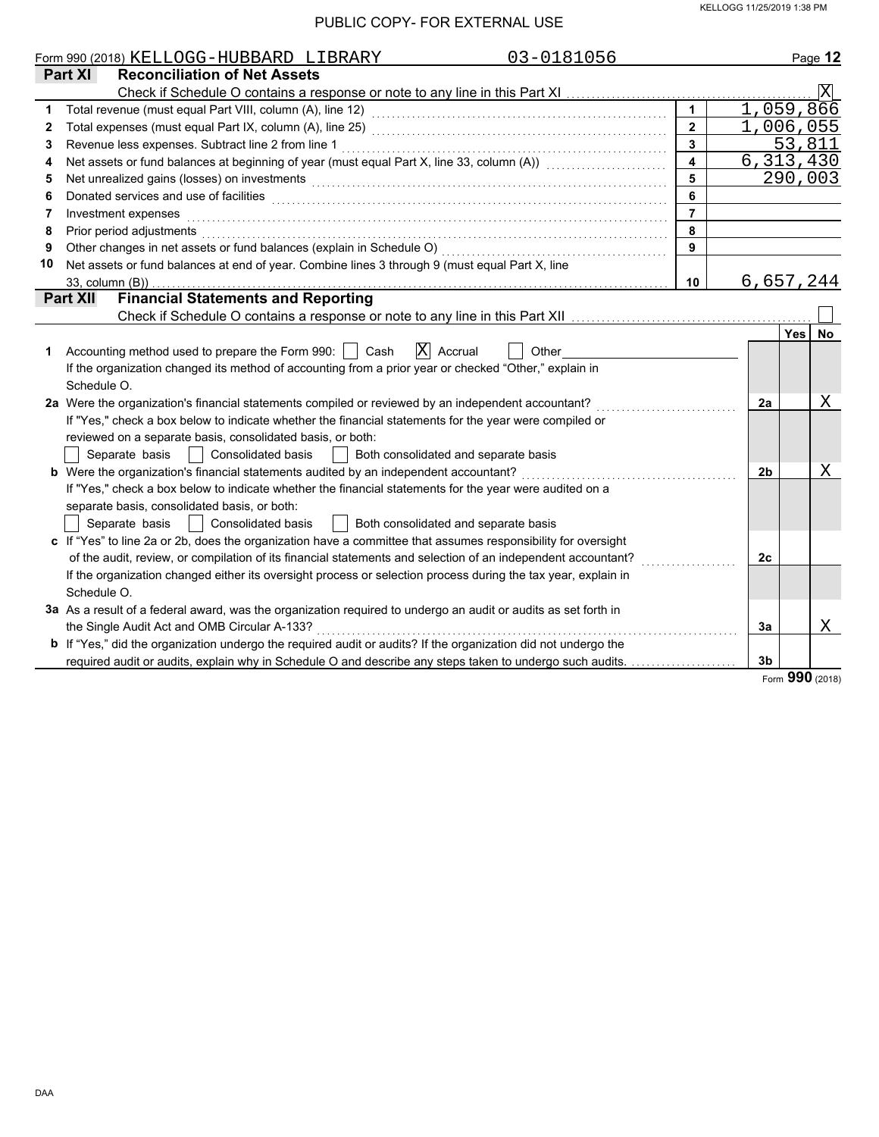|    | 03-0181056<br>Form 990 (2018) KELLOGG-HUBBARD LIBRARY                                                                                                                                                                          |                         |    | Page 12                 |
|----|--------------------------------------------------------------------------------------------------------------------------------------------------------------------------------------------------------------------------------|-------------------------|----|-------------------------|
|    | <b>Reconciliation of Net Assets</b><br>Part XI                                                                                                                                                                                 |                         |    |                         |
|    |                                                                                                                                                                                                                                |                         |    | $\overline{\mathbf{X}}$ |
| 1  |                                                                                                                                                                                                                                | $\overline{1}$          |    | 1,059,866               |
| 2  |                                                                                                                                                                                                                                | $\overline{2}$          |    | 1,006,055               |
| 3  |                                                                                                                                                                                                                                | $\overline{\mathbf{3}}$ |    | 53,811                  |
| 4  | Net assets or fund balances at beginning of year (must equal Part X, line 33, column (A)) [[[[[[[[[[[[[[[[[[[                                                                                                                  |                         |    | 6, 313, 430             |
| 5  | Net unrealized gains (losses) on investments [11] with an intervention of the state of the state of the state of the state of the state of the state of the state of the state of the state of the state of the state of the s | 5                       |    | 290,003                 |
| 6  | Donated services and use of facilities <b>constructs</b> and the service of the service of the services and use of facilities                                                                                                  | 6                       |    |                         |
| 7  | Investment expenses                                                                                                                                                                                                            | $\overline{7}$          |    |                         |
| 8  | Prior period adjustments experience and contact the contact of the contact of the contact of the contact of the contact of the contact of the contact of the contact of the contact of the contact of the contact of the conta | 8                       |    |                         |
| 9  |                                                                                                                                                                                                                                | 9                       |    |                         |
| 10 | Net assets or fund balances at end of year. Combine lines 3 through 9 (must equal Part X, line                                                                                                                                 |                         |    |                         |
|    | 33, column (B))                                                                                                                                                                                                                | 10                      |    | 6,657,244               |
|    | <b>Financial Statements and Reporting</b><br><b>Part XII</b>                                                                                                                                                                   |                         |    |                         |
|    |                                                                                                                                                                                                                                |                         |    |                         |
|    |                                                                                                                                                                                                                                |                         |    | Yes<br><b>No</b>        |
| 1. | $ X $ Accrual<br>Accounting method used to prepare the Form 990:     Cash<br>Other                                                                                                                                             |                         |    |                         |
|    | If the organization changed its method of accounting from a prior year or checked "Other," explain in                                                                                                                          |                         |    |                         |
|    | Schedule O.                                                                                                                                                                                                                    |                         |    |                         |
|    | 2a Were the organization's financial statements compiled or reviewed by an independent accountant?                                                                                                                             |                         | 2a | X                       |
|    | If "Yes," check a box below to indicate whether the financial statements for the year were compiled or                                                                                                                         |                         |    |                         |
|    | reviewed on a separate basis, consolidated basis, or both:                                                                                                                                                                     |                         |    |                         |
|    | Separate basis<br>  Consolidated basis<br>  Both consolidated and separate basis                                                                                                                                               |                         |    |                         |
|    | <b>b</b> Were the organization's financial statements audited by an independent accountant?                                                                                                                                    |                         | 2b | Χ                       |
|    | If "Yes," check a box below to indicate whether the financial statements for the year were audited on a                                                                                                                        |                         |    |                         |
|    | separate basis, consolidated basis, or both:                                                                                                                                                                                   |                         |    |                         |
|    | Separate basis<br><b>Consolidated basis</b><br>Both consolidated and separate basis                                                                                                                                            |                         |    |                         |
|    | c If "Yes" to line 2a or 2b, does the organization have a committee that assumes responsibility for oversight                                                                                                                  |                         |    |                         |
|    | of the audit, review, or compilation of its financial statements and selection of an independent accountant?                                                                                                                   |                         | 2c |                         |
|    | If the organization changed either its oversight process or selection process during the tax year, explain in                                                                                                                  |                         |    |                         |
|    | Schedule O.                                                                                                                                                                                                                    |                         |    |                         |
|    | 3a As a result of a federal award, was the organization required to undergo an audit or audits as set forth in                                                                                                                 |                         |    |                         |
|    | the Single Audit Act and OMB Circular A-133?                                                                                                                                                                                   |                         | 3a | Χ                       |
|    | <b>b</b> If "Yes," did the organization undergo the required audit or audits? If the organization did not undergo the                                                                                                          |                         |    |                         |
|    | required audit or audits, explain why in Schedule O and describe any steps taken to undergo such audits.                                                                                                                       |                         | 3b |                         |

Form **990** (2018)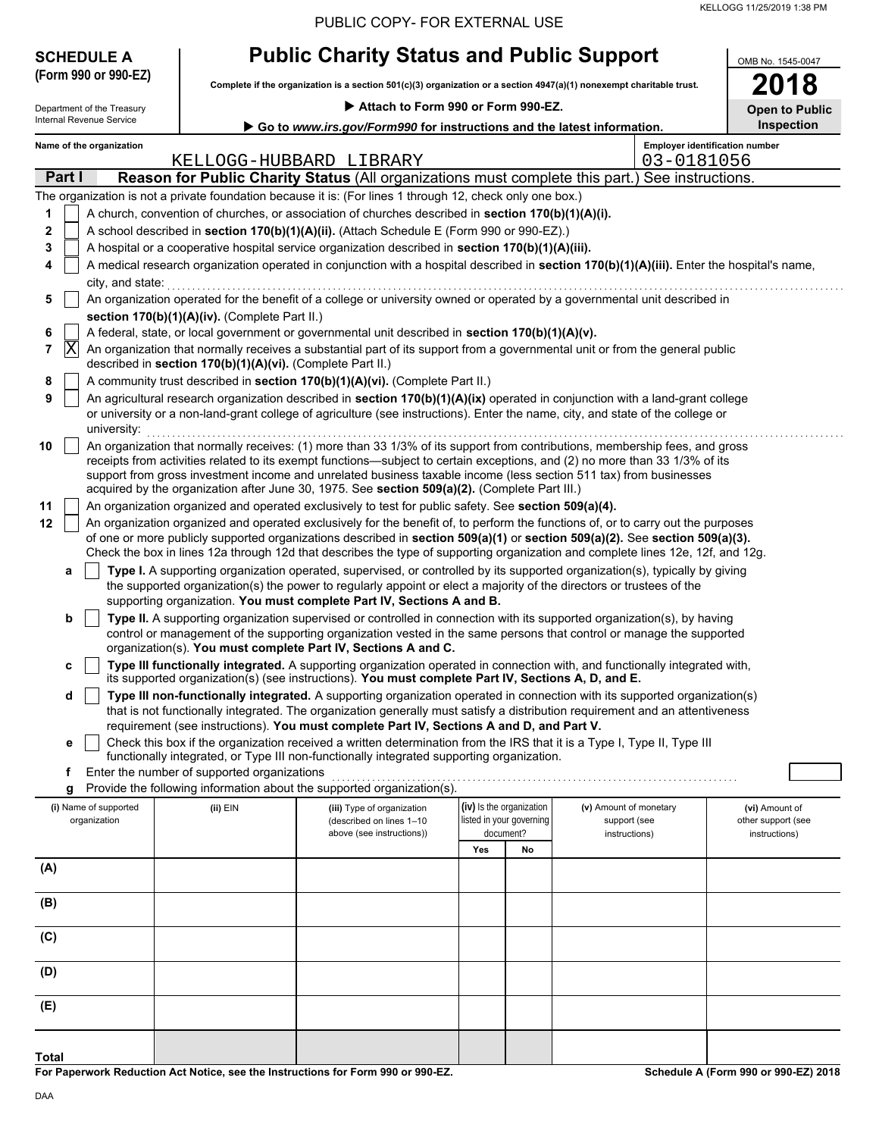| PUBLIC COPY- FOR EXTERNAL USE |
|-------------------------------|
|-------------------------------|

| <b>SCHEDULE A</b> |
|-------------------|
|-------------------|

# **Public Charity Status and Public Support**

**Complete if the organization is a section 501(c)(3) organization or a section 4947(a)(1) nonexempt charitable trust. (Form 990 or 990-EZ)**

| OMB No. 1545-0047     |
|-----------------------|
| 2018                  |
| <b>Open to Public</b> |

| Attach to Form 990 or Form 990-EZ.<br>Department of the Treasury |                                                                                                                                               |                                                            |                                                                                                                                                                                                                                                                                                                                                                                                                                                                                  |                                                      |    |                                        | <b>Open to Public</b> |                                       |
|------------------------------------------------------------------|-----------------------------------------------------------------------------------------------------------------------------------------------|------------------------------------------------------------|----------------------------------------------------------------------------------------------------------------------------------------------------------------------------------------------------------------------------------------------------------------------------------------------------------------------------------------------------------------------------------------------------------------------------------------------------------------------------------|------------------------------------------------------|----|----------------------------------------|-----------------------|---------------------------------------|
|                                                                  | Internal Revenue Service                                                                                                                      |                                                            | Go to www.irs.gov/Form990 for instructions and the latest information.                                                                                                                                                                                                                                                                                                                                                                                                           |                                                      |    |                                        |                       | <b>Inspection</b>                     |
|                                                                  | Name of the organization                                                                                                                      |                                                            | KELLOGG-HUBBARD LIBRARY                                                                                                                                                                                                                                                                                                                                                                                                                                                          |                                                      |    |                                        | 03-0181056            | <b>Employer identification number</b> |
| Part I                                                           |                                                                                                                                               |                                                            | Reason for Public Charity Status (All organizations must complete this part.) See instructions.                                                                                                                                                                                                                                                                                                                                                                                  |                                                      |    |                                        |                       |                                       |
|                                                                  |                                                                                                                                               |                                                            | The organization is not a private foundation because it is: (For lines 1 through 12, check only one box.)                                                                                                                                                                                                                                                                                                                                                                        |                                                      |    |                                        |                       |                                       |
| 1                                                                |                                                                                                                                               |                                                            | A church, convention of churches, or association of churches described in section 170(b)(1)(A)(i).                                                                                                                                                                                                                                                                                                                                                                               |                                                      |    |                                        |                       |                                       |
| 2                                                                |                                                                                                                                               |                                                            | A school described in section 170(b)(1)(A)(ii). (Attach Schedule E (Form 990 or 990-EZ).)                                                                                                                                                                                                                                                                                                                                                                                        |                                                      |    |                                        |                       |                                       |
| 3                                                                |                                                                                                                                               |                                                            | A hospital or a cooperative hospital service organization described in section 170(b)(1)(A)(iii).                                                                                                                                                                                                                                                                                                                                                                                |                                                      |    |                                        |                       |                                       |
| 4                                                                |                                                                                                                                               |                                                            | A medical research organization operated in conjunction with a hospital described in section 170(b)(1)(A)(iii). Enter the hospital's name,                                                                                                                                                                                                                                                                                                                                       |                                                      |    |                                        |                       |                                       |
|                                                                  |                                                                                                                                               |                                                            |                                                                                                                                                                                                                                                                                                                                                                                                                                                                                  |                                                      |    |                                        |                       |                                       |
| 5                                                                | city, and state:<br>An organization operated for the benefit of a college or university owned or operated by a governmental unit described in |                                                            |                                                                                                                                                                                                                                                                                                                                                                                                                                                                                  |                                                      |    |                                        |                       |                                       |
|                                                                  |                                                                                                                                               | section 170(b)(1)(A)(iv). (Complete Part II.)              |                                                                                                                                                                                                                                                                                                                                                                                                                                                                                  |                                                      |    |                                        |                       |                                       |
| 6<br> X <br>7                                                    |                                                                                                                                               |                                                            | A federal, state, or local government or governmental unit described in section 170(b)(1)(A)(v).<br>An organization that normally receives a substantial part of its support from a governmental unit or from the general public                                                                                                                                                                                                                                                 |                                                      |    |                                        |                       |                                       |
|                                                                  |                                                                                                                                               | described in section 170(b)(1)(A)(vi). (Complete Part II.) |                                                                                                                                                                                                                                                                                                                                                                                                                                                                                  |                                                      |    |                                        |                       |                                       |
| 8                                                                |                                                                                                                                               |                                                            | A community trust described in section 170(b)(1)(A)(vi). (Complete Part II.)                                                                                                                                                                                                                                                                                                                                                                                                     |                                                      |    |                                        |                       |                                       |
| 9                                                                | university:                                                                                                                                   |                                                            | An agricultural research organization described in section 170(b)(1)(A)(ix) operated in conjunction with a land-grant college<br>or university or a non-land-grant college of agriculture (see instructions). Enter the name, city, and state of the college or                                                                                                                                                                                                                  |                                                      |    |                                        |                       |                                       |
| 10                                                               |                                                                                                                                               |                                                            | An organization that normally receives: (1) more than 33 1/3% of its support from contributions, membership fees, and gross<br>receipts from activities related to its exempt functions—subject to certain exceptions, and (2) no more than 33 1/3% of its<br>support from gross investment income and unrelated business taxable income (less section 511 tax) from businesses<br>acquired by the organization after June 30, 1975. See section 509(a)(2). (Complete Part III.) |                                                      |    |                                        |                       |                                       |
| 11                                                               |                                                                                                                                               |                                                            | An organization organized and operated exclusively to test for public safety. See section 509(a)(4).                                                                                                                                                                                                                                                                                                                                                                             |                                                      |    |                                        |                       |                                       |
| 12                                                               |                                                                                                                                               |                                                            | An organization organized and operated exclusively for the benefit of, to perform the functions of, or to carry out the purposes                                                                                                                                                                                                                                                                                                                                                 |                                                      |    |                                        |                       |                                       |
|                                                                  |                                                                                                                                               |                                                            | of one or more publicly supported organizations described in section 509(a)(1) or section 509(a)(2). See section 509(a)(3).<br>Check the box in lines 12a through 12d that describes the type of supporting organization and complete lines 12e, 12f, and 12g.                                                                                                                                                                                                                   |                                                      |    |                                        |                       |                                       |
| а                                                                |                                                                                                                                               |                                                            | Type I. A supporting organization operated, supervised, or controlled by its supported organization(s), typically by giving                                                                                                                                                                                                                                                                                                                                                      |                                                      |    |                                        |                       |                                       |
|                                                                  |                                                                                                                                               |                                                            | the supported organization(s) the power to regularly appoint or elect a majority of the directors or trustees of the                                                                                                                                                                                                                                                                                                                                                             |                                                      |    |                                        |                       |                                       |
|                                                                  |                                                                                                                                               |                                                            | supporting organization. You must complete Part IV, Sections A and B.                                                                                                                                                                                                                                                                                                                                                                                                            |                                                      |    |                                        |                       |                                       |
| b                                                                |                                                                                                                                               |                                                            | Type II. A supporting organization supervised or controlled in connection with its supported organization(s), by having                                                                                                                                                                                                                                                                                                                                                          |                                                      |    |                                        |                       |                                       |
|                                                                  |                                                                                                                                               |                                                            | control or management of the supporting organization vested in the same persons that control or manage the supported                                                                                                                                                                                                                                                                                                                                                             |                                                      |    |                                        |                       |                                       |
|                                                                  |                                                                                                                                               |                                                            | organization(s). You must complete Part IV, Sections A and C.                                                                                                                                                                                                                                                                                                                                                                                                                    |                                                      |    |                                        |                       |                                       |
| c                                                                |                                                                                                                                               |                                                            | Type III functionally integrated. A supporting organization operated in connection with, and functionally integrated with,                                                                                                                                                                                                                                                                                                                                                       |                                                      |    |                                        |                       |                                       |
|                                                                  |                                                                                                                                               |                                                            | its supported organization(s) (see instructions). You must complete Part IV, Sections A, D, and E.                                                                                                                                                                                                                                                                                                                                                                               |                                                      |    |                                        |                       |                                       |
| d                                                                |                                                                                                                                               |                                                            | Type III non-functionally integrated. A supporting organization operated in connection with its supported organization(s)<br>that is not functionally integrated. The organization generally must satisfy a distribution requirement and an attentiveness                                                                                                                                                                                                                        |                                                      |    |                                        |                       |                                       |
|                                                                  |                                                                                                                                               |                                                            | requirement (see instructions). You must complete Part IV, Sections A and D, and Part V.                                                                                                                                                                                                                                                                                                                                                                                         |                                                      |    |                                        |                       |                                       |
|                                                                  |                                                                                                                                               |                                                            | Check this box if the organization received a written determination from the IRS that it is a Type I, Type II, Type III                                                                                                                                                                                                                                                                                                                                                          |                                                      |    |                                        |                       |                                       |
|                                                                  |                                                                                                                                               |                                                            | functionally integrated, or Type III non-functionally integrated supporting organization.                                                                                                                                                                                                                                                                                                                                                                                        |                                                      |    |                                        |                       |                                       |
| f                                                                |                                                                                                                                               | Enter the number of supported organizations                | Provide the following information about the supported organization(s).                                                                                                                                                                                                                                                                                                                                                                                                           |                                                      |    |                                        |                       |                                       |
| g                                                                |                                                                                                                                               |                                                            |                                                                                                                                                                                                                                                                                                                                                                                                                                                                                  |                                                      |    |                                        |                       |                                       |
|                                                                  | (i) Name of supported<br>organization                                                                                                         | $(ii)$ EIN                                                 | (iii) Type of organization<br>(described on lines 1-10                                                                                                                                                                                                                                                                                                                                                                                                                           | (iv) Is the organization<br>listed in your governing |    | (v) Amount of monetary<br>support (see |                       | (vi) Amount of<br>other support (see  |
|                                                                  |                                                                                                                                               |                                                            | above (see instructions))                                                                                                                                                                                                                                                                                                                                                                                                                                                        | document?                                            |    | instructions)                          |                       | instructions)                         |
|                                                                  |                                                                                                                                               |                                                            |                                                                                                                                                                                                                                                                                                                                                                                                                                                                                  | Yes                                                  | No |                                        |                       |                                       |
| (A)                                                              |                                                                                                                                               |                                                            |                                                                                                                                                                                                                                                                                                                                                                                                                                                                                  |                                                      |    |                                        |                       |                                       |
| (B)                                                              |                                                                                                                                               |                                                            |                                                                                                                                                                                                                                                                                                                                                                                                                                                                                  |                                                      |    |                                        |                       |                                       |
| (C)                                                              |                                                                                                                                               |                                                            |                                                                                                                                                                                                                                                                                                                                                                                                                                                                                  |                                                      |    |                                        |                       |                                       |
| (D)                                                              |                                                                                                                                               |                                                            |                                                                                                                                                                                                                                                                                                                                                                                                                                                                                  |                                                      |    |                                        |                       |                                       |
| (E)                                                              |                                                                                                                                               |                                                            |                                                                                                                                                                                                                                                                                                                                                                                                                                                                                  |                                                      |    |                                        |                       |                                       |
|                                                                  |                                                                                                                                               |                                                            |                                                                                                                                                                                                                                                                                                                                                                                                                                                                                  |                                                      |    |                                        |                       |                                       |
| <b>Total</b>                                                     |                                                                                                                                               |                                                            |                                                                                                                                                                                                                                                                                                                                                                                                                                                                                  |                                                      |    |                                        |                       |                                       |

**For Paperwork Reduction Act Notice, see the Instructions for Form 990 or 990-EZ.**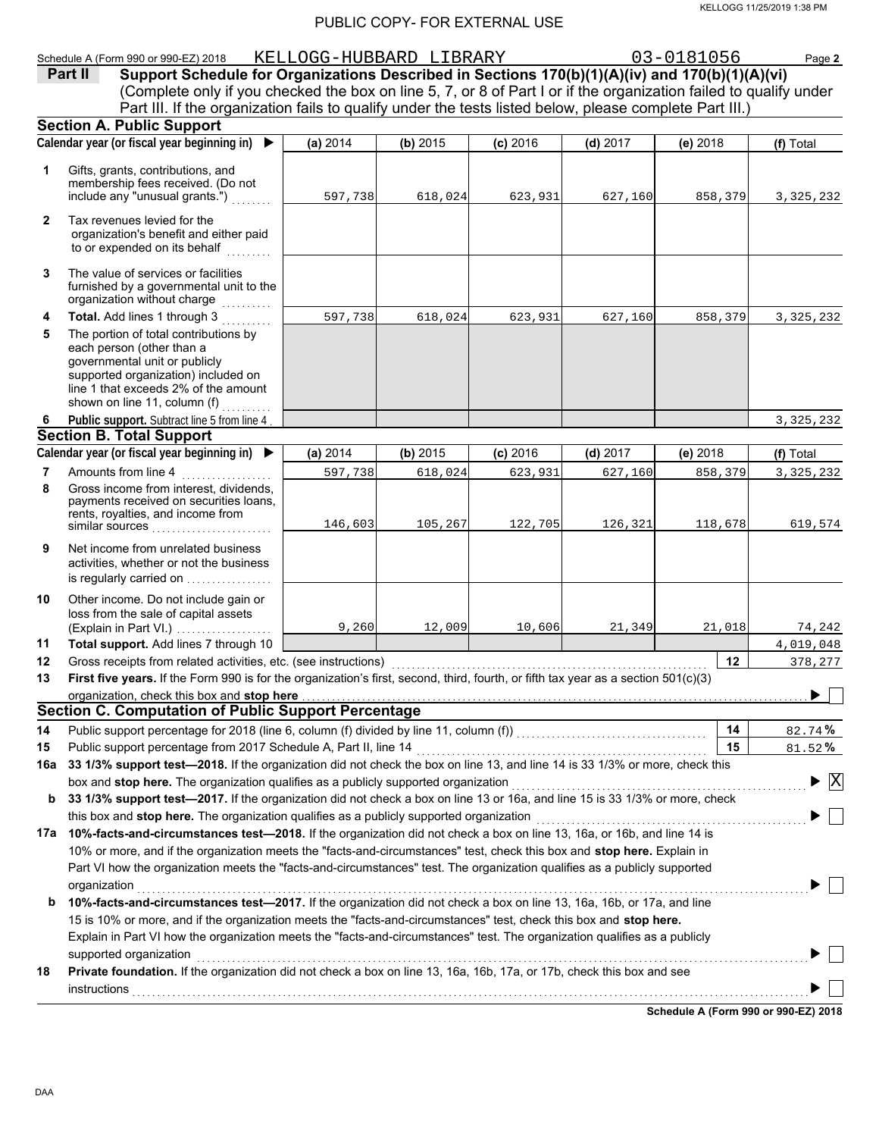#### KELLOGG 11/25/2019 1:38 PM

#### PUBLIC COPY- FOR EXTERNAL USE

#### Schedule A (Form 990 or 990-EZ) 2018 KELLOGG-HUBBARD LIBRARY 03-0181056 Page **2**

(Complete only if you checked the box on line 5, 7, or 8 of Part I or if the organization failed to qualify under **Part II Support Schedule for Organizations Described in Sections 170(b)(1)(A)(iv) and 170(b)(1)(A)(vi)** Part III. If the organization fails to qualify under the tests listed below, please complete Part III.)

|                | <b>Section A. Public Support</b>                                                                                                                                                                                                                                                                                                                                     |          |          |            |            |                                      |                                               |
|----------------|----------------------------------------------------------------------------------------------------------------------------------------------------------------------------------------------------------------------------------------------------------------------------------------------------------------------------------------------------------------------|----------|----------|------------|------------|--------------------------------------|-----------------------------------------------|
|                | Calendar year (or fiscal year beginning in)                                                                                                                                                                                                                                                                                                                          | (a) 2014 | (b) 2015 | $(c)$ 2016 | (d) $2017$ | $(e)$ 2018                           | (f) Total                                     |
| 1              | Gifts, grants, contributions, and<br>membership fees received. (Do not<br>include any "unusual grants.")                                                                                                                                                                                                                                                             | 597,738  | 618,024  | 623,931    | 627,160    | 858,379                              | 3, 325, 232                                   |
| $\overline{2}$ | Tax revenues levied for the<br>organization's benefit and either paid<br>to or expended on its behalf<br>.                                                                                                                                                                                                                                                           |          |          |            |            |                                      |                                               |
| 3              | The value of services or facilities<br>furnished by a governmental unit to the<br>organization without charge                                                                                                                                                                                                                                                        |          |          |            |            |                                      |                                               |
| 4              | Total. Add lines 1 through 3                                                                                                                                                                                                                                                                                                                                         | 597,738  | 618,024  | 623,931    | 627,160    | 858,379                              | 3, 325, 232                                   |
| 5              | The portion of total contributions by<br>each person (other than a<br>governmental unit or publicly<br>supported organization) included on<br>line 1 that exceeds 2% of the amount<br>shown on line 11, column (f)                                                                                                                                                   |          |          |            |            |                                      |                                               |
| 6              | Public support. Subtract line 5 from line 4                                                                                                                                                                                                                                                                                                                          |          |          |            |            |                                      | 3,325,232                                     |
|                | <b>Section B. Total Support</b>                                                                                                                                                                                                                                                                                                                                      |          |          |            |            |                                      |                                               |
|                | Calendar year (or fiscal year beginning in) $\blacktriangleright$                                                                                                                                                                                                                                                                                                    | (a) 2014 | (b) 2015 | $(c)$ 2016 | $(d)$ 2017 | $(e)$ 2018                           | (f) Total                                     |
| 7              | Amounts from line 4                                                                                                                                                                                                                                                                                                                                                  | 597,738  | 618,024  | 623,931    | 627,160    | 858,379                              | 3, 325, 232                                   |
| 8              | Gross income from interest, dividends,<br>payments received on securities loans,<br>rents, royalties, and income from<br>similar sources                                                                                                                                                                                                                             | 146,603  | 105,267  | 122,705    | 126,321    | 118,678                              | 619,574                                       |
| 9              | Net income from unrelated business<br>activities, whether or not the business<br>is regularly carried on                                                                                                                                                                                                                                                             |          |          |            |            |                                      |                                               |
| 10             | Other income. Do not include gain or<br>loss from the sale of capital assets<br>(Explain in Part VI.)                                                                                                                                                                                                                                                                | 9,260    | 12,009   | 10,606     | 21,349     | 21,018                               | 74,242                                        |
| 11             | Total support. Add lines 7 through 10                                                                                                                                                                                                                                                                                                                                |          |          |            |            |                                      | 4,019,048                                     |
| 12             | Gross receipts from related activities, etc. (see instructions) [11] content content content of the content of                                                                                                                                                                                                                                                       |          |          |            |            | 12                                   | 378,277                                       |
| 13             | First five years. If the Form 990 is for the organization's first, second, third, fourth, or fifth tax year as a section 501(c)(3)                                                                                                                                                                                                                                   |          |          |            |            |                                      |                                               |
|                | organization, check this box and stop here                                                                                                                                                                                                                                                                                                                           |          |          |            |            |                                      |                                               |
|                | <b>Section C. Computation of Public Support Percentage</b>                                                                                                                                                                                                                                                                                                           |          |          |            |            |                                      |                                               |
| 14             |                                                                                                                                                                                                                                                                                                                                                                      |          |          |            |            | 14                                   | 82.74%                                        |
| 15             |                                                                                                                                                                                                                                                                                                                                                                      |          |          |            |            | 15                                   | 81.52%                                        |
|                | 16a 33 1/3% support test-2018. If the organization did not check the box on line 13, and line 14 is 33 1/3% or more, check this                                                                                                                                                                                                                                      |          |          |            |            |                                      |                                               |
|                | box and stop here. The organization qualifies as a publicly supported organization                                                                                                                                                                                                                                                                                   |          |          |            |            |                                      | $\blacktriangleright$ $\overline{\mathrm{X}}$ |
|                | b 33 1/3% support test-2017. If the organization did not check a box on line 13 or 16a, and line 15 is 33 1/3% or more, check<br>this box and stop here. The organization qualifies as a publicly supported organization <b>conservation</b> entertained the state of the conservation of the state of the state of the conservation of the state of the state of th |          |          |            |            |                                      |                                               |
|                | 17a 10%-facts-and-circumstances test-2018. If the organization did not check a box on line 13, 16a, or 16b, and line 14 is                                                                                                                                                                                                                                           |          |          |            |            |                                      |                                               |
|                | 10% or more, and if the organization meets the "facts-and-circumstances" test, check this box and stop here. Explain in                                                                                                                                                                                                                                              |          |          |            |            |                                      |                                               |
|                | Part VI how the organization meets the "facts-and-circumstances" test. The organization qualifies as a publicly supported                                                                                                                                                                                                                                            |          |          |            |            |                                      |                                               |
|                | organization                                                                                                                                                                                                                                                                                                                                                         |          |          |            |            |                                      |                                               |
| b              | 10%-facts-and-circumstances test-2017. If the organization did not check a box on line 13, 16a, 16b, or 17a, and line                                                                                                                                                                                                                                                |          |          |            |            |                                      |                                               |
|                | 15 is 10% or more, and if the organization meets the "facts-and-circumstances" test, check this box and stop here.                                                                                                                                                                                                                                                   |          |          |            |            |                                      |                                               |
|                | Explain in Part VI how the organization meets the "facts-and-circumstances" test. The organization qualifies as a publicly                                                                                                                                                                                                                                           |          |          |            |            |                                      |                                               |
|                |                                                                                                                                                                                                                                                                                                                                                                      |          |          |            |            |                                      |                                               |
| 18             | Private foundation. If the organization did not check a box on line 13, 16a, 16b, 17a, or 17b, check this box and see                                                                                                                                                                                                                                                |          |          |            |            |                                      |                                               |
|                | <b>instructions</b>                                                                                                                                                                                                                                                                                                                                                  |          |          |            |            |                                      |                                               |
|                |                                                                                                                                                                                                                                                                                                                                                                      |          |          |            |            | 0-b-dule A (E-mi) 000 - 000 EZ) 0040 |                                               |

**Schedule A (Form 990 or 990-EZ) 2018**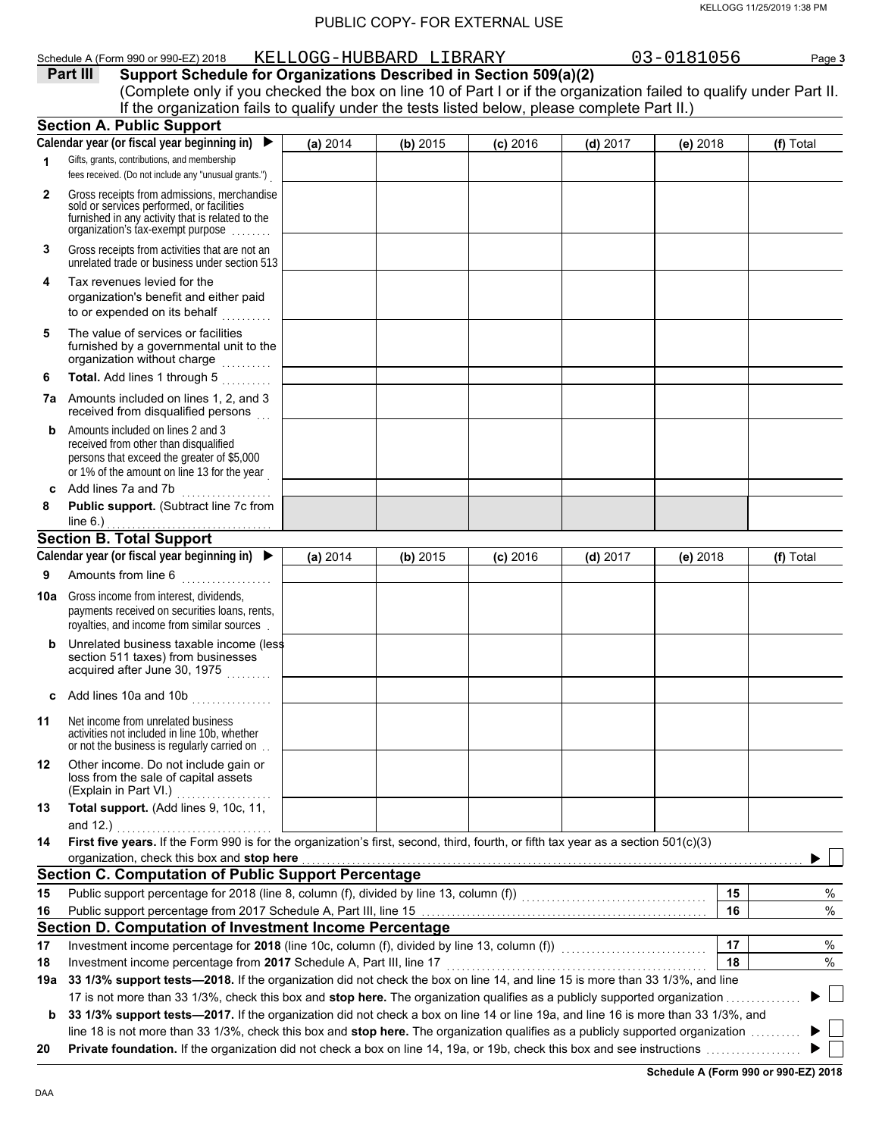|     | Schedule A (Form 990 or 990-EZ) 2018                                                                                                                                                                                                                                 |          | KELLOGG-HUBBARD LIBRARY |            |            | 03-0181056 | Page 3    |
|-----|----------------------------------------------------------------------------------------------------------------------------------------------------------------------------------------------------------------------------------------------------------------------|----------|-------------------------|------------|------------|------------|-----------|
|     | Support Schedule for Organizations Described in Section 509(a)(2)<br>Part III                                                                                                                                                                                        |          |                         |            |            |            |           |
|     | (Complete only if you checked the box on line 10 of Part I or if the organization failed to qualify under Part II.                                                                                                                                                   |          |                         |            |            |            |           |
|     | If the organization fails to qualify under the tests listed below, please complete Part II.)                                                                                                                                                                         |          |                         |            |            |            |           |
|     | <b>Section A. Public Support</b>                                                                                                                                                                                                                                     |          |                         |            |            |            |           |
|     | Calendar year (or fiscal year beginning in)                                                                                                                                                                                                                          | (a) 2014 | (b) 2015                | $(c)$ 2016 | $(d)$ 2017 | (e) 2018   | (f) Total |
| 1   | Gifts, grants, contributions, and membership<br>fees received. (Do not include any "unusual grants.")                                                                                                                                                                |          |                         |            |            |            |           |
| 2   | Gross receipts from admissions, merchandise<br>sold or services performed, or facilities<br>furnished in any activity that is related to the<br>organization's fax-exempt purpose                                                                                    |          |                         |            |            |            |           |
| 3   | Gross receipts from activities that are not an<br>unrelated trade or business under section 513                                                                                                                                                                      |          |                         |            |            |            |           |
| 4   | Tax revenues levied for the<br>organization's benefit and either paid<br>to or expended on its behalf                                                                                                                                                                |          |                         |            |            |            |           |
| 5   | The value of services or facilities<br>furnished by a governmental unit to the<br>organization without charge                                                                                                                                                        |          |                         |            |            |            |           |
| 6   | Total. Add lines 1 through 5                                                                                                                                                                                                                                         |          |                         |            |            |            |           |
|     | 7a Amounts included on lines 1, 2, and 3<br>received from disqualified persons                                                                                                                                                                                       |          |                         |            |            |            |           |
| b   | Amounts included on lines 2 and 3<br>received from other than disqualified<br>persons that exceed the greater of \$5,000<br>or 1% of the amount on line 13 for the year                                                                                              |          |                         |            |            |            |           |
| C   | Add lines 7a and 7b<br>.                                                                                                                                                                                                                                             |          |                         |            |            |            |           |
| 8   | Public support. (Subtract line 7c from                                                                                                                                                                                                                               |          |                         |            |            |            |           |
|     | line $6.$ )                                                                                                                                                                                                                                                          |          |                         |            |            |            |           |
|     | <b>Section B. Total Support</b>                                                                                                                                                                                                                                      |          |                         |            |            |            |           |
|     | Calendar year (or fiscal year beginning in) $\blacktriangleright$                                                                                                                                                                                                    | (a) 2014 | $(b)$ 2015              | $(c)$ 2016 | $(d)$ 2017 | $(e)$ 2018 | (f) Total |
| 9   | Amounts from line 6                                                                                                                                                                                                                                                  |          |                         |            |            |            |           |
|     | <b>10a</b> Gross income from interest, dividends,<br>payments received on securities loans, rents,<br>royalties, and income from similar sources                                                                                                                     |          |                         |            |            |            |           |
| b   | Unrelated business taxable income (less<br>section 511 taxes) from businesses<br>acquired after June 30, 1975                                                                                                                                                        |          |                         |            |            |            |           |
| c   | Add lines 10a and 10b<br>.                                                                                                                                                                                                                                           |          |                         |            |            |            |           |
| 11  | Net income from unrelated business<br>activities not included in line 10b, whether<br>or not the business is regularly carried on                                                                                                                                    |          |                         |            |            |            |           |
| 12  | Other income. Do not include gain or<br>loss from the sale of capital assets<br>(Explain in Part VI.)                                                                                                                                                                |          |                         |            |            |            |           |
| 13  | Total support. (Add lines 9, 10c, 11,                                                                                                                                                                                                                                |          |                         |            |            |            |           |
|     | and 12.) $\ldots$                                                                                                                                                                                                                                                    |          |                         |            |            |            |           |
| 14  | First five years. If the Form 990 is for the organization's first, second, third, fourth, or fifth tax year as a section 501(c)(3)<br>organization, check this box and stop here                                                                                     |          |                         |            |            |            |           |
|     | <b>Section C. Computation of Public Support Percentage</b>                                                                                                                                                                                                           |          |                         |            |            |            |           |
| 15  | Public support percentage for 2018 (line 8, column (f), divided by line 13, column (f)) [[[[[[[[[[[[[[[[[[[[[                                                                                                                                                        |          |                         |            |            | 15         | %         |
| 16  |                                                                                                                                                                                                                                                                      |          |                         |            |            | 16         | $\%$      |
|     | Section D. Computation of Investment Income Percentage                                                                                                                                                                                                               |          |                         |            |            |            |           |
| 17  | Investment income percentage for 2018 (line 10c, column (f), divided by line 13, column (f)) [[[[[[[[[[[[[[[[                                                                                                                                                        |          |                         |            |            | 17         | %         |
| 18  |                                                                                                                                                                                                                                                                      |          |                         |            |            | 18         | %         |
| 19a | 33 1/3% support tests-2018. If the organization did not check the box on line 14, and line 15 is more than 33 1/3%, and line                                                                                                                                         |          |                         |            |            |            |           |
|     | 17 is not more than 33 1/3%, check this box and stop here. The organization qualifies as a publicly supported organization                                                                                                                                           |          |                         |            |            |            |           |
|     | 33 1/3% support tests-2017. If the organization did not check a box on line 14 or line 19a, and line 16 is more than 33 1/3%, and<br>line 18 is not more than 33 1/3%, check this box and stop here. The organization qualifies as a publicly supported organization |          |                         |            |            |            |           |
|     |                                                                                                                                                                                                                                                                      |          |                         |            |            |            |           |

line 18 is not more than 33 1/3%, check this box and **stop here.** The organization qualifies as a publicly supported organization . . . . . . . . . .

**20 Private foundation.** If the organization did not check a box on line 14, 19a, or 19b, check this box and see instructions . . . . . . . . . . . . . . . . . . .

**Schedule A (Form 990 or 990-EZ) 2018**

 $\blacktriangleright$  $\blacktriangleright$   $\mid \; \; \mid$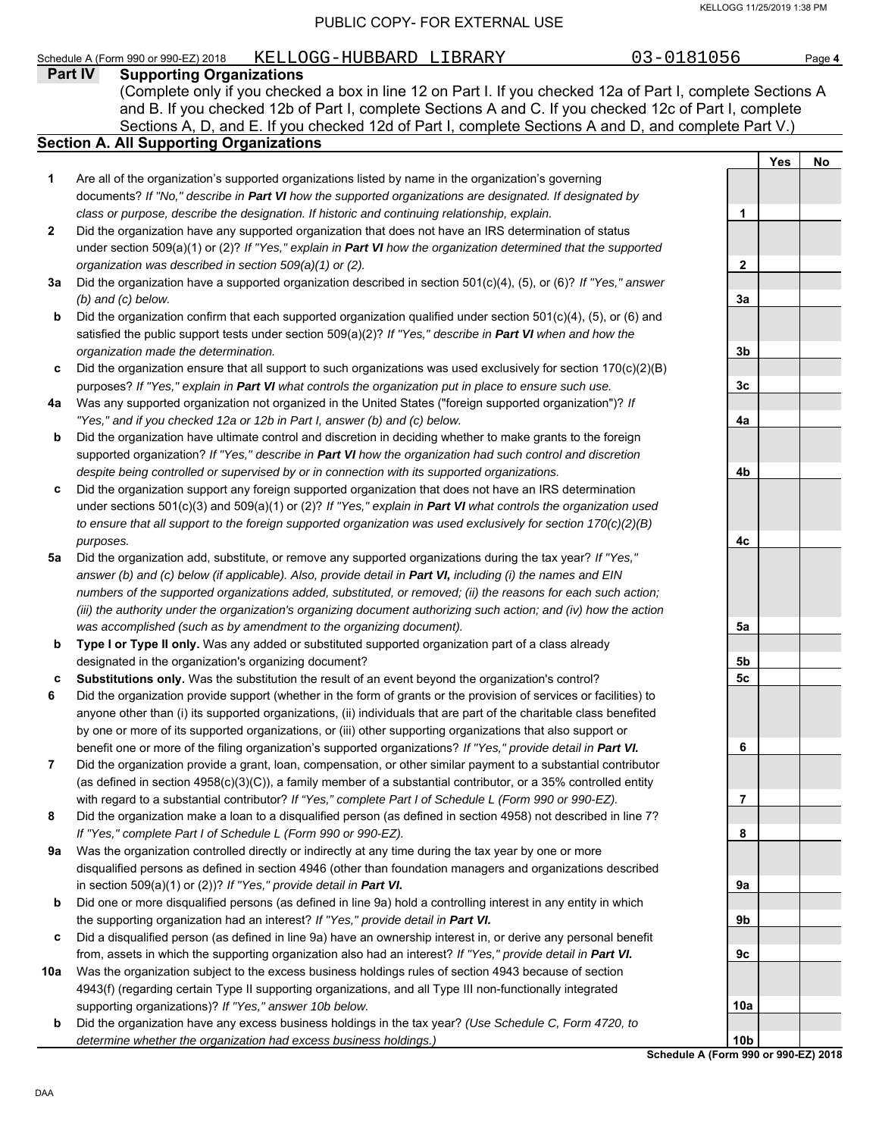#### Schedule A (Form 990 or 990-EZ) 2018 KELLOGG-HUBBARD LIBRARY 03-0181056 Page 4

|     | Part IV<br><b>Supporting Organizations</b>                                                                                                                                                           |                 |            |    |
|-----|------------------------------------------------------------------------------------------------------------------------------------------------------------------------------------------------------|-----------------|------------|----|
|     | (Complete only if you checked a box in line 12 on Part I. If you checked 12a of Part I, complete Sections A                                                                                          |                 |            |    |
|     | and B. If you checked 12b of Part I, complete Sections A and C. If you checked 12c of Part I, complete                                                                                               |                 |            |    |
|     | Sections A, D, and E. If you checked 12d of Part I, complete Sections A and D, and complete Part V.)                                                                                                 |                 |            |    |
|     | <b>Section A. All Supporting Organizations</b>                                                                                                                                                       |                 |            |    |
|     |                                                                                                                                                                                                      |                 | <b>Yes</b> | No |
| 1   | Are all of the organization's supported organizations listed by name in the organization's governing                                                                                                 |                 |            |    |
|     | documents? If "No," describe in Part VI how the supported organizations are designated. If designated by                                                                                             |                 |            |    |
|     | class or purpose, describe the designation. If historic and continuing relationship, explain.                                                                                                        | 1               |            |    |
| 2   | Did the organization have any supported organization that does not have an IRS determination of status                                                                                               |                 |            |    |
|     | under section 509(a)(1) or (2)? If "Yes," explain in Part VI how the organization determined that the supported                                                                                      |                 |            |    |
|     | organization was described in section 509(a)(1) or (2).                                                                                                                                              | $\mathbf{2}$    |            |    |
| За  | Did the organization have a supported organization described in section 501(c)(4), (5), or (6)? If "Yes," answer                                                                                     | 3a              |            |    |
| b   | $(b)$ and $(c)$ below.<br>Did the organization confirm that each supported organization qualified under section 501(c)(4), (5), or (6) and                                                           |                 |            |    |
|     | satisfied the public support tests under section 509(a)(2)? If "Yes," describe in Part VI when and how the                                                                                           |                 |            |    |
|     | organization made the determination.                                                                                                                                                                 | 3b              |            |    |
| c   | Did the organization ensure that all support to such organizations was used exclusively for section $170(c)(2)(B)$                                                                                   |                 |            |    |
|     | purposes? If "Yes," explain in Part VI what controls the organization put in place to ensure such use.                                                                                               | 3c              |            |    |
| 4a  | Was any supported organization not organized in the United States ("foreign supported organization")? If                                                                                             |                 |            |    |
|     | "Yes," and if you checked 12a or 12b in Part I, answer (b) and (c) below.                                                                                                                            | 4a              |            |    |
| b   | Did the organization have ultimate control and discretion in deciding whether to make grants to the foreign                                                                                          |                 |            |    |
|     | supported organization? If "Yes," describe in Part VI how the organization had such control and discretion                                                                                           |                 |            |    |
|     | despite being controlled or supervised by or in connection with its supported organizations.                                                                                                         | 4b              |            |    |
| c   | Did the organization support any foreign supported organization that does not have an IRS determination                                                                                              |                 |            |    |
|     | under sections 501(c)(3) and 509(a)(1) or (2)? If "Yes," explain in Part VI what controls the organization used                                                                                      |                 |            |    |
|     | to ensure that all support to the foreign supported organization was used exclusively for section $170(c)(2)(B)$                                                                                     |                 |            |    |
|     | purposes.                                                                                                                                                                                            | 4с              |            |    |
| 5a  | Did the organization add, substitute, or remove any supported organizations during the tax year? If "Yes,"                                                                                           |                 |            |    |
|     | answer (b) and (c) below (if applicable). Also, provide detail in Part VI, including (i) the names and EIN                                                                                           |                 |            |    |
|     | numbers of the supported organizations added, substituted, or removed; (ii) the reasons for each such action;                                                                                        |                 |            |    |
|     | (iii) the authority under the organization's organizing document authorizing such action; and (iv) how the action                                                                                    |                 |            |    |
| b   | was accomplished (such as by amendment to the organizing document).<br>Type I or Type II only. Was any added or substituted supported organization part of a class already                           | 5a              |            |    |
|     | designated in the organization's organizing document?                                                                                                                                                | 5b              |            |    |
| c   | Substitutions only. Was the substitution the result of an event beyond the organization's control?                                                                                                   | 5c              |            |    |
| 6   | Did the organization provide support (whether in the form of grants or the provision of services or facilities) to                                                                                   |                 |            |    |
|     | anyone other than (i) its supported organizations, (ii) individuals that are part of the charitable class benefited                                                                                  |                 |            |    |
|     | by one or more of its supported organizations, or (iii) other supporting organizations that also support or                                                                                          |                 |            |    |
|     | benefit one or more of the filing organization's supported organizations? If "Yes," provide detail in Part VI.                                                                                       | 6               |            |    |
| 7   | Did the organization provide a grant, loan, compensation, or other similar payment to a substantial contributor                                                                                      |                 |            |    |
|     | (as defined in section 4958(c)(3)(C)), a family member of a substantial contributor, or a 35% controlled entity                                                                                      |                 |            |    |
|     | with regard to a substantial contributor? If "Yes," complete Part I of Schedule L (Form 990 or 990-EZ).                                                                                              | 7               |            |    |
| 8   | Did the organization make a loan to a disqualified person (as defined in section 4958) not described in line 7?                                                                                      |                 |            |    |
|     | If "Yes," complete Part I of Schedule L (Form 990 or 990-EZ).                                                                                                                                        | 8               |            |    |
| 9а  | Was the organization controlled directly or indirectly at any time during the tax year by one or more                                                                                                |                 |            |    |
|     | disqualified persons as defined in section 4946 (other than foundation managers and organizations described                                                                                          |                 |            |    |
|     | in section 509(a)(1) or (2))? If "Yes," provide detail in Part VI.                                                                                                                                   | 9a              |            |    |
| b   | Did one or more disqualified persons (as defined in line 9a) hold a controlling interest in any entity in which                                                                                      |                 |            |    |
|     | the supporting organization had an interest? If "Yes," provide detail in Part VI.<br>Did a disqualified person (as defined in line 9a) have an ownership interest in, or derive any personal benefit | 9b              |            |    |
| c   | from, assets in which the supporting organization also had an interest? If "Yes," provide detail in Part VI.                                                                                         | 9c              |            |    |
| 10a | Was the organization subject to the excess business holdings rules of section 4943 because of section                                                                                                |                 |            |    |
|     | 4943(f) (regarding certain Type II supporting organizations, and all Type III non-functionally integrated                                                                                            |                 |            |    |
|     | supporting organizations)? If "Yes," answer 10b below.                                                                                                                                               | 10a             |            |    |
| b   | Did the organization have any excess business holdings in the tax year? (Use Schedule C, Form 4720, to                                                                                               |                 |            |    |
|     | determine whether the organization had excess business holdings.)                                                                                                                                    | 10 <sub>b</sub> |            |    |

**Schedule A (Form 990 or 990-EZ) 2018**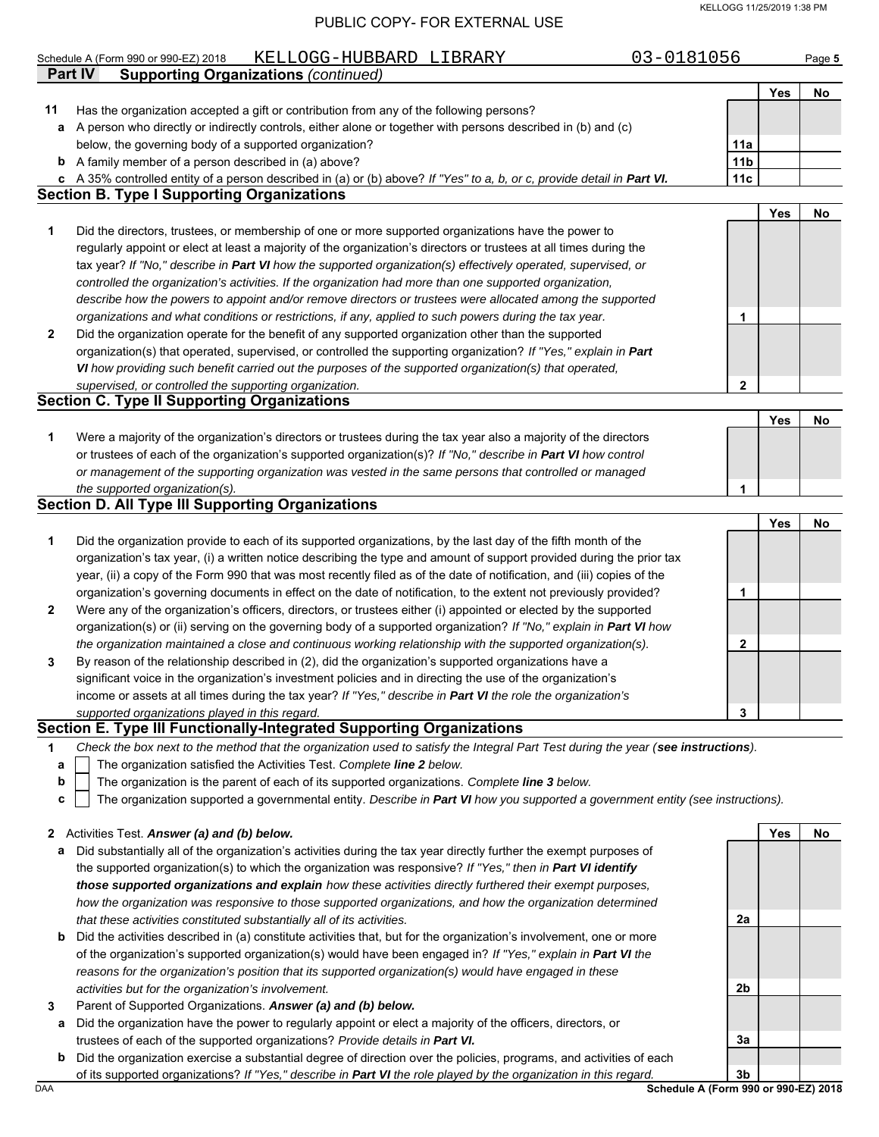#### KELLOGG 11/25/2019 1:38 PM

#### PUBLIC COPY- FOR EXTERNAL USE

|    | 03-0181056<br>KELLOGG-HUBBARD LIBRARY<br>Schedule A (Form 990 or 990-EZ) 2018                                                     |                 |     | Page 5 |
|----|-----------------------------------------------------------------------------------------------------------------------------------|-----------------|-----|--------|
|    | <b>Part IV</b><br><b>Supporting Organizations (continued)</b>                                                                     |                 |     |        |
|    |                                                                                                                                   |                 | Yes | No     |
| 11 | Has the organization accepted a gift or contribution from any of the following persons?                                           |                 |     |        |
| а  | A person who directly or indirectly controls, either alone or together with persons described in (b) and (c)                      |                 |     |        |
|    | below, the governing body of a supported organization?                                                                            | 11a             |     |        |
|    | <b>b</b> A family member of a person described in (a) above?                                                                      | 11 <sub>b</sub> |     |        |
|    | c A 35% controlled entity of a person described in (a) or (b) above? If "Yes" to a, b, or c, provide detail in Part VI.           | 11c             |     |        |
|    | <b>Section B. Type I Supporting Organizations</b>                                                                                 |                 |     |        |
|    |                                                                                                                                   |                 | Yes | No     |
| 1  | Did the directors, trustees, or membership of one or more supported organizations have the power to                               |                 |     |        |
|    | regularly appoint or elect at least a majority of the organization's directors or trustees at all times during the                |                 |     |        |
|    | tax year? If "No," describe in Part VI how the supported organization(s) effectively operated, supervised, or                     |                 |     |        |
|    | controlled the organization's activities. If the organization had more than one supported organization,                           |                 |     |        |
|    | describe how the powers to appoint and/or remove directors or trustees were allocated among the supported                         |                 |     |        |
|    | organizations and what conditions or restrictions, if any, applied to such powers during the tax year.                            | 1               |     |        |
| 2  | Did the organization operate for the benefit of any supported organization other than the supported                               |                 |     |        |
|    | organization(s) that operated, supervised, or controlled the supporting organization? If "Yes," explain in Part                   |                 |     |        |
|    | VI how providing such benefit carried out the purposes of the supported organization(s) that operated,                            |                 |     |        |
|    | supervised, or controlled the supporting organization.                                                                            | $\mathbf 2$     |     |        |
|    | <b>Section C. Type II Supporting Organizations</b>                                                                                |                 |     |        |
|    |                                                                                                                                   |                 | Yes | No     |
| 1  | Were a majority of the organization's directors or trustees during the tax year also a majority of the directors                  |                 |     |        |
|    | or trustees of each of the organization's supported organization(s)? If "No," describe in Part VI how control                     |                 |     |        |
|    | or management of the supporting organization was vested in the same persons that controlled or managed                            |                 |     |        |
|    | the supported organization(s).                                                                                                    | 1               |     |        |
|    | <b>Section D. All Type III Supporting Organizations</b>                                                                           |                 |     |        |
|    |                                                                                                                                   |                 | Yes | No     |
| 1  | Did the organization provide to each of its supported organizations, by the last day of the fifth month of the                    |                 |     |        |
|    | organization's tax year, (i) a written notice describing the type and amount of support provided during the prior tax             |                 |     |        |
|    | year, (ii) a copy of the Form 990 that was most recently filed as of the date of notification, and (iii) copies of the            |                 |     |        |
|    | organization's governing documents in effect on the date of notification, to the extent not previously provided?                  | 1               |     |        |
| 2  | Were any of the organization's officers, directors, or trustees either (i) appointed or elected by the supported                  |                 |     |        |
|    | organization(s) or (ii) serving on the governing body of a supported organization? If "No," explain in Part VI how                |                 |     |        |
|    | the organization maintained a close and continuous working relationship with the supported organization(s).                       | 2               |     |        |
| 3  | By reason of the relationship described in (2), did the organization's supported organizations have a                             |                 |     |        |
|    | significant voice in the organization's investment policies and in directing the use of the organization's                        |                 |     |        |
|    | income or assets at all times during the tax year? If "Yes," describe in Part VI the role the organization's                      |                 |     |        |
|    | supported organizations played in this regard.                                                                                    | 3               |     |        |
|    | Section E. Type III Functionally-Integrated Supporting Organizations                                                              |                 |     |        |
| 1. | Check the box next to the method that the organization used to satisfy the Integral Part Test during the year (see instructions). |                 |     |        |
| а  | The organization satisfied the Activities Test. Complete line 2 below.                                                            |                 |     |        |
| b  | The organization is the parent of each of its supported organizations. Complete line 3 below.                                     |                 |     |        |
| c  | The organization supported a governmental entity. Describe in Part VI how you supported a government entity (see instructions).   |                 |     |        |
|    | 2 Activities Test. Answer (a) and (b) below.                                                                                      |                 | Yes | No     |
| а  | Did substantially all of the organization's activities during the tax year directly further the exempt purposes of                |                 |     |        |
|    | the supported organization(s) to which the organization was responsive? If "Yes," then in Part VI identify                        |                 |     |        |
|    | those supported organizations and explain how these activities directly furthered their exempt purposes,                          |                 |     |        |
|    | how the organization was responsive to those supported organizations, and how the organization determined                         |                 |     |        |
|    | that these activities constituted substantially all of its activities.                                                            | 2a              |     |        |

- **b** Did the activities described in (a) constitute activities that, but for the organization's involvement, one or more of the organization's supported organization(s) would have been engaged in? *If "Yes," explain in Part VI the reasons for the organization's position that its supported organization(s) would have engaged in these activities but for the organization's involvement.*
- **3** Parent of Supported Organizations. *Answer (a) and (b) below.*
- **a** Did the organization have the power to regularly appoint or elect a majority of the officers, directors, or trustees of each of the supported organizations? *Provide details in Part VI.*
- **b** Did the organization exercise a substantial degree of direction over the policies, programs, and activities of each of its supported organizations? *If "Yes," describe in Part VI the role played by the organization in this regard.*

DAA **Schedule A (Form 990 or 990-EZ) 2018 3b**

**2b**

**3a**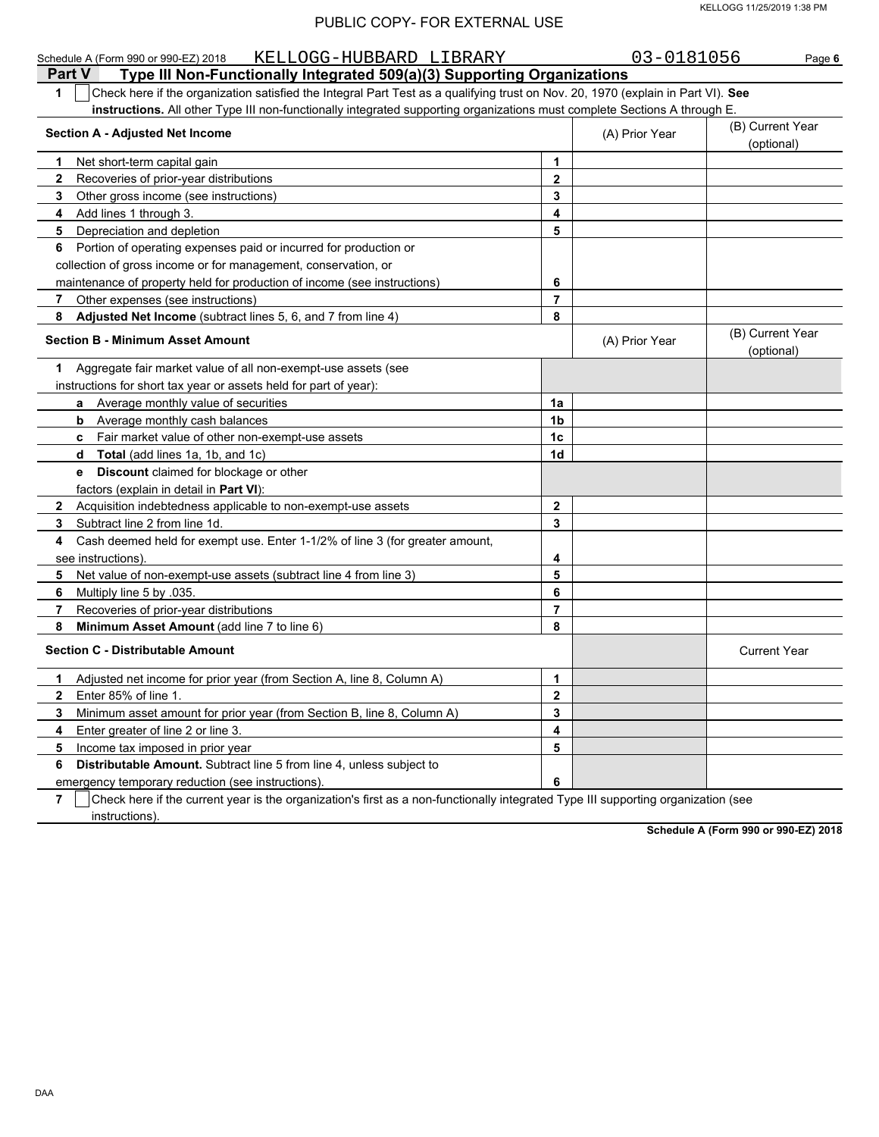| KELLOGG-HUBBARD LIBRARY<br>Schedule A (Form 990 or 990-EZ) 2018<br>Part V<br>Type III Non-Functionally Integrated 509(a)(3) Supporting Organizations |                | 03-0181056     | Page 6                         |
|------------------------------------------------------------------------------------------------------------------------------------------------------|----------------|----------------|--------------------------------|
| Check here if the organization satisfied the Integral Part Test as a qualifying trust on Nov. 20, 1970 (explain in Part VI). See<br>1                |                |                |                                |
| instructions. All other Type III non-functionally integrated supporting organizations must complete Sections A through E.                            |                |                |                                |
| <b>Section A - Adjusted Net Income</b>                                                                                                               |                | (A) Prior Year | (B) Current Year<br>(optional) |
| Net short-term capital gain<br>1.                                                                                                                    | 1              |                |                                |
| $\mathbf{2}$<br>Recoveries of prior-year distributions                                                                                               | $\mathbf{2}$   |                |                                |
| 3<br>Other gross income (see instructions)                                                                                                           | 3              |                |                                |
| Add lines 1 through 3.<br>4                                                                                                                          | 4              |                |                                |
| 5<br>Depreciation and depletion                                                                                                                      | 5              |                |                                |
| Portion of operating expenses paid or incurred for production or<br>6                                                                                |                |                |                                |
| collection of gross income or for management, conservation, or                                                                                       |                |                |                                |
| maintenance of property held for production of income (see instructions)                                                                             | 6              |                |                                |
| Other expenses (see instructions)<br>7                                                                                                               | 7              |                |                                |
| Adjusted Net Income (subtract lines 5, 6, and 7 from line 4)<br>8                                                                                    | 8              |                |                                |
| <b>Section B - Minimum Asset Amount</b>                                                                                                              |                | (A) Prior Year | (B) Current Year<br>(optional) |
| Aggregate fair market value of all non-exempt-use assets (see<br>1.                                                                                  |                |                |                                |
| instructions for short tax year or assets held for part of year):                                                                                    |                |                |                                |
| a Average monthly value of securities                                                                                                                | 1a             |                |                                |
| Average monthly cash balances<br>b                                                                                                                   | 1 <sub>b</sub> |                |                                |
| c Fair market value of other non-exempt-use assets                                                                                                   | 1 <sub>c</sub> |                |                                |
| Total (add lines 1a, 1b, and 1c)<br>d                                                                                                                | 1 <sub>d</sub> |                |                                |
| Discount claimed for blockage or other<br>е                                                                                                          |                |                |                                |
| factors (explain in detail in Part VI):                                                                                                              |                |                |                                |
| $\mathbf{2}$<br>Acquisition indebtedness applicable to non-exempt-use assets                                                                         | $\mathbf{2}$   |                |                                |
| Subtract line 2 from line 1d.<br>3                                                                                                                   | 3              |                |                                |
| Cash deemed held for exempt use. Enter 1-1/2% of line 3 (for greater amount,<br>4                                                                    |                |                |                                |
| see instructions).                                                                                                                                   | 4              |                |                                |
| Net value of non-exempt-use assets (subtract line 4 from line 3)<br>5.                                                                               | 5              |                |                                |
| Multiply line 5 by .035.<br>6                                                                                                                        | 6              |                |                                |
| 7<br>Recoveries of prior-year distributions                                                                                                          | 7              |                |                                |
| Minimum Asset Amount (add line 7 to line 6)<br>8                                                                                                     | 8              |                |                                |
| <b>Section C - Distributable Amount</b>                                                                                                              |                |                | <b>Current Year</b>            |
| Adjusted net income for prior year (from Section A, line 8, Column A)<br>1                                                                           | 1              |                |                                |
| Enter 85% of line 1.<br>$\mathbf{2}$                                                                                                                 | $\mathbf 2$    |                |                                |
| Minimum asset amount for prior year (from Section B, line 8, Column A)<br>3                                                                          | 3              |                |                                |
| Enter greater of line 2 or line 3.<br>4                                                                                                              | 4              |                |                                |
| 5<br>Income tax imposed in prior year                                                                                                                | 5              |                |                                |
| 6<br>Distributable Amount. Subtract line 5 from line 4, unless subject to                                                                            |                |                |                                |
| emergency temporary reduction (see instructions).                                                                                                    | 6              |                |                                |

**7** instructions). Check here if the current year is the organization's first as a non-functionally integrated Type III supporting organization (see

**Schedule A (Form 990 or 990-EZ) 2018**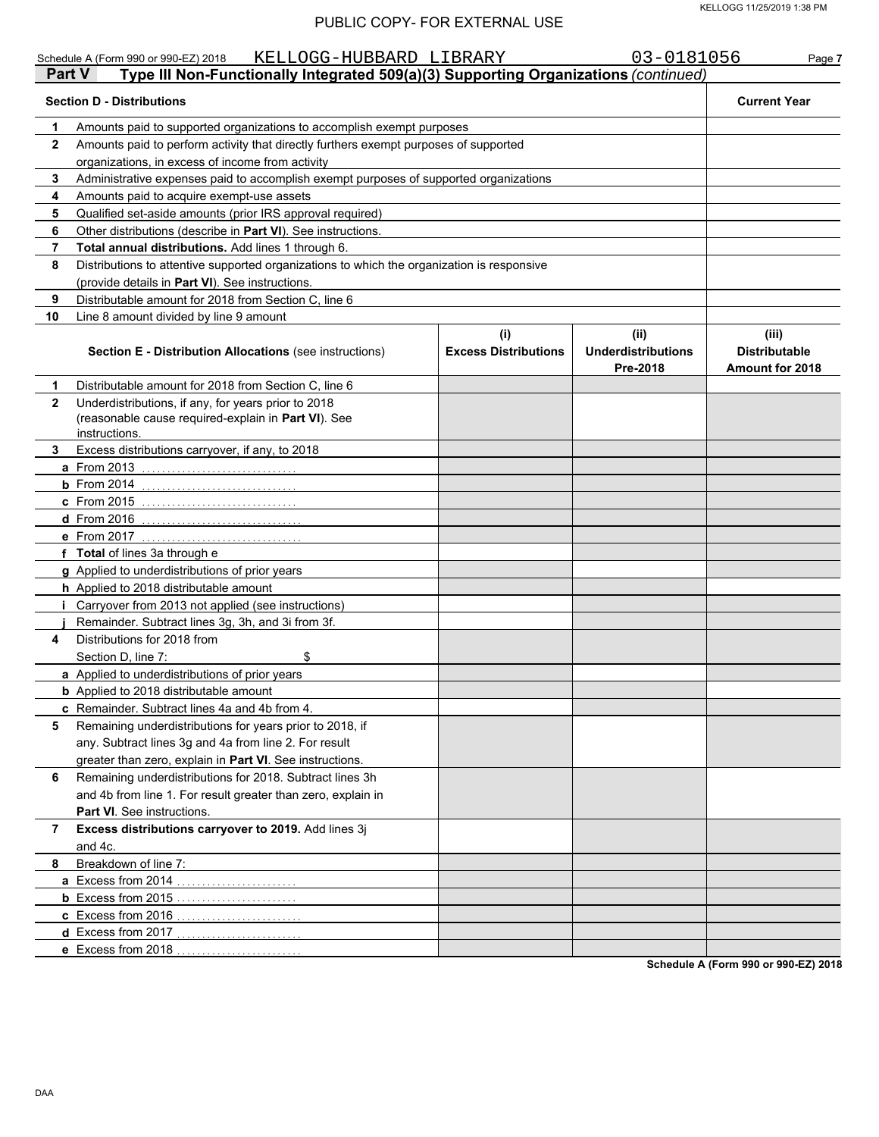|                | KELLOGG-HUBBARD LIBRARY<br>Schedule A (Form 990 or 990-EZ) 2018<br>Type III Non-Functionally Integrated 509(a)(3) Supporting Organizations (continued)<br><b>Part V</b> |                             | 03-0181056                            | Page 7                                         |  |  |  |  |
|----------------|-------------------------------------------------------------------------------------------------------------------------------------------------------------------------|-----------------------------|---------------------------------------|------------------------------------------------|--|--|--|--|
|                | <b>Section D - Distributions</b>                                                                                                                                        |                             |                                       | <b>Current Year</b>                            |  |  |  |  |
| 1              | Amounts paid to supported organizations to accomplish exempt purposes                                                                                                   |                             |                                       |                                                |  |  |  |  |
| 2              | Amounts paid to perform activity that directly furthers exempt purposes of supported                                                                                    |                             |                                       |                                                |  |  |  |  |
|                | organizations, in excess of income from activity                                                                                                                        |                             |                                       |                                                |  |  |  |  |
| 3              | Administrative expenses paid to accomplish exempt purposes of supported organizations                                                                                   |                             |                                       |                                                |  |  |  |  |
| 4              | Amounts paid to acquire exempt-use assets                                                                                                                               |                             |                                       |                                                |  |  |  |  |
| 5              | Qualified set-aside amounts (prior IRS approval required)                                                                                                               |                             |                                       |                                                |  |  |  |  |
| 6              | Other distributions (describe in Part VI). See instructions.                                                                                                            |                             |                                       |                                                |  |  |  |  |
| $\overline{7}$ | <b>Total annual distributions.</b> Add lines 1 through 6.                                                                                                               |                             |                                       |                                                |  |  |  |  |
| 8              | Distributions to attentive supported organizations to which the organization is responsive                                                                              |                             |                                       |                                                |  |  |  |  |
|                | (provide details in Part VI). See instructions.                                                                                                                         |                             |                                       |                                                |  |  |  |  |
| 9              | Distributable amount for 2018 from Section C, line 6                                                                                                                    |                             |                                       |                                                |  |  |  |  |
| 10             | Line 8 amount divided by line 9 amount                                                                                                                                  |                             |                                       |                                                |  |  |  |  |
|                |                                                                                                                                                                         | (i)                         | (ii)                                  | (iii)                                          |  |  |  |  |
|                | <b>Section E - Distribution Allocations (see instructions)</b>                                                                                                          | <b>Excess Distributions</b> | <b>Underdistributions</b><br>Pre-2018 | <b>Distributable</b><br><b>Amount for 2018</b> |  |  |  |  |
| 1              | Distributable amount for 2018 from Section C, line 6                                                                                                                    |                             |                                       |                                                |  |  |  |  |
| $\mathbf{2}$   | Underdistributions, if any, for years prior to 2018<br>(reasonable cause required-explain in Part VI). See<br>instructions.                                             |                             |                                       |                                                |  |  |  |  |
| 3              | Excess distributions carryover, if any, to 2018                                                                                                                         |                             |                                       |                                                |  |  |  |  |
|                | a From 2013                                                                                                                                                             |                             |                                       |                                                |  |  |  |  |
|                | <b>b</b> From 2014                                                                                                                                                      |                             |                                       |                                                |  |  |  |  |
|                | c From 2015                                                                                                                                                             |                             |                                       |                                                |  |  |  |  |
|                |                                                                                                                                                                         |                             |                                       |                                                |  |  |  |  |
|                | d From 2016                                                                                                                                                             |                             |                                       |                                                |  |  |  |  |
|                | e From 2017                                                                                                                                                             |                             |                                       |                                                |  |  |  |  |
|                | f Total of lines 3a through e                                                                                                                                           |                             |                                       |                                                |  |  |  |  |
|                | g Applied to underdistributions of prior years                                                                                                                          |                             |                                       |                                                |  |  |  |  |
|                | h Applied to 2018 distributable amount                                                                                                                                  |                             |                                       |                                                |  |  |  |  |
|                | Carryover from 2013 not applied (see instructions)                                                                                                                      |                             |                                       |                                                |  |  |  |  |
|                | Remainder. Subtract lines 3g, 3h, and 3i from 3f.                                                                                                                       |                             |                                       |                                                |  |  |  |  |
| 4              | Distributions for 2018 from                                                                                                                                             |                             |                                       |                                                |  |  |  |  |
|                | \$<br>Section D, line 7:                                                                                                                                                |                             |                                       |                                                |  |  |  |  |
|                | a Applied to underdistributions of prior years                                                                                                                          |                             |                                       |                                                |  |  |  |  |
|                | <b>b</b> Applied to 2018 distributable amount                                                                                                                           |                             |                                       |                                                |  |  |  |  |
|                | c Remainder. Subtract lines 4a and 4b from 4.                                                                                                                           |                             |                                       |                                                |  |  |  |  |
| 5              | Remaining underdistributions for years prior to 2018, if                                                                                                                |                             |                                       |                                                |  |  |  |  |
|                | any. Subtract lines 3g and 4a from line 2. For result                                                                                                                   |                             |                                       |                                                |  |  |  |  |
|                | greater than zero, explain in Part VI. See instructions.                                                                                                                |                             |                                       |                                                |  |  |  |  |
| 6              | Remaining underdistributions for 2018. Subtract lines 3h                                                                                                                |                             |                                       |                                                |  |  |  |  |
|                | and 4b from line 1. For result greater than zero, explain in                                                                                                            |                             |                                       |                                                |  |  |  |  |
|                | <b>Part VI</b> . See instructions.                                                                                                                                      |                             |                                       |                                                |  |  |  |  |
| 7              | Excess distributions carryover to 2019. Add lines 3j                                                                                                                    |                             |                                       |                                                |  |  |  |  |
|                | and 4c.                                                                                                                                                                 |                             |                                       |                                                |  |  |  |  |
| 8              | Breakdown of line 7:                                                                                                                                                    |                             |                                       |                                                |  |  |  |  |
|                | a Excess from 2014                                                                                                                                                      |                             |                                       |                                                |  |  |  |  |
|                |                                                                                                                                                                         |                             |                                       |                                                |  |  |  |  |
|                | c Excess from 2016                                                                                                                                                      |                             |                                       |                                                |  |  |  |  |
|                | d Excess from 2017                                                                                                                                                      |                             |                                       |                                                |  |  |  |  |
|                | e Excess from 2018                                                                                                                                                      |                             |                                       |                                                |  |  |  |  |

**Schedule A (Form 990 or 990-EZ) 2018**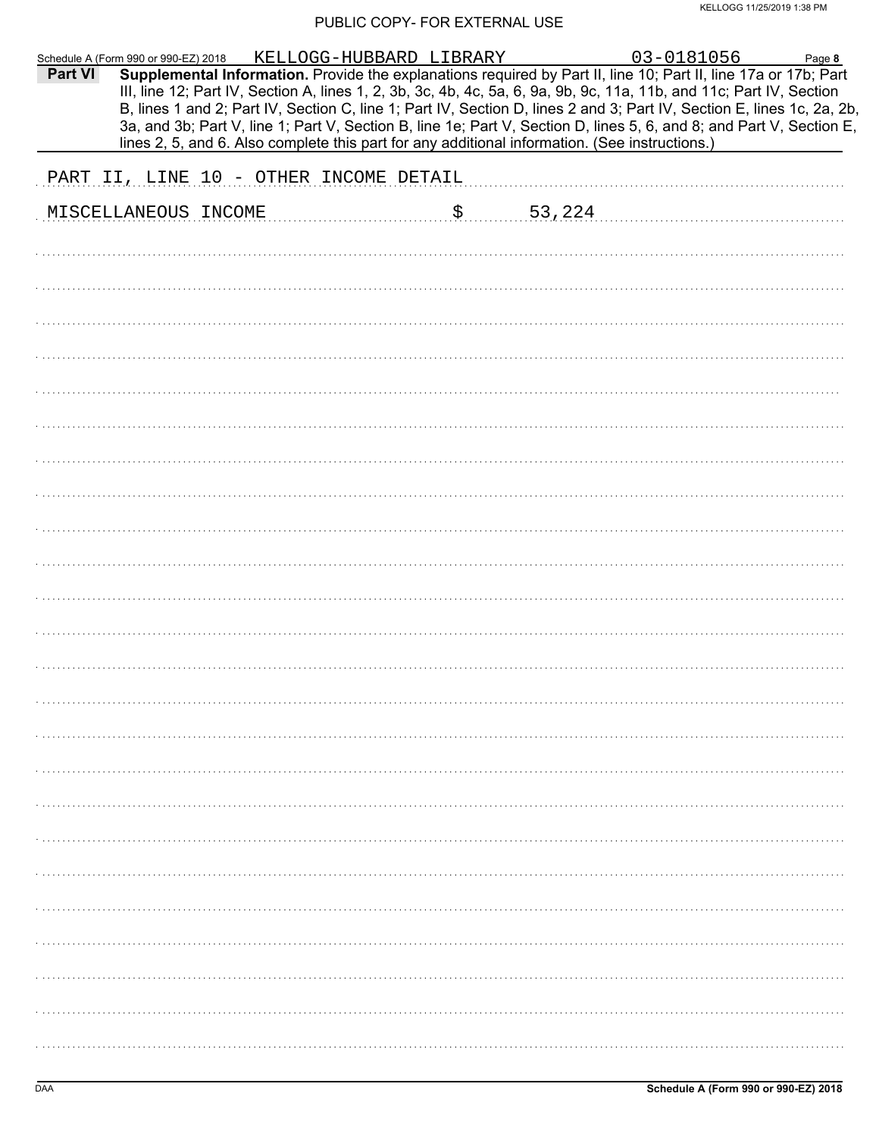|                                        |  |  |                       | Schedule A (Form 990 or 990-EZ) 2018 KELLOGG-HUBBARD LIBRARY 03-0181056 Page 8<br>Part VI Supplemental Information. Provide the explanations required by Part II, line 10; Part II, line 17a or 17b; Part<br>III, line 12; Part IV, Section A, lines 1, 2, 3b, 3c, 4b, 4c, 5a, 6, 9a, 9b, 9c, 11a, 11b, and 11c; Part IV, Section<br>B, lines 1 and 2; Part IV, Section C, line 1; Part IV, Section D, lines 2 and 3; Part IV, Section E, lines 1c, 2a, 2b,<br>3a, and 3b; Part V, line 1; Part V, Section B, line 1e; Part V, Section D, lines 5, 6, and 8; and Part V, Section E,<br>lines 2, 5, and 6. Also complete this part for any additional information. (See instructions.) |  |
|----------------------------------------|--|--|-----------------------|---------------------------------------------------------------------------------------------------------------------------------------------------------------------------------------------------------------------------------------------------------------------------------------------------------------------------------------------------------------------------------------------------------------------------------------------------------------------------------------------------------------------------------------------------------------------------------------------------------------------------------------------------------------------------------------|--|
|                                        |  |  |                       |                                                                                                                                                                                                                                                                                                                                                                                                                                                                                                                                                                                                                                                                                       |  |
| PART II, LINE 10 - OTHER INCOME DETAIL |  |  |                       |                                                                                                                                                                                                                                                                                                                                                                                                                                                                                                                                                                                                                                                                                       |  |
| MISCELLANEOUS INCOME                   |  |  | $\frac{1}{5}$ 53, 224 |                                                                                                                                                                                                                                                                                                                                                                                                                                                                                                                                                                                                                                                                                       |  |
|                                        |  |  |                       |                                                                                                                                                                                                                                                                                                                                                                                                                                                                                                                                                                                                                                                                                       |  |
|                                        |  |  |                       |                                                                                                                                                                                                                                                                                                                                                                                                                                                                                                                                                                                                                                                                                       |  |
|                                        |  |  |                       |                                                                                                                                                                                                                                                                                                                                                                                                                                                                                                                                                                                                                                                                                       |  |
|                                        |  |  |                       |                                                                                                                                                                                                                                                                                                                                                                                                                                                                                                                                                                                                                                                                                       |  |
|                                        |  |  |                       |                                                                                                                                                                                                                                                                                                                                                                                                                                                                                                                                                                                                                                                                                       |  |
|                                        |  |  |                       |                                                                                                                                                                                                                                                                                                                                                                                                                                                                                                                                                                                                                                                                                       |  |
|                                        |  |  |                       |                                                                                                                                                                                                                                                                                                                                                                                                                                                                                                                                                                                                                                                                                       |  |
|                                        |  |  |                       |                                                                                                                                                                                                                                                                                                                                                                                                                                                                                                                                                                                                                                                                                       |  |
|                                        |  |  |                       |                                                                                                                                                                                                                                                                                                                                                                                                                                                                                                                                                                                                                                                                                       |  |
|                                        |  |  |                       |                                                                                                                                                                                                                                                                                                                                                                                                                                                                                                                                                                                                                                                                                       |  |
|                                        |  |  |                       |                                                                                                                                                                                                                                                                                                                                                                                                                                                                                                                                                                                                                                                                                       |  |
|                                        |  |  |                       |                                                                                                                                                                                                                                                                                                                                                                                                                                                                                                                                                                                                                                                                                       |  |
|                                        |  |  |                       |                                                                                                                                                                                                                                                                                                                                                                                                                                                                                                                                                                                                                                                                                       |  |
|                                        |  |  |                       |                                                                                                                                                                                                                                                                                                                                                                                                                                                                                                                                                                                                                                                                                       |  |
|                                        |  |  |                       |                                                                                                                                                                                                                                                                                                                                                                                                                                                                                                                                                                                                                                                                                       |  |
|                                        |  |  |                       |                                                                                                                                                                                                                                                                                                                                                                                                                                                                                                                                                                                                                                                                                       |  |
|                                        |  |  |                       |                                                                                                                                                                                                                                                                                                                                                                                                                                                                                                                                                                                                                                                                                       |  |
|                                        |  |  |                       |                                                                                                                                                                                                                                                                                                                                                                                                                                                                                                                                                                                                                                                                                       |  |
|                                        |  |  |                       |                                                                                                                                                                                                                                                                                                                                                                                                                                                                                                                                                                                                                                                                                       |  |
|                                        |  |  |                       |                                                                                                                                                                                                                                                                                                                                                                                                                                                                                                                                                                                                                                                                                       |  |
|                                        |  |  |                       |                                                                                                                                                                                                                                                                                                                                                                                                                                                                                                                                                                                                                                                                                       |  |
|                                        |  |  |                       |                                                                                                                                                                                                                                                                                                                                                                                                                                                                                                                                                                                                                                                                                       |  |
|                                        |  |  |                       |                                                                                                                                                                                                                                                                                                                                                                                                                                                                                                                                                                                                                                                                                       |  |
|                                        |  |  |                       |                                                                                                                                                                                                                                                                                                                                                                                                                                                                                                                                                                                                                                                                                       |  |
|                                        |  |  |                       |                                                                                                                                                                                                                                                                                                                                                                                                                                                                                                                                                                                                                                                                                       |  |
|                                        |  |  |                       |                                                                                                                                                                                                                                                                                                                                                                                                                                                                                                                                                                                                                                                                                       |  |
|                                        |  |  |                       |                                                                                                                                                                                                                                                                                                                                                                                                                                                                                                                                                                                                                                                                                       |  |
|                                        |  |  |                       |                                                                                                                                                                                                                                                                                                                                                                                                                                                                                                                                                                                                                                                                                       |  |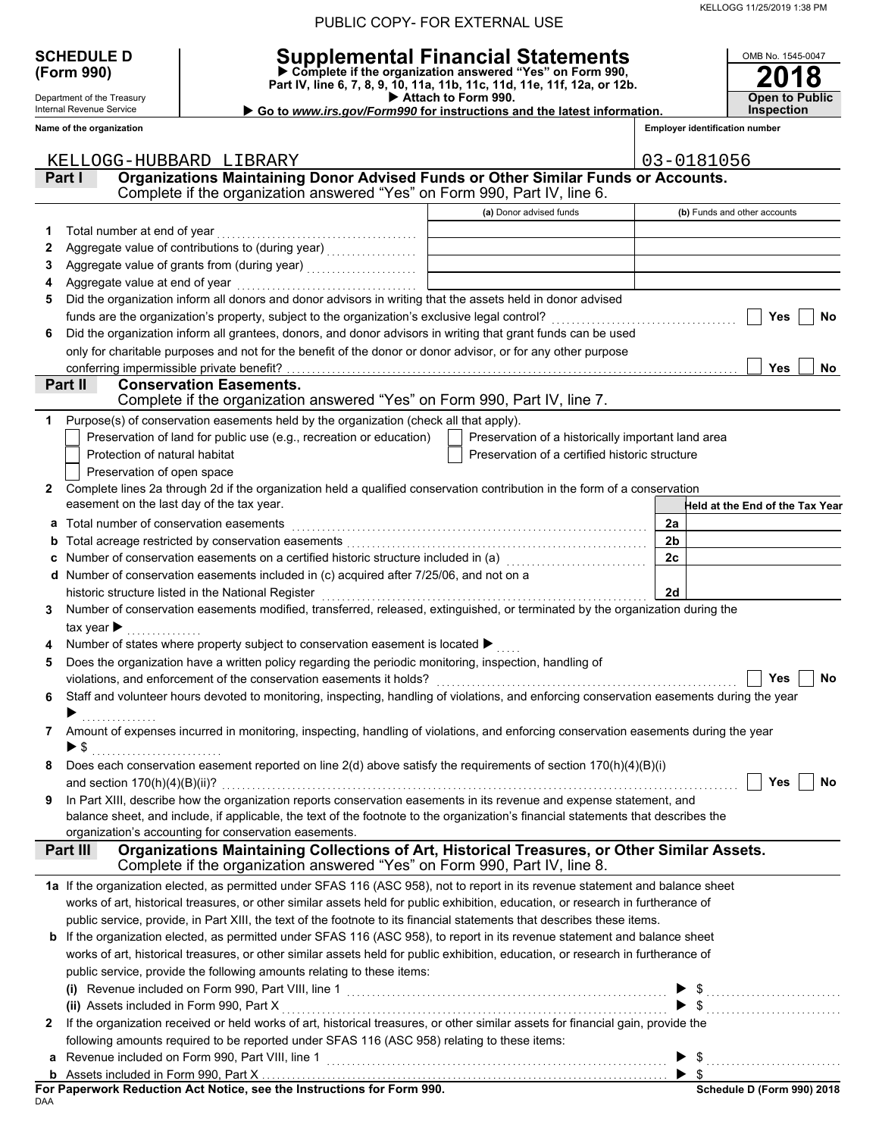| <b>SCHEDULE D</b> |
|-------------------|
| (Form 990)        |

Department of the Treasury Internal Revenue Service **Name of the organization**

# **SCHEDULE D Supplemental Financial Statements**

**(Form 990) Part IV, line 6, 7, 8, 9, 10, 11a, 11b, 11c, 11d, 11e, 11f, 12a, or 12b. Complete if the organization answered "Yes" on Form 990,**

 **Attach to Form 990.** 

**2018 Open to Public Inspection**

OMB No. 1545-0047

 **Go to** *www.irs.gov/Form990* **for instructions and the latest information.**

**Employer identification number**

|   | KELLOGG-HUBBARD LIBRARY                                                                                                                                                                      |                                                    | 03-0181056                                             |
|---|----------------------------------------------------------------------------------------------------------------------------------------------------------------------------------------------|----------------------------------------------------|--------------------------------------------------------|
|   | Organizations Maintaining Donor Advised Funds or Other Similar Funds or Accounts.<br>Part I                                                                                                  |                                                    |                                                        |
|   | Complete if the organization answered "Yes" on Form 990, Part IV, line 6.                                                                                                                    |                                                    |                                                        |
|   |                                                                                                                                                                                              | (a) Donor advised funds                            | (b) Funds and other accounts                           |
| 1 | Total number at end of year                                                                                                                                                                  |                                                    |                                                        |
| 2 |                                                                                                                                                                                              |                                                    |                                                        |
| 3 |                                                                                                                                                                                              |                                                    |                                                        |
| 4 |                                                                                                                                                                                              |                                                    |                                                        |
| 5 | Did the organization inform all donors and donor advisors in writing that the assets held in donor advised                                                                                   |                                                    |                                                        |
|   | funds are the organization's property, subject to the organization's exclusive legal control? [[[[[[[[[[[[[[[[                                                                               |                                                    | Yes<br>No                                              |
| 6 | Did the organization inform all grantees, donors, and donor advisors in writing that grant funds can be used                                                                                 |                                                    |                                                        |
|   | only for charitable purposes and not for the benefit of the donor or donor advisor, or for any other purpose                                                                                 |                                                    |                                                        |
|   | conferring impermissible private benefit?                                                                                                                                                    |                                                    | Yes<br>No                                              |
|   | Part II<br><b>Conservation Easements.</b>                                                                                                                                                    |                                                    |                                                        |
|   | Complete if the organization answered "Yes" on Form 990, Part IV, line 7.                                                                                                                    |                                                    |                                                        |
| 1 | Purpose(s) of conservation easements held by the organization (check all that apply).                                                                                                        |                                                    |                                                        |
|   | Preservation of land for public use (e.g., recreation or education)                                                                                                                          | Preservation of a historically important land area |                                                        |
|   | Protection of natural habitat                                                                                                                                                                | Preservation of a certified historic structure     |                                                        |
|   | Preservation of open space                                                                                                                                                                   |                                                    |                                                        |
| 2 | Complete lines 2a through 2d if the organization held a qualified conservation contribution in the form of a conservation                                                                    |                                                    |                                                        |
|   | easement on the last day of the tax year.                                                                                                                                                    |                                                    | -leld at the End of the Tax Year                       |
| a | Total number of conservation easements                                                                                                                                                       |                                                    | 2a                                                     |
| b |                                                                                                                                                                                              |                                                    | 2b                                                     |
|   | Number of conservation easements on a certified historic structure included in (a) [11] Number of conservation                                                                               |                                                    | 2c                                                     |
|   | d Number of conservation easements included in (c) acquired after 7/25/06, and not on a                                                                                                      |                                                    |                                                        |
|   |                                                                                                                                                                                              |                                                    | 2d                                                     |
| 3 | Number of conservation easements modified, transferred, released, extinguished, or terminated by the organization during the                                                                 |                                                    |                                                        |
|   | tax year $\blacktriangleright$                                                                                                                                                               |                                                    |                                                        |
|   | Number of states where property subject to conservation easement is located ▶                                                                                                                |                                                    |                                                        |
| 5 | Does the organization have a written policy regarding the periodic monitoring, inspection, handling of                                                                                       |                                                    |                                                        |
|   | violations, and enforcement of the conservation easements it holds?                                                                                                                          |                                                    | No<br><b>Yes</b>                                       |
| 6 | Staff and volunteer hours devoted to monitoring, inspecting, handling of violations, and enforcing conservation easements during the year                                                    |                                                    |                                                        |
|   |                                                                                                                                                                                              |                                                    |                                                        |
| 7 | Amount of expenses incurred in monitoring, inspecting, handling of violations, and enforcing conservation easements during the year                                                          |                                                    |                                                        |
|   | ▶ \$                                                                                                                                                                                         |                                                    |                                                        |
|   | Does each conservation easement reported on line $2(d)$ above satisfy the requirements of section $170(h)(4)(B)(i)$                                                                          |                                                    |                                                        |
|   |                                                                                                                                                                                              |                                                    | Yes<br>No                                              |
| 9 | In Part XIII, describe how the organization reports conservation easements in its revenue and expense statement, and                                                                         |                                                    |                                                        |
|   | balance sheet, and include, if applicable, the text of the footnote to the organization's financial statements that describes the                                                            |                                                    |                                                        |
|   | organization's accounting for conservation easements.                                                                                                                                        |                                                    |                                                        |
|   | Organizations Maintaining Collections of Art, Historical Treasures, or Other Similar Assets.<br><b>Part III</b><br>Complete if the organization answered "Yes" on Form 990, Part IV, line 8. |                                                    |                                                        |
|   |                                                                                                                                                                                              |                                                    |                                                        |
|   | 1a If the organization elected, as permitted under SFAS 116 (ASC 958), not to report in its revenue statement and balance sheet                                                              |                                                    |                                                        |
|   | works of art, historical treasures, or other similar assets held for public exhibition, education, or research in furtherance of                                                             |                                                    |                                                        |
|   | public service, provide, in Part XIII, the text of the footnote to its financial statements that describes these items.                                                                      |                                                    |                                                        |
|   | <b>b</b> If the organization elected, as permitted under SFAS 116 (ASC 958), to report in its revenue statement and balance sheet                                                            |                                                    |                                                        |
|   | works of art, historical treasures, or other similar assets held for public exhibition, education, or research in furtherance of                                                             |                                                    |                                                        |
|   | public service, provide the following amounts relating to these items:                                                                                                                       |                                                    |                                                        |
|   |                                                                                                                                                                                              |                                                    |                                                        |
|   |                                                                                                                                                                                              |                                                    | $\frac{1}{2}$                                          |
| 2 | If the organization received or held works of art, historical treasures, or other similar assets for financial gain, provide the                                                             |                                                    |                                                        |
|   | following amounts required to be reported under SFAS 116 (ASC 958) relating to these items:                                                                                                  |                                                    |                                                        |
|   |                                                                                                                                                                                              |                                                    | $\blacktriangleright$ \$                               |
|   |                                                                                                                                                                                              |                                                    | $\blacktriangleright$ s<br>Cabadule D (Fause 000) 0040 |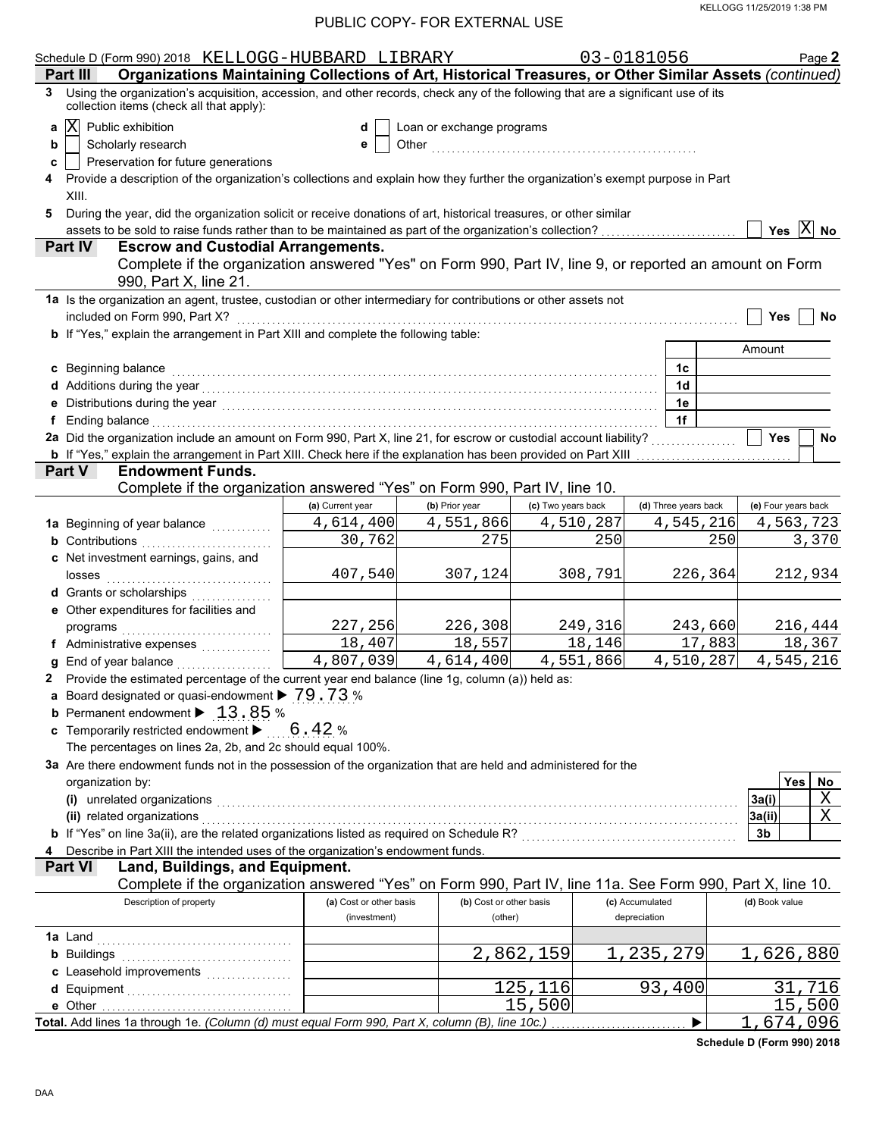|   | Schedule D (Form 990) 2018 KELLOGG-HUBBARD LIBRARY                                                                                                                                                                                                           |                         |                           |                    | 03-0181056      |                      |                            | Page 2 |
|---|--------------------------------------------------------------------------------------------------------------------------------------------------------------------------------------------------------------------------------------------------------------|-------------------------|---------------------------|--------------------|-----------------|----------------------|----------------------------|--------|
|   | Organizations Maintaining Collections of Art, Historical Treasures, or Other Similar Assets (continued)<br>Part III                                                                                                                                          |                         |                           |                    |                 |                      |                            |        |
| 3 | Using the organization's acquisition, accession, and other records, check any of the following that are a significant use of its<br>collection items (check all that apply):                                                                                 |                         |                           |                    |                 |                      |                            |        |
| a | $ {\rm X} $<br>Public exhibition                                                                                                                                                                                                                             | d                       | Loan or exchange programs |                    |                 |                      |                            |        |
| b | Scholarly research                                                                                                                                                                                                                                           | е                       |                           |                    |                 |                      |                            |        |
| c | Preservation for future generations                                                                                                                                                                                                                          |                         |                           |                    |                 |                      |                            |        |
|   | Provide a description of the organization's collections and explain how they further the organization's exempt purpose in Part                                                                                                                               |                         |                           |                    |                 |                      |                            |        |
|   | XIII.                                                                                                                                                                                                                                                        |                         |                           |                    |                 |                      |                            |        |
| 5 | During the year, did the organization solicit or receive donations of art, historical treasures, or other similar                                                                                                                                            |                         |                           |                    |                 |                      |                            |        |
|   | assets to be sold to raise funds rather than to be maintained as part of the organization's collection?                                                                                                                                                      |                         |                           |                    |                 |                      | Yes $ X $ No               |        |
|   | <b>Escrow and Custodial Arrangements.</b><br><b>Part IV</b>                                                                                                                                                                                                  |                         |                           |                    |                 |                      |                            |        |
|   | Complete if the organization answered "Yes" on Form 990, Part IV, line 9, or reported an amount on Form                                                                                                                                                      |                         |                           |                    |                 |                      |                            |        |
|   | 990, Part X, line 21.                                                                                                                                                                                                                                        |                         |                           |                    |                 |                      |                            |        |
|   |                                                                                                                                                                                                                                                              |                         |                           |                    |                 |                      |                            |        |
|   | 1a Is the organization an agent, trustee, custodian or other intermediary for contributions or other assets not                                                                                                                                              |                         |                           |                    |                 |                      |                            |        |
|   | included on Form 990, Part X?                                                                                                                                                                                                                                |                         |                           |                    |                 |                      | <b>Yes</b>                 | No     |
|   | b If "Yes," explain the arrangement in Part XIII and complete the following table:                                                                                                                                                                           |                         |                           |                    |                 |                      |                            |        |
|   |                                                                                                                                                                                                                                                              |                         |                           |                    |                 |                      | Amount                     |        |
|   | c Beginning balance                                                                                                                                                                                                                                          |                         |                           |                    |                 | 1c                   |                            |        |
|   |                                                                                                                                                                                                                                                              |                         |                           |                    |                 | 1 <sub>d</sub>       |                            |        |
|   |                                                                                                                                                                                                                                                              |                         |                           |                    |                 | 1e                   |                            |        |
|   | f Ending balance encourance and the contract of the contract of the contract of the contract of the contract of the contract of the contract of the contract of the contract of the contract of the contract of the contract o                               |                         |                           |                    |                 | 1f                   |                            |        |
|   | 2a Did the organization include an amount on Form 990, Part X, line 21, for escrow or custodial account liability?                                                                                                                                           |                         |                           |                    |                 |                      | <b>Yes</b>                 | No     |
|   | <b>b</b> If "Yes," explain the arrangement in Part XIII. Check here if the explanation has been provided on Part XIII                                                                                                                                        |                         |                           |                    |                 |                      |                            |        |
|   | <b>Endowment Funds.</b><br><b>Part V</b>                                                                                                                                                                                                                     |                         |                           |                    |                 |                      |                            |        |
|   | Complete if the organization answered "Yes" on Form 990, Part IV, line 10.                                                                                                                                                                                   |                         |                           |                    |                 |                      |                            |        |
|   |                                                                                                                                                                                                                                                              | (a) Current year        | (b) Prior year            | (c) Two years back |                 | (d) Three years back | (e) Four years back        |        |
|   | 1a Beginning of year balance                                                                                                                                                                                                                                 | 4,614,400               | 4,551,866                 | 4,510,287          |                 | 4,545,216            | 4,563,723                  |        |
|   | <b>b</b> Contributions <b>contributions</b>                                                                                                                                                                                                                  | 30,762                  | 275                       |                    | 250             | 250                  |                            | 3,370  |
|   | c Net investment earnings, gains, and                                                                                                                                                                                                                        |                         |                           |                    |                 |                      |                            |        |
|   | losses                                                                                                                                                                                                                                                       | 407,540                 | 307,124                   |                    | 308,791         | 226,364              | 212,934                    |        |
|   | d Grants or scholarships                                                                                                                                                                                                                                     |                         |                           |                    |                 |                      |                            |        |
|   | e Other expenditures for facilities and                                                                                                                                                                                                                      |                         |                           |                    |                 |                      |                            |        |
|   |                                                                                                                                                                                                                                                              | 227,256                 | 226,308                   |                    | 249,316         | 243,660              | 216,444                    |        |
|   | f Administrative expenses                                                                                                                                                                                                                                    | 18,407                  | 18,557                    |                    | 18,146          | 17,883               | 18,367                     |        |
|   | <b>g</b> End of year balance $\ldots$                                                                                                                                                                                                                        | 4,807,039               | 4,614,400                 | 4,551,866          |                 | 4,510,287            | 4,545,216                  |        |
|   | 2 Provide the estimated percentage of the current year end balance (line 1g, column (a)) held as:                                                                                                                                                            |                         |                           |                    |                 |                      |                            |        |
|   | a Board designated or quasi-endowment > 79.73 %                                                                                                                                                                                                              |                         |                           |                    |                 |                      |                            |        |
|   | <b>b</b> Permanent endowment $\triangleright$ 13, 85 %                                                                                                                                                                                                       |                         |                           |                    |                 |                      |                            |        |
|   | <b>c</b> Temporarily restricted endowment $\triangleright$ 6.42 %                                                                                                                                                                                            |                         |                           |                    |                 |                      |                            |        |
|   | The percentages on lines 2a, 2b, and 2c should equal 100%.                                                                                                                                                                                                   |                         |                           |                    |                 |                      |                            |        |
|   | 3a Are there endowment funds not in the possession of the organization that are held and administered for the                                                                                                                                                |                         |                           |                    |                 |                      |                            |        |
|   | organization by:                                                                                                                                                                                                                                             |                         |                           |                    |                 |                      | Yes                        | No     |
|   |                                                                                                                                                                                                                                                              |                         |                           |                    |                 |                      | 3a(i)                      | Χ      |
|   | (i) unrelated organizations entertainment and a set of the contract of the contract of the contract of the contract of the contract of the contract of the contract of the contract of the contract of the contract of the con<br>(ii) related organizations |                         |                           |                    |                 |                      | 3a(ii)                     | Χ      |
|   | b If "Yes" on line 3a(ii), are the related organizations listed as required on Schedule R? [[[[[[[[[[[[[[[[[[[                                                                                                                                               |                         |                           |                    |                 |                      |                            |        |
|   |                                                                                                                                                                                                                                                              |                         |                           |                    |                 |                      | 3b                         |        |
|   | Describe in Part XIII the intended uses of the organization's endowment funds.<br>Land, Buildings, and Equipment.<br><b>Part VI</b>                                                                                                                          |                         |                           |                    |                 |                      |                            |        |
|   | Complete if the organization answered "Yes" on Form 990, Part IV, line 11a. See Form 990, Part X, line 10.                                                                                                                                                   |                         |                           |                    |                 |                      |                            |        |
|   | Description of property                                                                                                                                                                                                                                      | (a) Cost or other basis | (b) Cost or other basis   |                    | (c) Accumulated |                      | (d) Book value             |        |
|   |                                                                                                                                                                                                                                                              | (investment)            | (other)                   |                    | depreciation    |                      |                            |        |
|   |                                                                                                                                                                                                                                                              |                         |                           |                    |                 |                      |                            |        |
|   |                                                                                                                                                                                                                                                              |                         |                           |                    |                 |                      |                            |        |
|   | <b>b</b> Buildings                                                                                                                                                                                                                                           |                         |                           | 2,862,159          | 235,279         |                      | 626,880                    |        |
|   |                                                                                                                                                                                                                                                              |                         |                           |                    |                 |                      |                            |        |
|   |                                                                                                                                                                                                                                                              |                         |                           | 125,116            |                 | 93,400               |                            | 716    |
|   | e Other                                                                                                                                                                                                                                                      |                         |                           | 15,500             |                 |                      |                            | 500    |
|   | Total. Add lines 1a through 1e. (Column (d) must equal Form 990, Part X, column (B), line 10c.)                                                                                                                                                              |                         |                           |                    |                 |                      | 67                         | 096    |
|   |                                                                                                                                                                                                                                                              |                         |                           |                    |                 |                      | Cahadula D (Carm 000) 2040 |        |

**Schedule D (Form 990) 2018**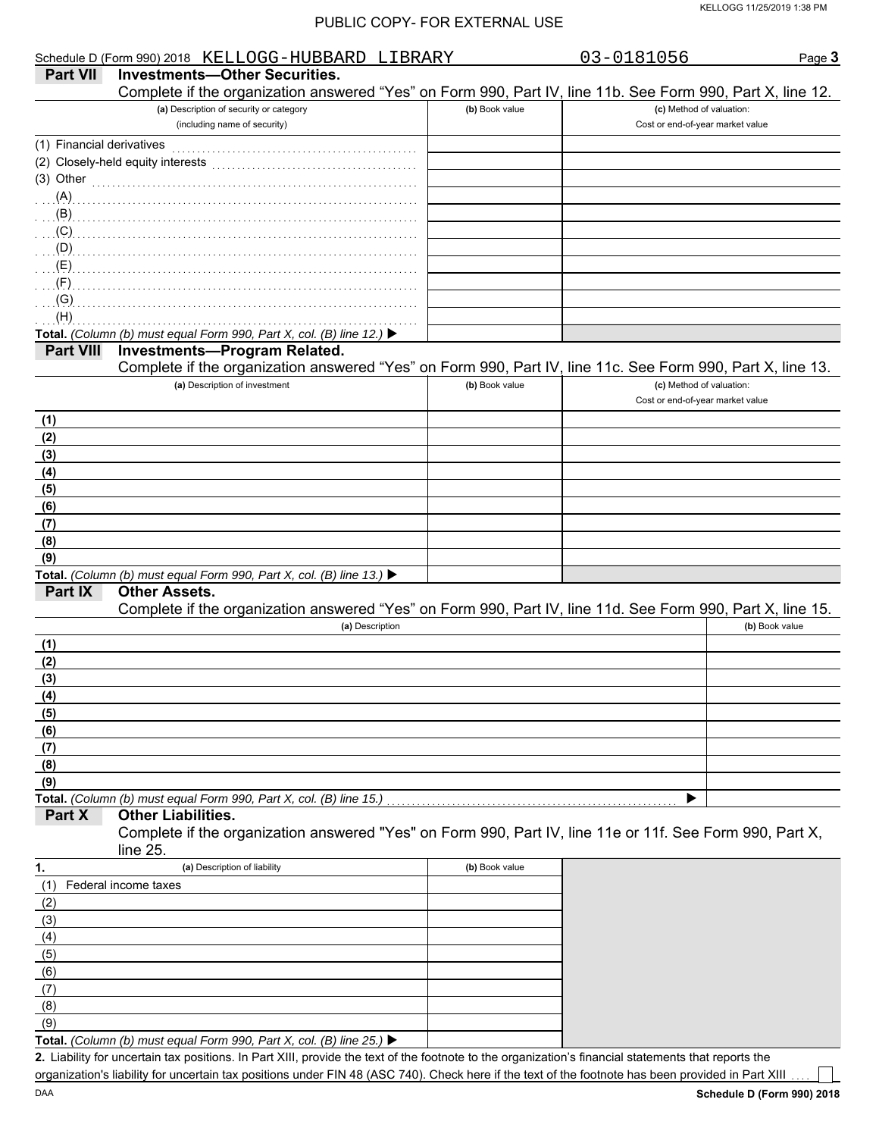|                           | Schedule D (Form 990) 2018 KELLOGG-HUBBARD LIBRARY                                                                                                                                                                                        |                | 03-0181056                       | Page 3         |
|---------------------------|-------------------------------------------------------------------------------------------------------------------------------------------------------------------------------------------------------------------------------------------|----------------|----------------------------------|----------------|
| <b>Part VII</b>           | <b>Investments-Other Securities.</b>                                                                                                                                                                                                      |                |                                  |                |
|                           | Complete if the organization answered "Yes" on Form 990, Part IV, line 11b. See Form 990, Part X, line 12.                                                                                                                                |                |                                  |                |
|                           | (a) Description of security or category                                                                                                                                                                                                   | (b) Book value | (c) Method of valuation:         |                |
|                           | (including name of security)                                                                                                                                                                                                              |                | Cost or end-of-year market value |                |
| (1) Financial derivatives |                                                                                                                                                                                                                                           |                |                                  |                |
|                           |                                                                                                                                                                                                                                           |                |                                  |                |
| (3) Other                 |                                                                                                                                                                                                                                           |                |                                  |                |
| (A)                       |                                                                                                                                                                                                                                           |                |                                  |                |
|                           |                                                                                                                                                                                                                                           |                |                                  |                |
|                           | (C)                                                                                                                                                                                                                                       |                |                                  |                |
|                           |                                                                                                                                                                                                                                           |                |                                  |                |
|                           |                                                                                                                                                                                                                                           |                |                                  |                |
|                           |                                                                                                                                                                                                                                           |                |                                  |                |
| (H)                       | $\overline{a}$ (G) $\overline{a}$ . The contract of the contract of the contract of the contract of the contract of the contract of the contract of the contract of the contract of the contract of the contract of the contract of the c |                |                                  |                |
|                           | Total. (Column (b) must equal Form 990, Part X, col. (B) line 12.) ▶                                                                                                                                                                      |                |                                  |                |
| <b>Part VIII</b>          | <b>Investments-Program Related.</b>                                                                                                                                                                                                       |                |                                  |                |
|                           | Complete if the organization answered "Yes" on Form 990, Part IV, line 11c. See Form 990, Part X, line 13.                                                                                                                                |                |                                  |                |
|                           | (a) Description of investment                                                                                                                                                                                                             | (b) Book value | (c) Method of valuation:         |                |
|                           |                                                                                                                                                                                                                                           |                | Cost or end-of-year market value |                |
| (1)                       |                                                                                                                                                                                                                                           |                |                                  |                |
| (2)                       |                                                                                                                                                                                                                                           |                |                                  |                |
| (3)                       |                                                                                                                                                                                                                                           |                |                                  |                |
| (4)                       |                                                                                                                                                                                                                                           |                |                                  |                |
| (5)                       |                                                                                                                                                                                                                                           |                |                                  |                |
| (6)                       |                                                                                                                                                                                                                                           |                |                                  |                |
| (7)                       |                                                                                                                                                                                                                                           |                |                                  |                |
| (8)                       |                                                                                                                                                                                                                                           |                |                                  |                |
| (9)                       |                                                                                                                                                                                                                                           |                |                                  |                |
|                           | Total. (Column (b) must equal Form 990, Part X, col. (B) line 13.) ▶                                                                                                                                                                      |                |                                  |                |
| Part IX                   | <b>Other Assets.</b><br>Complete if the organization answered "Yes" on Form 990, Part IV, line 11d. See Form 990, Part X, line 15.                                                                                                        |                |                                  |                |
|                           | (a) Description                                                                                                                                                                                                                           |                |                                  | (b) Book value |
| (1)                       |                                                                                                                                                                                                                                           |                |                                  |                |
| (2)                       |                                                                                                                                                                                                                                           |                |                                  |                |
| (3)                       |                                                                                                                                                                                                                                           |                |                                  |                |
| (4)                       |                                                                                                                                                                                                                                           |                |                                  |                |
| (5)                       |                                                                                                                                                                                                                                           |                |                                  |                |
| (6)                       |                                                                                                                                                                                                                                           |                |                                  |                |
| (7)                       |                                                                                                                                                                                                                                           |                |                                  |                |
| (8)                       |                                                                                                                                                                                                                                           |                |                                  |                |
| (9)                       |                                                                                                                                                                                                                                           |                |                                  |                |
|                           | Total. (Column (b) must equal Form 990, Part X, col. (B) line 15.)                                                                                                                                                                        |                |                                  |                |
| Part X                    | <b>Other Liabilities.</b>                                                                                                                                                                                                                 |                |                                  |                |
|                           | Complete if the organization answered "Yes" on Form 990, Part IV, line 11e or 11f. See Form 990, Part X,                                                                                                                                  |                |                                  |                |
|                           | line $25$ .                                                                                                                                                                                                                               |                |                                  |                |
| 1.                        | (a) Description of liability                                                                                                                                                                                                              | (b) Book value |                                  |                |
| (1)                       | Federal income taxes                                                                                                                                                                                                                      |                |                                  |                |
| (2)                       |                                                                                                                                                                                                                                           |                |                                  |                |
| (3)                       |                                                                                                                                                                                                                                           |                |                                  |                |
| (4)                       |                                                                                                                                                                                                                                           |                |                                  |                |
| (5)                       |                                                                                                                                                                                                                                           |                |                                  |                |
| (6)                       |                                                                                                                                                                                                                                           |                |                                  |                |
| (7)                       |                                                                                                                                                                                                                                           |                |                                  |                |
| (8)                       |                                                                                                                                                                                                                                           |                |                                  |                |
| (9)                       | Total. (Column (b) must equal Form 990, Part X, col. (B) line 25.) $\blacktriangleright$                                                                                                                                                  |                |                                  |                |
|                           | 2 Lightlity for uncertain tax positions. In Part YIII, provide the text of the footpote to the organization's financial statements that reports the                                                                                       |                |                                  |                |

Liability for uncertain tax positions. In Part XIII, provide the text of the footnote to the organization's financial statements that reports the **2.** organization's liability for uncertain tax positions under FIN 48 (ASC 740). Check here if the text of the footnote has been provided in Part XIII

┐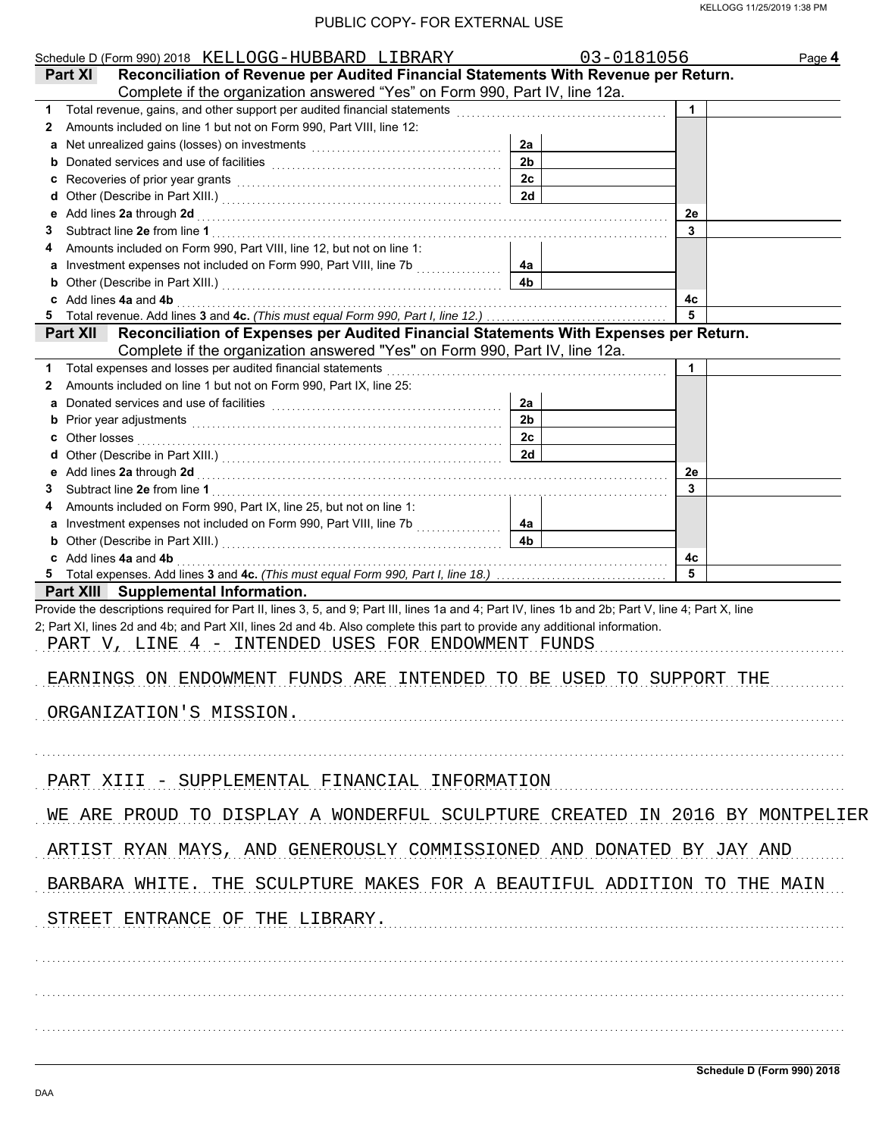|                 | Schedule D (Form 990) 2018 KELLOGG-HUBBARD LIBRARY                                                                                                                                                                                 |                | 03-0181056  | Page 4 |
|-----------------|------------------------------------------------------------------------------------------------------------------------------------------------------------------------------------------------------------------------------------|----------------|-------------|--------|
| <b>Part XI</b>  | Reconciliation of Revenue per Audited Financial Statements With Revenue per Return.                                                                                                                                                |                |             |        |
|                 | Complete if the organization answered "Yes" on Form 990, Part IV, line 12a.                                                                                                                                                        |                |             |        |
|                 | 1 Total revenue, gains, and other support per audited financial statements [111] Total revenues contained and the Total Total Total Total Total Total Total Total Total Total Total Total Total Total Total Total Total Total      |                | $\mathbf 1$ |        |
| $\mathbf{z}$    | Amounts included on line 1 but not on Form 990, Part VIII, line 12:                                                                                                                                                                |                |             |        |
|                 |                                                                                                                                                                                                                                    | 2a             |             |        |
| b               | Donated services and use of facilities [11] contained a service of the service of the service of the service of the service of the service of the service of the service of the service of the service of the service of the s     | 2 <sub>b</sub> |             |        |
| c               | Recoveries of prior year grants [[11] North Marson Recoveries of prior year grants [[11] North Marson Recoveries [[11] North Marson Recoveries [[11] North Marson Recoveries [[11] North Marson Recoveries [[11] North Marson      | 2 <sub>c</sub> |             |        |
| d               |                                                                                                                                                                                                                                    | 2d             |             |        |
| е               | Add lines 2a through 2d [[[[[[[[[[[[[[[[[[[[[[[[]]]]]]]]] Add lines 2a through 2d                                                                                                                                                  |                | 2e          |        |
| 3               |                                                                                                                                                                                                                                    |                | 3           |        |
|                 | Amounts included on Form 990, Part VIII, line 12, but not on line 1:                                                                                                                                                               |                |             |        |
|                 | a Investment expenses not included on Form 990, Part VIII, line 7b                                                                                                                                                                 | 4a             |             |        |
| b               |                                                                                                                                                                                                                                    | 4 <sub>b</sub> |             |        |
|                 | c Add lines 4a and 4b <b>contract and 4b</b> and 4b and 4b and 4b and 4b and 4b and 4b and 4b and 4b and 4b and 4b and 4b and 4b and 4b and 4b and 4b and 4b and 4b and 4b and 4b and 4b and 4b and 4b and 4b and 4b and 4b and 4b |                | 4c          |        |
|                 |                                                                                                                                                                                                                                    |                |             |        |
| <b>Part XII</b> | Reconciliation of Expenses per Audited Financial Statements With Expenses per Return.                                                                                                                                              |                |             |        |
|                 | Complete if the organization answered "Yes" on Form 990, Part IV, line 12a.                                                                                                                                                        |                |             |        |
|                 | 1 Total expenses and losses per audited financial statements [11] [11] Total expenses and losses and losses per audited financial statements [11] Total expenses and losses                                                        |                | $\mathbf 1$ |        |
| 2               | Amounts included on line 1 but not on Form 990, Part IX, line 25:                                                                                                                                                                  |                |             |        |
| a               |                                                                                                                                                                                                                                    | 2a             |             |        |
| b               |                                                                                                                                                                                                                                    | 2 <sub>b</sub> |             |        |
| c               | Other losses <b>contracts on the contract of the contract of the contract of the contract of the contract of the contract of the contract of the contract of the contract of the contract of the contract of the contract of t</b> | 2c             |             |        |
| d               |                                                                                                                                                                                                                                    | 2d             |             |        |
|                 |                                                                                                                                                                                                                                    |                | 2e          |        |
| 3               |                                                                                                                                                                                                                                    |                | 3           |        |
|                 | Amounts included on Form 990, Part IX, line 25, but not on line 1:                                                                                                                                                                 |                |             |        |
|                 | a Investment expenses not included on Form 990, Part VIII, line 7b                                                                                                                                                                 | 4a             |             |        |
|                 |                                                                                                                                                                                                                                    | 4 <sub>b</sub> |             |        |
|                 |                                                                                                                                                                                                                                    |                |             |        |
|                 | c Add lines 4a and 4b                                                                                                                                                                                                              |                | 4c          |        |
|                 | Part XIII Supplemental Information.                                                                                                                                                                                                |                |             |        |
|                 | Provide the descriptions required for Part II, lines 3, 5, and 9; Part III, lines 1a and 4; Part IV, lines 1b and 2b; Part V, line 4; Part X, line                                                                                 |                |             |        |
|                 | 2; Part XI, lines 2d and 4b; and Part XII, lines 2d and 4b. Also complete this part to provide any additional information.                                                                                                         |                |             |        |
|                 |                                                                                                                                                                                                                                    |                |             |        |
|                 | PART V, LINE 4 - INTENDED USES FOR ENDOWMENT FUNDS                                                                                                                                                                                 |                |             |        |
|                 |                                                                                                                                                                                                                                    |                |             |        |
|                 | EARNINGS ON ENDOWMENT FUNDS ARE INTENDED TO BE USED TO SUPPORT THE                                                                                                                                                                 |                |             |        |
|                 |                                                                                                                                                                                                                                    |                |             |        |
|                 | ORGANIZATION'S MISSION.                                                                                                                                                                                                            |                |             |        |
|                 |                                                                                                                                                                                                                                    |                |             |        |
|                 |                                                                                                                                                                                                                                    |                |             |        |
|                 |                                                                                                                                                                                                                                    |                |             |        |
|                 | PART XIII - SUPPLEMENTAL FINANCIAL INFORMATION                                                                                                                                                                                     |                |             |        |
|                 |                                                                                                                                                                                                                                    |                |             |        |
|                 | WE ARE PROUD TO DISPLAY A WONDERFUL SCULPTURE CREATED IN 2016 BY MONTPELIER                                                                                                                                                        |                |             |        |
|                 |                                                                                                                                                                                                                                    |                |             |        |
|                 | ARTIST RYAN MAYS, AND GENEROUSLY COMMISSIONED AND DONATED BY JAY AND                                                                                                                                                               |                |             |        |
|                 |                                                                                                                                                                                                                                    |                |             |        |
|                 | BARBARA WHITE. THE SCULPTURE MAKES FOR A BEAUTIFUL ADDITION TO THE MAIN                                                                                                                                                            |                |             |        |
|                 |                                                                                                                                                                                                                                    |                |             |        |
|                 | STREET ENTRANCE OF THE LIBRARY.                                                                                                                                                                                                    |                |             |        |
|                 |                                                                                                                                                                                                                                    |                |             |        |
|                 |                                                                                                                                                                                                                                    |                |             |        |
|                 |                                                                                                                                                                                                                                    |                |             |        |
|                 |                                                                                                                                                                                                                                    |                |             |        |
|                 |                                                                                                                                                                                                                                    |                |             |        |
|                 |                                                                                                                                                                                                                                    |                |             |        |
|                 |                                                                                                                                                                                                                                    |                |             |        |
|                 |                                                                                                                                                                                                                                    |                |             |        |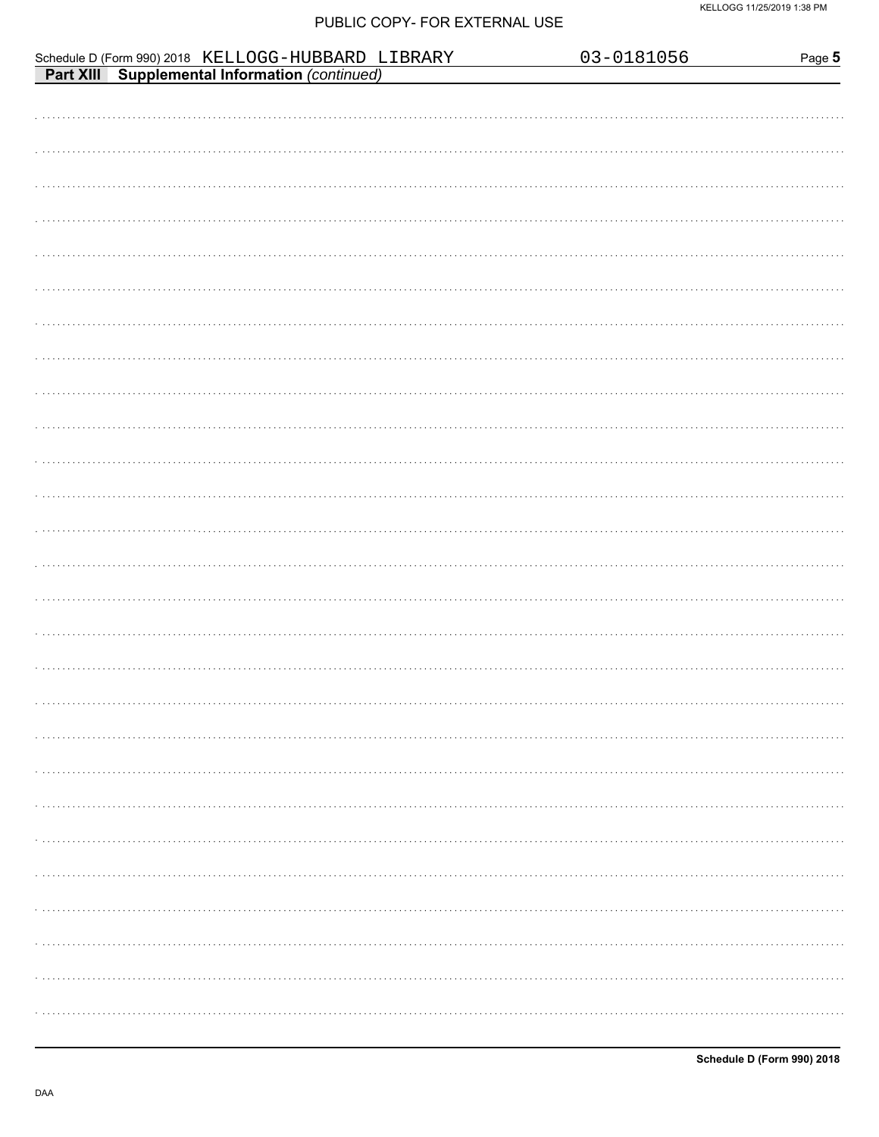|                                                                                                      | 03-0181056 | Page 5 |
|------------------------------------------------------------------------------------------------------|------------|--------|
| Schedule D (Form 990) 2018 KELLOGG-HUBBARD LIBRARY<br>Part XIII Supplemental Information (continued) |            |        |
|                                                                                                      |            |        |
|                                                                                                      |            |        |
|                                                                                                      |            |        |
|                                                                                                      |            |        |
|                                                                                                      |            |        |
|                                                                                                      |            |        |
|                                                                                                      |            |        |
|                                                                                                      |            |        |
|                                                                                                      |            |        |
|                                                                                                      |            |        |
|                                                                                                      |            |        |
|                                                                                                      |            |        |
|                                                                                                      |            |        |
|                                                                                                      |            |        |
|                                                                                                      |            |        |
|                                                                                                      |            |        |
|                                                                                                      |            |        |
|                                                                                                      |            |        |
|                                                                                                      |            |        |
|                                                                                                      |            |        |
|                                                                                                      |            |        |
|                                                                                                      |            |        |
|                                                                                                      |            |        |
|                                                                                                      |            |        |
|                                                                                                      |            |        |
|                                                                                                      |            |        |
|                                                                                                      |            |        |
|                                                                                                      |            |        |
|                                                                                                      |            |        |
|                                                                                                      |            |        |
|                                                                                                      |            |        |
|                                                                                                      |            |        |
|                                                                                                      |            |        |
|                                                                                                      |            |        |
|                                                                                                      |            |        |
|                                                                                                      |            |        |
|                                                                                                      |            |        |
|                                                                                                      |            |        |
|                                                                                                      |            |        |
|                                                                                                      |            |        |
|                                                                                                      |            |        |
|                                                                                                      |            |        |
|                                                                                                      |            |        |
|                                                                                                      |            |        |
|                                                                                                      |            |        |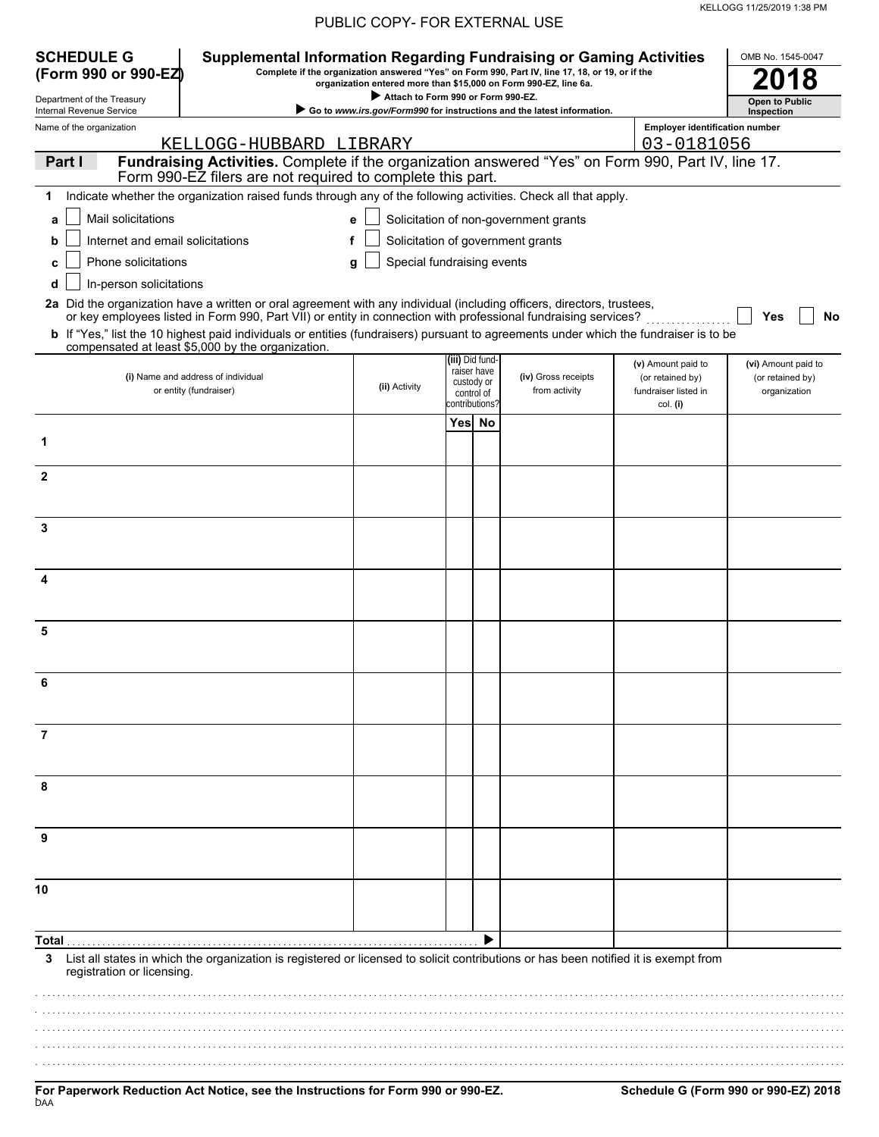| <b>SCHEDULE G</b><br>(Form 990 or 990-EZ) |                                  | <b>Supplemental Information Regarding Fundraising or Gaming Activities</b>                                                            |                                                                                                        |                 |                | Complete if the organization answered "Yes" on Form 990, Part IV, line 17, 18, or 19, or if the |                                       | OMB No. 1545-0047     |
|-------------------------------------------|----------------------------------|---------------------------------------------------------------------------------------------------------------------------------------|--------------------------------------------------------------------------------------------------------|-----------------|----------------|-------------------------------------------------------------------------------------------------|---------------------------------------|-----------------------|
| Department of the Treasury                |                                  |                                                                                                                                       | organization entered more than \$15,000 on Form 990-EZ, line 6a.<br>Attach to Form 990 or Form 990-EZ. |                 |                |                                                                                                 |                                       | <b>Open to Public</b> |
| Internal Revenue Service                  |                                  |                                                                                                                                       |                                                                                                        |                 |                | Go to www.irs.gov/Form990 for instructions and the latest information.                          |                                       | Inspection            |
| Name of the organization                  |                                  |                                                                                                                                       |                                                                                                        |                 |                |                                                                                                 | <b>Employer identification number</b> |                       |
| Part I                                    |                                  | KELLOGG-HUBBARD LIBRARY<br>Fundraising Activities. Complete if the organization answered "Yes" on Form 990, Part IV, line 17.         |                                                                                                        |                 |                |                                                                                                 | 03-0181056                            |                       |
|                                           |                                  | Form 990-EZ filers are not required to complete this part.                                                                            |                                                                                                        |                 |                |                                                                                                 |                                       |                       |
| 1                                         |                                  | Indicate whether the organization raised funds through any of the following activities. Check all that apply.                         |                                                                                                        |                 |                |                                                                                                 |                                       |                       |
| a                                         | Mail solicitations               |                                                                                                                                       | e                                                                                                      |                 |                | Solicitation of non-government grants                                                           |                                       |                       |
| b                                         | Internet and email solicitations |                                                                                                                                       |                                                                                                        |                 |                | Solicitation of government grants                                                               |                                       |                       |
| c                                         | Phone solicitations              |                                                                                                                                       | Special fundraising events                                                                             |                 |                |                                                                                                 |                                       |                       |
|                                           |                                  |                                                                                                                                       | g                                                                                                      |                 |                |                                                                                                 |                                       |                       |
| d                                         | In-person solicitations          | 2a Did the organization have a written or oral agreement with any individual (including officers, directors, trustees,                |                                                                                                        |                 |                |                                                                                                 |                                       |                       |
|                                           |                                  | or key employees listed in Form 990, Part VII) or entity in connection with professional fundraising services?                        |                                                                                                        |                 |                |                                                                                                 |                                       | Yes<br>No             |
|                                           |                                  | b If "Yes," list the 10 highest paid individuals or entities (fundraisers) pursuant to agreements under which the fundraiser is to be |                                                                                                        |                 |                |                                                                                                 |                                       |                       |
|                                           |                                  | compensated at least \$5,000 by the organization.                                                                                     |                                                                                                        | (iii) Did fund- |                |                                                                                                 | (v) Amount paid to                    | (vi) Amount paid to   |
|                                           |                                  | (i) Name and address of individual                                                                                                    |                                                                                                        | custody or      | raiser have    | (iv) Gross receipts                                                                             | (or retained by)                      | (or retained by)      |
|                                           |                                  | or entity (fundraiser)                                                                                                                | (ii) Activity                                                                                          | control of      | contributions? | from activity                                                                                   | fundraiser listed in<br>col. (i)      | organization          |
|                                           |                                  |                                                                                                                                       |                                                                                                        |                 | Yesl No        |                                                                                                 |                                       |                       |
| 1                                         |                                  |                                                                                                                                       |                                                                                                        |                 |                |                                                                                                 |                                       |                       |
|                                           |                                  |                                                                                                                                       |                                                                                                        |                 |                |                                                                                                 |                                       |                       |
| $\mathbf{2}$                              |                                  |                                                                                                                                       |                                                                                                        |                 |                |                                                                                                 |                                       |                       |
|                                           |                                  |                                                                                                                                       |                                                                                                        |                 |                |                                                                                                 |                                       |                       |
|                                           |                                  |                                                                                                                                       |                                                                                                        |                 |                |                                                                                                 |                                       |                       |
| 3                                         |                                  |                                                                                                                                       |                                                                                                        |                 |                |                                                                                                 |                                       |                       |
|                                           |                                  |                                                                                                                                       |                                                                                                        |                 |                |                                                                                                 |                                       |                       |
| 4                                         |                                  |                                                                                                                                       |                                                                                                        |                 |                |                                                                                                 |                                       |                       |
|                                           |                                  |                                                                                                                                       |                                                                                                        |                 |                |                                                                                                 |                                       |                       |
|                                           |                                  |                                                                                                                                       |                                                                                                        |                 |                |                                                                                                 |                                       |                       |
| 5                                         |                                  |                                                                                                                                       |                                                                                                        |                 |                |                                                                                                 |                                       |                       |
|                                           |                                  |                                                                                                                                       |                                                                                                        |                 |                |                                                                                                 |                                       |                       |
|                                           |                                  |                                                                                                                                       |                                                                                                        |                 |                |                                                                                                 |                                       |                       |
|                                           |                                  |                                                                                                                                       |                                                                                                        |                 |                |                                                                                                 |                                       |                       |
|                                           |                                  |                                                                                                                                       |                                                                                                        |                 |                |                                                                                                 |                                       |                       |
| 7                                         |                                  |                                                                                                                                       |                                                                                                        |                 |                |                                                                                                 |                                       |                       |
|                                           |                                  |                                                                                                                                       |                                                                                                        |                 |                |                                                                                                 |                                       |                       |
| 8                                         |                                  |                                                                                                                                       |                                                                                                        |                 |                |                                                                                                 |                                       |                       |
|                                           |                                  |                                                                                                                                       |                                                                                                        |                 |                |                                                                                                 |                                       |                       |
|                                           |                                  |                                                                                                                                       |                                                                                                        |                 |                |                                                                                                 |                                       |                       |
|                                           |                                  |                                                                                                                                       |                                                                                                        |                 |                |                                                                                                 |                                       |                       |
|                                           |                                  |                                                                                                                                       |                                                                                                        |                 |                |                                                                                                 |                                       |                       |
| 10                                        |                                  |                                                                                                                                       |                                                                                                        |                 |                |                                                                                                 |                                       |                       |
|                                           |                                  |                                                                                                                                       |                                                                                                        |                 |                |                                                                                                 |                                       |                       |
|                                           |                                  |                                                                                                                                       |                                                                                                        |                 |                |                                                                                                 |                                       |                       |
| Total                                     |                                  |                                                                                                                                       |                                                                                                        |                 |                |                                                                                                 |                                       |                       |
| 3                                         | registration or licensing.       | List all states in which the organization is registered or licensed to solicit contributions or has been notified it is exempt from   |                                                                                                        |                 |                |                                                                                                 |                                       |                       |
|                                           |                                  |                                                                                                                                       |                                                                                                        |                 |                |                                                                                                 |                                       |                       |
|                                           |                                  |                                                                                                                                       |                                                                                                        |                 |                |                                                                                                 |                                       |                       |
|                                           |                                  |                                                                                                                                       |                                                                                                        |                 |                |                                                                                                 |                                       |                       |
|                                           |                                  |                                                                                                                                       |                                                                                                        |                 |                |                                                                                                 |                                       |                       |
|                                           |                                  |                                                                                                                                       |                                                                                                        |                 |                |                                                                                                 |                                       |                       |

KELLOGG 11/25/2019 1:38 PM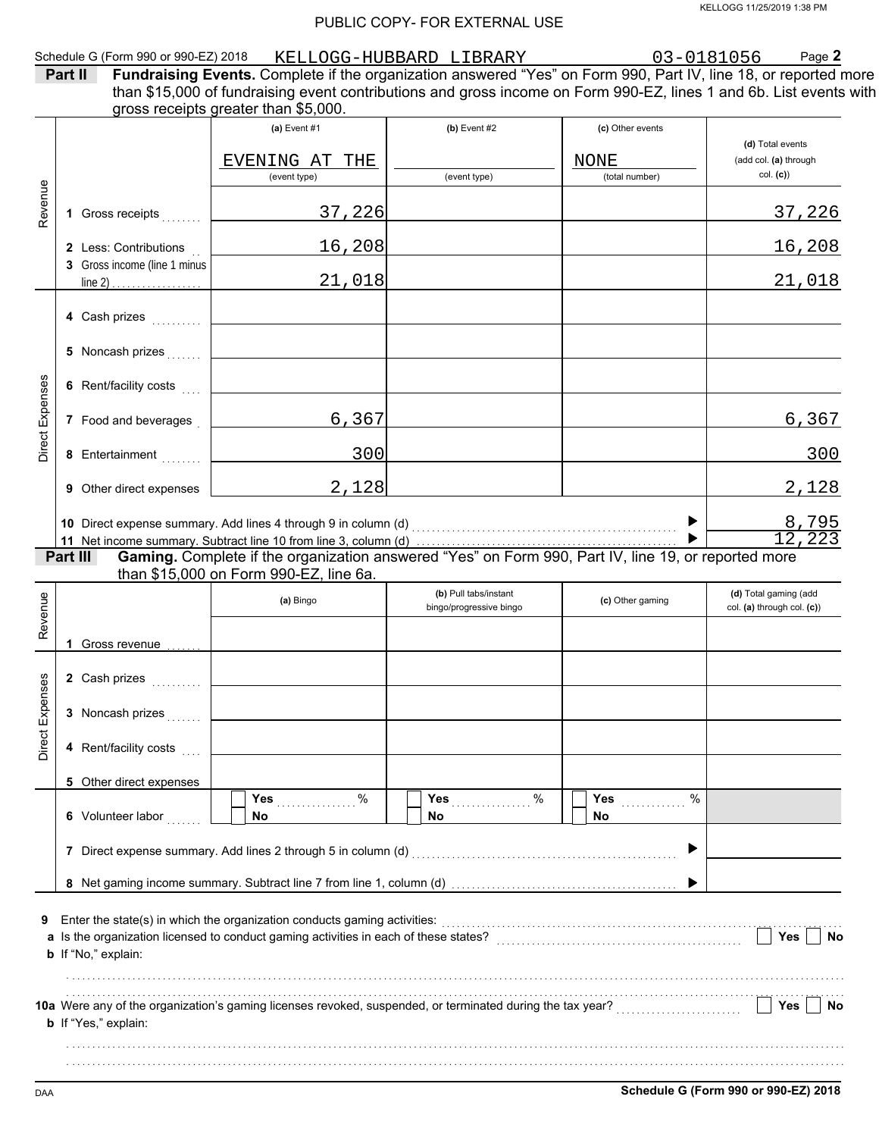| Schedule G (Form 990 or 990-EZ) 2018 | KELLOGG<br>HUBBARD | LIBRARY | 056 | $P$ age $\geq$ |
|--------------------------------------|--------------------|---------|-----|----------------|
|                                      |                    |         |     |                |

| Part II | <b>Fundraising Events.</b> Complete if the organization answered "Yes" on Form 990, Part IV, line 18, or reported more |
|---------|------------------------------------------------------------------------------------------------------------------------|
|         | than \$15,000 of fundraising event contributions and gross income on Form 990-EZ, lines 1 and 6b. List events with     |
|         | gross receipts greater than \$5,000.                                                                                   |

|                 |          |                              | (a) Event $#1$                                                                                                                                                                                                                  | (b) Event $#2$                                   | (c) Other events              |                                                     |
|-----------------|----------|------------------------------|---------------------------------------------------------------------------------------------------------------------------------------------------------------------------------------------------------------------------------|--------------------------------------------------|-------------------------------|-----------------------------------------------------|
|                 |          |                              |                                                                                                                                                                                                                                 |                                                  |                               | (d) Total events                                    |
|                 |          |                              | EVENING AT THE<br>(event type)                                                                                                                                                                                                  | (event type)                                     | <b>NONE</b><br>(total number) | (add col. (a) through<br>col. (c)                   |
|                 |          |                              |                                                                                                                                                                                                                                 |                                                  |                               |                                                     |
| Revenue         |          | 1 Gross receipts             | 37,226                                                                                                                                                                                                                          |                                                  |                               | 37,226                                              |
|                 |          | 2 Less: Contributions        | 16,208                                                                                                                                                                                                                          |                                                  |                               | 16,208                                              |
|                 |          | 3 Gross income (line 1 minus |                                                                                                                                                                                                                                 |                                                  |                               |                                                     |
|                 |          |                              | 21,018                                                                                                                                                                                                                          |                                                  |                               | 21,018                                              |
|                 |          |                              |                                                                                                                                                                                                                                 |                                                  |                               |                                                     |
|                 |          | 4 Cash prizes                |                                                                                                                                                                                                                                 |                                                  |                               |                                                     |
|                 |          |                              |                                                                                                                                                                                                                                 |                                                  |                               |                                                     |
|                 |          | 5 Noncash prizes             |                                                                                                                                                                                                                                 |                                                  |                               |                                                     |
|                 |          | 6 Rent/facility costs        |                                                                                                                                                                                                                                 |                                                  |                               |                                                     |
| Direct Expenses |          |                              |                                                                                                                                                                                                                                 |                                                  |                               |                                                     |
|                 |          | 7 Food and beverages         | 6,367                                                                                                                                                                                                                           |                                                  |                               | 6,367                                               |
|                 |          |                              |                                                                                                                                                                                                                                 |                                                  |                               |                                                     |
|                 |          | 8 Entertainment              | 300                                                                                                                                                                                                                             |                                                  |                               | 300                                                 |
|                 |          | 9 Other direct expenses      | 2,128                                                                                                                                                                                                                           |                                                  |                               | 2,128                                               |
|                 |          |                              |                                                                                                                                                                                                                                 |                                                  |                               |                                                     |
|                 |          |                              | 10 Direct expense summary. Add lines 4 through 9 in column (d) [11] Direct expenses summary. Add lines 4 through 9 in column (d) [11] $\sim$                                                                                    |                                                  |                               |                                                     |
|                 |          |                              |                                                                                                                                                                                                                                 |                                                  |                               | $\frac{8,795}{12,223}$                              |
|                 | Part III |                              | Gaming. Complete if the organization answered "Yes" on Form 990, Part IV, line 19, or reported more                                                                                                                             |                                                  |                               |                                                     |
|                 |          |                              | than \$15,000 on Form 990-EZ, line 6a.                                                                                                                                                                                          |                                                  |                               |                                                     |
|                 |          |                              | (a) Bingo                                                                                                                                                                                                                       | (b) Pull tabs/instant<br>bingo/progressive bingo | (c) Other gaming              | (d) Total gaming (add<br>col. (a) through col. (c)) |
| Revenue         |          |                              |                                                                                                                                                                                                                                 |                                                  |                               |                                                     |
|                 |          | 1 Gross revenue              |                                                                                                                                                                                                                                 |                                                  |                               |                                                     |
|                 |          |                              |                                                                                                                                                                                                                                 |                                                  |                               |                                                     |
|                 |          | 2 Cash prizes                |                                                                                                                                                                                                                                 |                                                  |                               |                                                     |
|                 |          |                              |                                                                                                                                                                                                                                 |                                                  |                               |                                                     |
|                 |          | 3 Noncash prizes             |                                                                                                                                                                                                                                 |                                                  |                               |                                                     |
| Direct Expenses |          | 4 Rent/facility costs        |                                                                                                                                                                                                                                 |                                                  |                               |                                                     |
|                 |          |                              |                                                                                                                                                                                                                                 |                                                  |                               |                                                     |
|                 |          | 5 Other direct expenses      |                                                                                                                                                                                                                                 |                                                  | %                             |                                                     |
|                 |          | 6 Volunteer labor            | Yes<br>%<br>No                                                                                                                                                                                                                  | Yes<br>%<br>.<br>No                              | Yes<br>No.                    |                                                     |
|                 |          |                              |                                                                                                                                                                                                                                 |                                                  |                               |                                                     |
|                 |          |                              | 7 Direct expense summary. Add lines 2 through 5 in column (d)                                                                                                                                                                   |                                                  | ▶                             |                                                     |
|                 |          |                              |                                                                                                                                                                                                                                 |                                                  |                               |                                                     |
|                 |          |                              |                                                                                                                                                                                                                                 |                                                  |                               |                                                     |
| 9               |          |                              | Enter the state(s) in which the organization conducts gaming activities:<br>[[[CONDERET] [[CONDERET PRESENSION CONDUCTS] and which the original which the organization of the original conducts of the original conducts of the |                                                  |                               |                                                     |
|                 |          |                              | a Is the organization licensed to conduct gaming activities in each of these states?                                                                                                                                            |                                                  |                               | Yes<br>No                                           |
|                 |          | b If "No," explain:          |                                                                                                                                                                                                                                 |                                                  |                               |                                                     |
|                 |          |                              |                                                                                                                                                                                                                                 |                                                  |                               |                                                     |
|                 |          |                              |                                                                                                                                                                                                                                 |                                                  |                               |                                                     |
|                 |          |                              | 10a Were any of the organization's gaming licenses revoked, suspended, or terminated during the tax year?                                                                                                                       |                                                  |                               | Yes<br><b>No</b>                                    |
|                 |          | <b>b</b> If "Yes," explain:  |                                                                                                                                                                                                                                 |                                                  |                               |                                                     |
|                 |          |                              |                                                                                                                                                                                                                                 |                                                  |                               |                                                     |
|                 |          |                              |                                                                                                                                                                                                                                 |                                                  |                               |                                                     |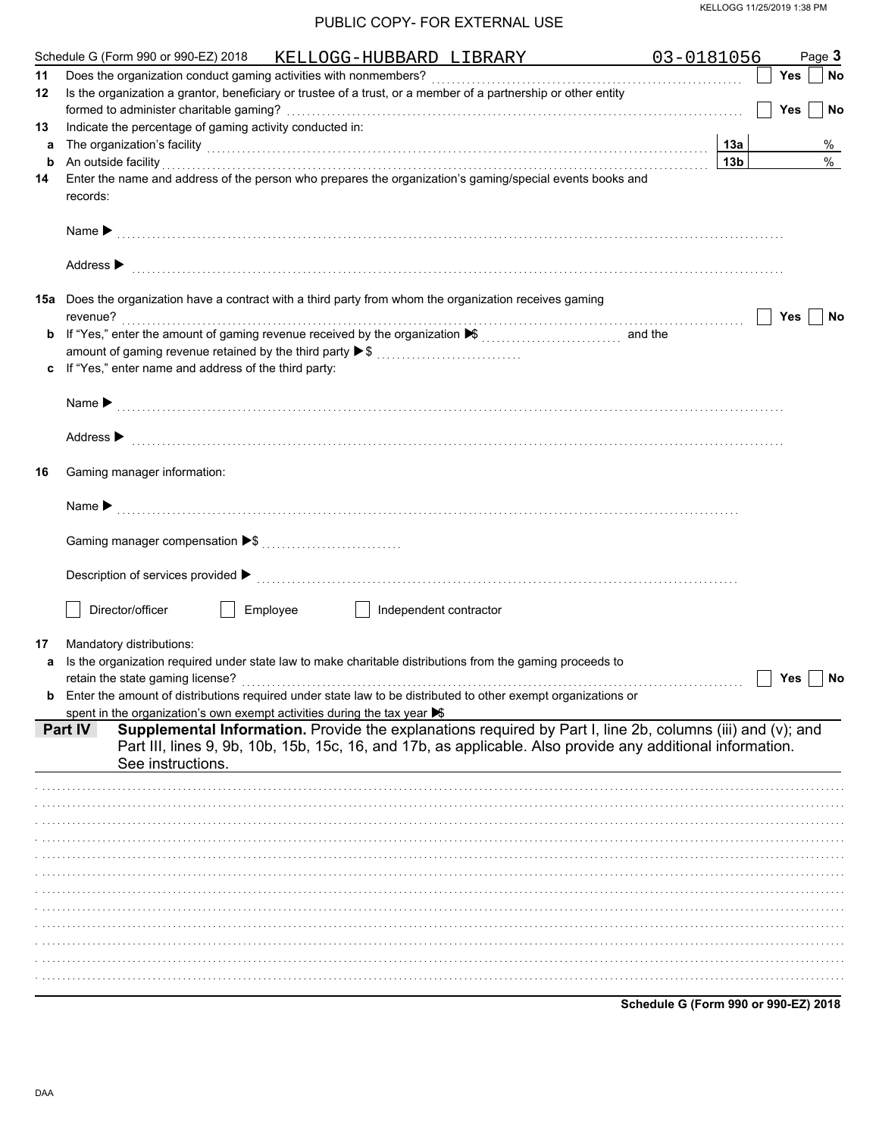|    | Schedule G (Form 990 or 990-EZ) 2018 KELLOGG-HUBBARD LIBRARY                                                                                                                                                                                              | 03-0181056                           | Page 3                  |
|----|-----------------------------------------------------------------------------------------------------------------------------------------------------------------------------------------------------------------------------------------------------------|--------------------------------------|-------------------------|
| 11 |                                                                                                                                                                                                                                                           |                                      | Yes<br>No               |
| 12 | Is the organization a grantor, beneficiary or trustee of a trust, or a member of a partnership or other entity                                                                                                                                            |                                      |                         |
|    |                                                                                                                                                                                                                                                           |                                      | <b>Yes</b><br><b>No</b> |
| 13 | Indicate the percentage of gaming activity conducted in:                                                                                                                                                                                                  |                                      |                         |
| а  | The organization's facility [1, 2010] The organization's facility [1, 2010] The organization's facility [1, 2010] The organization's facility [1, 2010] The organization's facility [1, 2010] The organization of the organiza                            | 13а                                  | %                       |
| b  | An outside facility encourance and account of the contract of the contract of the contract of the contract of the contract of the contract of the contract of the contract of the contract of the contract of the contract of                             | 13 <sub>b</sub>                      | $\%$                    |
| 14 | Enter the name and address of the person who prepares the organization's gaming/special events books and                                                                                                                                                  |                                      |                         |
|    | records:                                                                                                                                                                                                                                                  |                                      |                         |
|    |                                                                                                                                                                                                                                                           |                                      |                         |
|    |                                                                                                                                                                                                                                                           |                                      |                         |
|    |                                                                                                                                                                                                                                                           |                                      |                         |
|    | Address > the communication of the contract of the contract of the contract of the contract of the contract of the contract of the contract of the contract of the contract of the contract of the contract of the contract of                            |                                      |                         |
|    |                                                                                                                                                                                                                                                           |                                      |                         |
|    | <b>15a</b> Does the organization have a contract with a third party from whom the organization receives gaming                                                                                                                                            |                                      |                         |
|    | revenue?                                                                                                                                                                                                                                                  |                                      | Yes<br>No               |
|    |                                                                                                                                                                                                                                                           |                                      |                         |
|    | amount of gaming revenue retained by the third party ▶ \$                                                                                                                                                                                                 |                                      |                         |
| C  | If "Yes," enter name and address of the third party:                                                                                                                                                                                                      |                                      |                         |
|    |                                                                                                                                                                                                                                                           |                                      |                         |
|    |                                                                                                                                                                                                                                                           |                                      |                         |
|    |                                                                                                                                                                                                                                                           |                                      |                         |
|    | Address > medical contract of the contract of the contract of the contract of the contract of the contract of the contract of the contract of the contract of the contract of the contract of the contract of the contract of                             |                                      |                         |
|    |                                                                                                                                                                                                                                                           |                                      |                         |
| 16 | Gaming manager information:                                                                                                                                                                                                                               |                                      |                         |
|    |                                                                                                                                                                                                                                                           |                                      |                         |
|    |                                                                                                                                                                                                                                                           |                                      |                         |
|    |                                                                                                                                                                                                                                                           |                                      |                         |
|    |                                                                                                                                                                                                                                                           |                                      |                         |
|    |                                                                                                                                                                                                                                                           |                                      |                         |
|    | Description of services provided $\blacktriangleright$ [100] contract the contract of the contract of services provided $\blacktriangleright$ [100] contract the contract of the contract of the contract of the contract of the contract of the contract |                                      |                         |
|    |                                                                                                                                                                                                                                                           |                                      |                         |
|    | Director/officer<br>Employee<br>Independent contractor                                                                                                                                                                                                    |                                      |                         |
|    |                                                                                                                                                                                                                                                           |                                      |                         |
| 17 | Mandatory distributions:                                                                                                                                                                                                                                  |                                      |                         |
| a  | Is the organization required under state law to make charitable distributions from the gaming proceeds to                                                                                                                                                 |                                      |                         |
|    |                                                                                                                                                                                                                                                           |                                      | Yes<br>No               |
|    | Enter the amount of distributions required under state law to be distributed to other exempt organizations or                                                                                                                                             |                                      |                         |
|    | spent in the organization's own exempt activities during the tax year $\blacktriangleright$                                                                                                                                                               |                                      |                         |
|    | Supplemental Information. Provide the explanations required by Part I, line 2b, columns (iii) and (v); and<br>Part IV                                                                                                                                     |                                      |                         |
|    | Part III, lines 9, 9b, 10b, 15b, 15c, 16, and 17b, as applicable. Also provide any additional information.                                                                                                                                                |                                      |                         |
|    | See instructions.                                                                                                                                                                                                                                         |                                      |                         |
|    |                                                                                                                                                                                                                                                           |                                      |                         |
|    |                                                                                                                                                                                                                                                           |                                      |                         |
|    |                                                                                                                                                                                                                                                           |                                      |                         |
|    |                                                                                                                                                                                                                                                           |                                      |                         |
|    |                                                                                                                                                                                                                                                           |                                      |                         |
|    |                                                                                                                                                                                                                                                           |                                      |                         |
|    |                                                                                                                                                                                                                                                           |                                      |                         |
|    |                                                                                                                                                                                                                                                           |                                      |                         |
|    |                                                                                                                                                                                                                                                           |                                      |                         |
|    |                                                                                                                                                                                                                                                           |                                      |                         |
|    |                                                                                                                                                                                                                                                           |                                      |                         |
|    |                                                                                                                                                                                                                                                           |                                      |                         |
|    |                                                                                                                                                                                                                                                           |                                      |                         |
|    |                                                                                                                                                                                                                                                           |                                      |                         |
|    |                                                                                                                                                                                                                                                           | Schedule G (Form 990 or 990-EZ) 2018 |                         |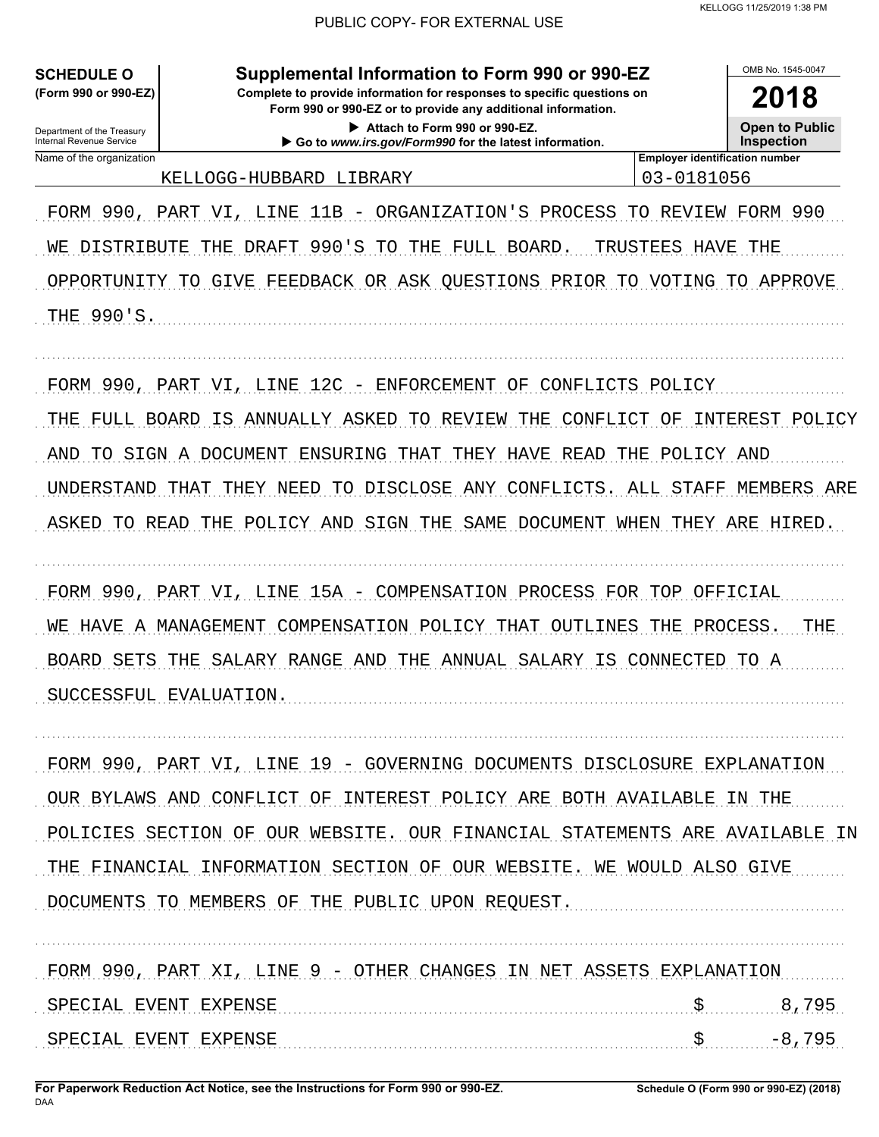**SCHEDULE O** (Form 990 or 990-EZ)

Department of the Treasury

Internal Revenue Service

Complete to provide information for responses to specific questions on Form 990 or 990-EZ or to provide any additional information.

Supplemental Information to Form 990 or 990-EZ

2018 **Open to Public Inspection** 

OMB No. 1545-0047

Attach to Form 990 or 990-EZ. Go to www.irs.gov/Form990 for the latest information.

Name of the organization KELLOGG-HUBBARD LIBRARY **Employer identification number** 03-0181056

FORM 990, PART VI, LINE 11B - ORGANIZATION'S PROCESS TO REVIEW FORM 990 WE DISTRIBUTE THE DRAFT 990'S TO THE FULL BOARD. TRUSTEES HAVE THE OPPORTUNITY TO GIVE FEEDBACK OR ASK QUESTIONS PRIOR TO VOTING TO APPROVE THE 990'S.

FORM 990, PART VI, LINE 12C - ENFORCEMENT OF CONFLICTS POLICY

THE FULL BOARD IS ANNUALLY ASKED TO REVIEW THE CONFLICT OF INTEREST POLICY AND TO SIGN A DOCUMENT ENSURING THAT THEY HAVE READ THE POLICY AND UNDERSTAND THAT THEY NEED TO DISCLOSE ANY CONFLICTS. ALL STAFF MEMBERS ARE ASKED TO READ THE POLICY AND SIGN THE SAME DOCUMENT WHEN THEY ARE HIRED.

FORM 990, PART VI, LINE 15A - COMPENSATION PROCESS FOR TOP OFFICIAL WE HAVE A MANAGEMENT COMPENSATION POLICY THAT OUTLINES THE PROCESS. THE BOARD SETS THE SALARY RANGE AND THE ANNUAL SALARY IS CONNECTED TO A SUCCESSFUL EVALUATION.

FORM 990, PART VI, LINE 19 - GOVERNING DOCUMENTS DISCLOSURE EXPLANATION OUR BYLAWS AND CONFLICT OF INTEREST POLICY ARE BOTH AVAILABLE IN THE POLICIES SECTION OF OUR WEBSITE. OUR FINANCIAL STATEMENTS ARE AVAILABLE IN THE FINANCIAL INFORMATION SECTION OF OUR WEBSITE. WE WOULD ALSO GIVE DOCUMENTS TO MEMBERS OF THE PUBLIC UPON REQUEST.

FORM 990, PART XI, LINE 9 - OTHER CHANGES IN NET ASSETS EXPLANATION SPECIAL EVENT EXPENSE \$ 8,795 SPECIAL EVENT EXPENSE  $\mathbf{s}$  $-8,795$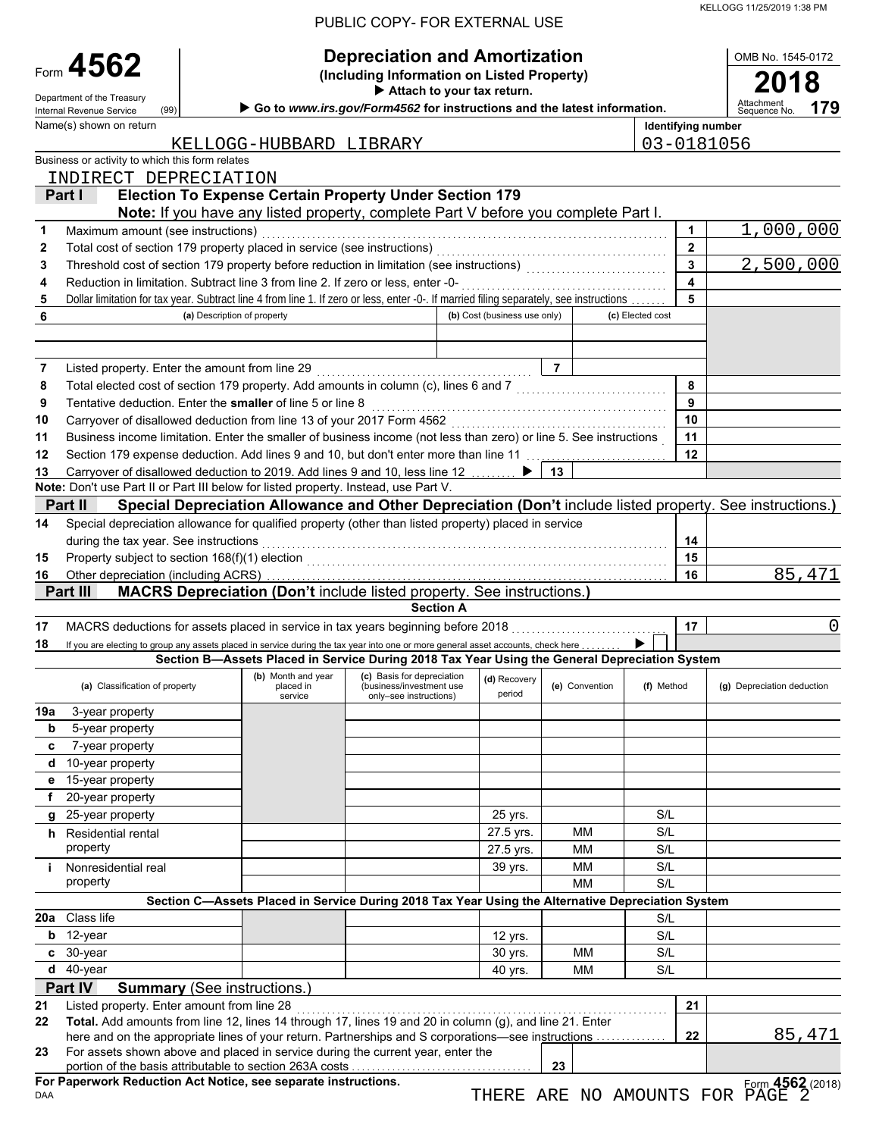|        |                                                                                                                                                                     |                                    |                                            | <u>UDLIU UUF ITI UN LATLINNAL UJL</u>                                                             |                              |                                                         |                    |                   |                                                                                                          |
|--------|---------------------------------------------------------------------------------------------------------------------------------------------------------------------|------------------------------------|--------------------------------------------|---------------------------------------------------------------------------------------------------|------------------------------|---------------------------------------------------------|--------------------|-------------------|----------------------------------------------------------------------------------------------------------|
|        | Form 4562                                                                                                                                                           |                                    |                                            | <b>Depreciation and Amortization</b><br>(Including Information on Listed Property)                |                              |                                                         |                    |                   | OMB No. 1545-0172                                                                                        |
|        |                                                                                                                                                                     |                                    |                                            | Attach to your tax return.                                                                        |                              |                                                         |                    |                   |                                                                                                          |
|        | Department of the Treasury<br>(99)<br>Internal Revenue Service                                                                                                      |                                    |                                            | Go to www.irs.gov/Form4562 for instructions and the latest information.                           |                              |                                                         |                    |                   | Attachmen<br>179<br>Sequence No.                                                                         |
|        | Name(s) shown on return                                                                                                                                             |                                    |                                            |                                                                                                   |                              |                                                         | Identifying number |                   |                                                                                                          |
|        |                                                                                                                                                                     |                                    | KELLOGG-HUBBARD LIBRARY                    |                                                                                                   |                              |                                                         | 03-0181056         |                   |                                                                                                          |
|        | Business or activity to which this form relates                                                                                                                     |                                    |                                            |                                                                                                   |                              |                                                         |                    |                   |                                                                                                          |
|        | INDIRECT DEPRECIATION                                                                                                                                               |                                    |                                            |                                                                                                   |                              |                                                         |                    |                   |                                                                                                          |
|        | Part I                                                                                                                                                              |                                    |                                            | <b>Election To Expense Certain Property Under Section 179</b>                                     |                              |                                                         |                    |                   |                                                                                                          |
|        |                                                                                                                                                                     |                                    |                                            | Note: If you have any listed property, complete Part V before you complete Part I.                |                              |                                                         |                    |                   |                                                                                                          |
| 1      | Maximum amount (see instructions)                                                                                                                                   |                                    |                                            |                                                                                                   |                              |                                                         |                    | 1<br>$\mathbf{2}$ | 1,000,000                                                                                                |
| 2<br>3 | Total cost of section 179 property placed in service (see instructions)<br>Threshold cost of section 179 property before reduction in limitation (see instructions) |                                    |                                            |                                                                                                   |                              |                                                         |                    | 3                 | 2,500,000                                                                                                |
| 4      | Reduction in limitation. Subtract line 3 from line 2. If zero or less, enter -0-                                                                                    |                                    |                                            |                                                                                                   |                              |                                                         |                    | 4                 |                                                                                                          |
| 5      | Dollar limitation for tax year. Subtract line 4 from line 1. If zero or less, enter -0-. If married filing separately, see instructions                             |                                    |                                            |                                                                                                   |                              |                                                         |                    | 5                 |                                                                                                          |
| 6      |                                                                                                                                                                     | (a) Description of property        |                                            |                                                                                                   | (b) Cost (business use only) |                                                         | (c) Elected cost   |                   |                                                                                                          |
|        |                                                                                                                                                                     |                                    |                                            |                                                                                                   |                              |                                                         |                    |                   |                                                                                                          |
|        |                                                                                                                                                                     |                                    |                                            |                                                                                                   |                              |                                                         |                    |                   |                                                                                                          |
| 7      | Listed property. Enter the amount from line 29                                                                                                                      |                                    |                                            |                                                                                                   |                              | $\overline{7}$                                          |                    |                   |                                                                                                          |
| 8      | Total elected cost of section 179 property. Add amounts in column (c), lines 6 and 7                                                                                |                                    |                                            |                                                                                                   |                              | <u> 1986 - Johann Stoff, martin francuski filozof (</u> |                    | 8                 |                                                                                                          |
| 9      | Tentative deduction. Enter the smaller of line 5 or line 8                                                                                                          |                                    |                                            |                                                                                                   |                              |                                                         |                    | 9                 |                                                                                                          |
| 10     | Carryover of disallowed deduction from line 13 of your 2017 Form 4562                                                                                               |                                    |                                            |                                                                                                   |                              |                                                         |                    | 10                |                                                                                                          |
| 11     | Business income limitation. Enter the smaller of business income (not less than zero) or line 5. See instructions                                                   |                                    |                                            |                                                                                                   |                              |                                                         |                    | 11                |                                                                                                          |
| 12     | Section 179 expense deduction. Add lines 9 and 10, but don't enter more than line 11                                                                                |                                    |                                            |                                                                                                   |                              |                                                         |                    | 12                |                                                                                                          |
| 13     | Carryover of disallowed deduction to 2019. Add lines 9 and 10, less line 12                                                                                         |                                    |                                            |                                                                                                   |                              | 13                                                      |                    |                   |                                                                                                          |
|        | Note: Don't use Part II or Part III below for listed property. Instead, use Part V.<br>Part II                                                                      |                                    |                                            |                                                                                                   |                              |                                                         |                    |                   | Special Depreciation Allowance and Other Depreciation (Don't include listed property. See instructions.) |
| 14     | Special depreciation allowance for qualified property (other than listed property) placed in service                                                                |                                    |                                            |                                                                                                   |                              |                                                         |                    |                   |                                                                                                          |
|        | during the tax year. See instructions                                                                                                                               |                                    |                                            |                                                                                                   |                              |                                                         |                    | 14                |                                                                                                          |
| 15     | Property subject to section 168(f)(1) election                                                                                                                      |                                    |                                            |                                                                                                   |                              |                                                         |                    | 15                |                                                                                                          |
| 16     |                                                                                                                                                                     |                                    |                                            |                                                                                                   |                              |                                                         |                    | 16                | 85,471                                                                                                   |
|        | Part III                                                                                                                                                            |                                    |                                            | <b>MACRS Depreciation (Don't include listed property. See instructions.)</b>                      |                              |                                                         |                    |                   |                                                                                                          |
|        |                                                                                                                                                                     |                                    |                                            | <b>Section A</b>                                                                                  |                              |                                                         |                    |                   |                                                                                                          |
| 17     | MACRS deductions for assets placed in service in tax years beginning before 2018                                                                                    |                                    |                                            |                                                                                                   |                              |                                                         |                    | 17                | 0                                                                                                        |
| 18     | If you are electing to group any assets placed in service during the tax year into one or more general asset accounts, check here                                   |                                    |                                            |                                                                                                   |                              |                                                         |                    |                   |                                                                                                          |
|        |                                                                                                                                                                     |                                    |                                            | Section B-Assets Placed in Service During 2018 Tax Year Using the General Depreciation System     |                              |                                                         |                    |                   |                                                                                                          |
|        | (a) Classification of property                                                                                                                                      |                                    | (b) Month and year<br>placed in<br>service | (c) Basis for depreciation<br>(business/investment use<br>only-see instructions)                  | (d) Recovery<br>period       | (e) Convention                                          | (f) Method         |                   | (g) Depreciation deduction                                                                               |
| 19a    | 3-year property                                                                                                                                                     |                                    |                                            |                                                                                                   |                              |                                                         |                    |                   |                                                                                                          |
| b      | 5-year property                                                                                                                                                     |                                    |                                            |                                                                                                   |                              |                                                         |                    |                   |                                                                                                          |
| с      | 7-year property                                                                                                                                                     |                                    |                                            |                                                                                                   |                              |                                                         |                    |                   |                                                                                                          |
| d      | 10-year property                                                                                                                                                    |                                    |                                            |                                                                                                   |                              |                                                         |                    |                   |                                                                                                          |
| е      | 15-year property                                                                                                                                                    |                                    |                                            |                                                                                                   |                              |                                                         |                    |                   |                                                                                                          |
| f      | 20-year property                                                                                                                                                    |                                    |                                            |                                                                                                   |                              |                                                         |                    |                   |                                                                                                          |
| g      | 25-year property                                                                                                                                                    |                                    |                                            |                                                                                                   | 25 yrs.                      |                                                         | S/L                |                   |                                                                                                          |
|        | h Residential rental<br>property                                                                                                                                    |                                    |                                            |                                                                                                   | 27.5 yrs.                    | <b>MM</b><br>MМ                                         | S/L<br>S/L         |                   |                                                                                                          |
| i.     | Nonresidential real                                                                                                                                                 |                                    |                                            |                                                                                                   | 27.5 yrs.<br>39 yrs.         | MМ                                                      | S/L                |                   |                                                                                                          |
|        | property                                                                                                                                                            |                                    |                                            |                                                                                                   |                              | <b>MM</b>                                               | S/L                |                   |                                                                                                          |
|        |                                                                                                                                                                     |                                    |                                            | Section C-Assets Placed in Service During 2018 Tax Year Using the Alternative Depreciation System |                              |                                                         |                    |                   |                                                                                                          |
| 20a    | Class life                                                                                                                                                          |                                    |                                            |                                                                                                   |                              |                                                         | S/L                |                   |                                                                                                          |
| b      | 12-year                                                                                                                                                             |                                    |                                            |                                                                                                   | 12 yrs.                      |                                                         | S/L                |                   |                                                                                                          |
| C      | 30-year                                                                                                                                                             |                                    |                                            |                                                                                                   | 30 yrs.                      | MМ                                                      | S/L                |                   |                                                                                                          |
| d      | 40-year                                                                                                                                                             |                                    |                                            |                                                                                                   | 40 yrs.                      | MМ                                                      | S/L                |                   |                                                                                                          |
|        | Part IV                                                                                                                                                             | <b>Summary (See instructions.)</b> |                                            |                                                                                                   |                              |                                                         |                    |                   |                                                                                                          |
| 21     | Listed property. Enter amount from line 28                                                                                                                          |                                    |                                            |                                                                                                   |                              |                                                         |                    | 21                |                                                                                                          |
| 22     | Total. Add amounts from line 12, lines 14 through 17, lines 19 and 20 in column (g), and line 21. Enter                                                             |                                    |                                            |                                                                                                   |                              |                                                         |                    |                   |                                                                                                          |
|        | here and on the appropriate lines of your return. Partnerships and S corporations—see instructions                                                                  |                                    |                                            |                                                                                                   |                              |                                                         |                    | 22                | 85,471                                                                                                   |
| 23     | For assets shown above and placed in service during the current year, enter the                                                                                     |                                    |                                            |                                                                                                   |                              | 23                                                      |                    |                   |                                                                                                          |
|        | For Paperwork Reduction Act Notice, see separate instructions.                                                                                                      |                                    |                                            |                                                                                                   |                              |                                                         |                    |                   | Form 4562 (2018)                                                                                         |
| DAA    |                                                                                                                                                                     |                                    |                                            |                                                                                                   |                              |                                                         |                    |                   | THERE ARE NO AMOUNTS FOR PAGE 2                                                                          |

KELLOGG 11/25/2019 1:38 PM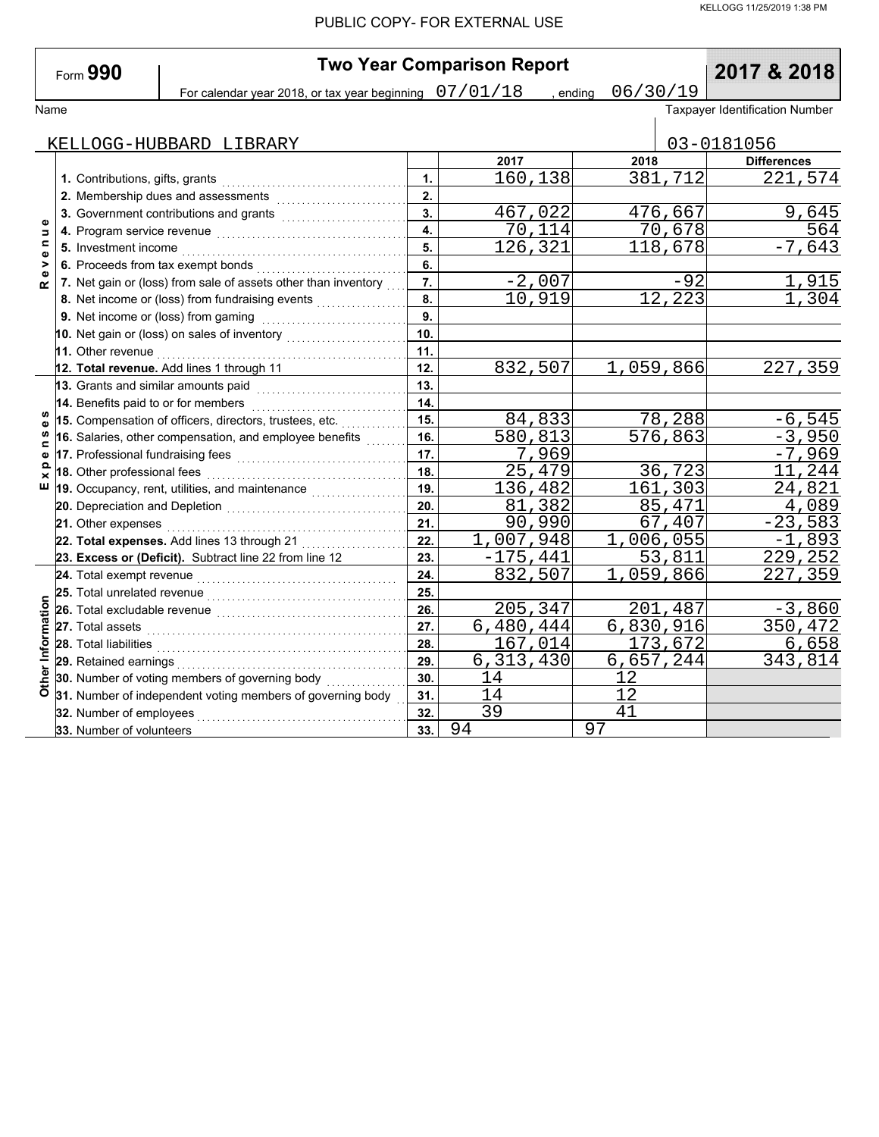|  | Form 990 |
|--|----------|
|--|----------|

Name | כ ב / ט כ / ט ס | אווטוופ | ס ב / ט כ | ס ב / ס ב / ס ב / ס ב / ס ב / ס ב / ס ב / ס ב / ס ב / ס ב / ס ב<br>Taxpayer Identification Number **Two Year Comparison Report**<br> **Drips are beginning** 07/01/18 , ending 06/30/19 **2017 & 2018** For calendar year 2018, or tax year beginning  $\left( \frac{07}{01}/18 \right)$ , ending  $\left. \frac{06}{30}/19 \right.$ 

|                                | KELLOGG-HUBBARD LIBRARY                                                                                                                                                                                                             |              |                           |           |                      | 03-0181056         |
|--------------------------------|-------------------------------------------------------------------------------------------------------------------------------------------------------------------------------------------------------------------------------------|--------------|---------------------------|-----------|----------------------|--------------------|
|                                |                                                                                                                                                                                                                                     |              | 2017                      | 2018      |                      | <b>Differences</b> |
|                                | 1. Contributions, gifts, grants                                                                                                                                                                                                     | $\mathbf{1}$ | 160,138                   |           | 381,712              | 221,574            |
|                                |                                                                                                                                                                                                                                     | 2.           |                           |           |                      |                    |
|                                | 3. Government contributions and grants                                                                                                                                                                                              | 3.           | 467,022                   |           | 476,667              | 9,645              |
| $\bullet$<br>Б                 |                                                                                                                                                                                                                                     | 4.           | 70,114                    |           | 70,678               | 564                |
| $\mathbf{C}$<br>$\pmb{\omega}$ | 5. Investment income                                                                                                                                                                                                                | 5.           | 126,321                   |           | 118,678              | $-7,643$           |
| >                              | 6. Proceeds from tax exempt bonds                                                                                                                                                                                                   | 6.           |                           |           |                      |                    |
| Φ<br>œ                         | 7. Net gain or (loss) from sale of assets other than inventory                                                                                                                                                                      | 7.           | $-2,007$                  |           | $-92$                | <u>1,915</u>       |
|                                | 8. Net income or (loss) from fundraising events                                                                                                                                                                                     | 8.           | 10,919                    |           | 12,223               | 1,304              |
|                                | 9. Net income or (loss) from gaming                                                                                                                                                                                                 | 9.           |                           |           |                      |                    |
|                                |                                                                                                                                                                                                                                     | 10.          |                           |           |                      |                    |
|                                | 11. Other revenue <b>construction</b> of the contract of the construction of the construction of the construction of the construction of the construction of the construction of the construction of the construction of the constr | 11.          |                           |           |                      |                    |
|                                | 12. Total revenue. Add lines 1 through 11                                                                                                                                                                                           | 12.          | 832,507                   | 1,059,866 |                      | 227,359            |
|                                | 13. Grants and similar amounts paid                                                                                                                                                                                                 | 13.          |                           |           |                      |                    |
|                                | 14. Benefits paid to or for members                                                                                                                                                                                                 | 14.          |                           |           |                      |                    |
| ဖာ<br>Φ                        | 15. Compensation of officers, directors, trustees, etc.                                                                                                                                                                             | 15.          | 84,833                    |           | 78,288               | $-6,545$           |
| $\mathbf{C}$                   | 16. Salaries, other compensation, and employee benefits                                                                                                                                                                             | 16.          | 580,813                   |           | $\overline{576,863}$ | $-3,950$           |
| Ф                              | 17. Professional fundraising fees                                                                                                                                                                                                   | 17.          | 7,969                     |           |                      | $-7,969$           |
| $\times$                       | 18. Other professional fees                                                                                                                                                                                                         | 18.          | 25,479                    |           | 36,723               | 11,244             |
| ш                              | 19. Occupancy, rent, utilities, and maintenance                                                                                                                                                                                     | 19.          | 136,482                   |           | 161,303              | 24,821             |
|                                |                                                                                                                                                                                                                                     | 20.          | 81,382                    |           | 85,471               | 4,089              |
|                                | 21. Other expenses                                                                                                                                                                                                                  | 21.          | 90,990                    |           | 67,407               | $-23,583$          |
|                                | 22. Total expenses. Add lines 13 through 21                                                                                                                                                                                         | 22.          | 1,007,948                 | 1,006,055 |                      | $-1,893$           |
|                                | 23. Excess or (Deficit). Subtract line 22 from line 12                                                                                                                                                                              | 23.          | $-175,441$                |           | 53,811               | 229,252            |
|                                | 24. Total exempt revenue                                                                                                                                                                                                            | 24.          | 832,507                   | 1,059,866 |                      | 227,359            |
|                                | 25. Total unrelated revenue                                                                                                                                                                                                         | 25.          |                           |           |                      |                    |
|                                | 26. Total excludable revenue                                                                                                                                                                                                        | 26.          | 205,347                   |           | 201,487              | $-3,860$           |
|                                | 27. Total assets                                                                                                                                                                                                                    | 27.          | $\overline{6}$ , 480, 444 | 6,830,916 |                      | 350, 472           |
|                                | 28. Total liabilities                                                                                                                                                                                                               | 28.          | 167,014                   |           | 173,672              | 6,658              |
|                                | 29. Retained earnings                                                                                                                                                                                                               | 29.          | 6,313,430                 | 6,657,244 |                      | 343,814            |
| Other Information              | 30. Number of voting members of governing body                                                                                                                                                                                      | 30.          | 14                        | 12        |                      |                    |
|                                | 31. Number of independent voting members of governing body                                                                                                                                                                          | 31.          | 14                        | 12        |                      |                    |
|                                | 32. Number of employees                                                                                                                                                                                                             | 32.          | 39                        | 41        |                      |                    |
|                                | 33. Number of volunteers                                                                                                                                                                                                            | 33.          | 94                        | 97        |                      |                    |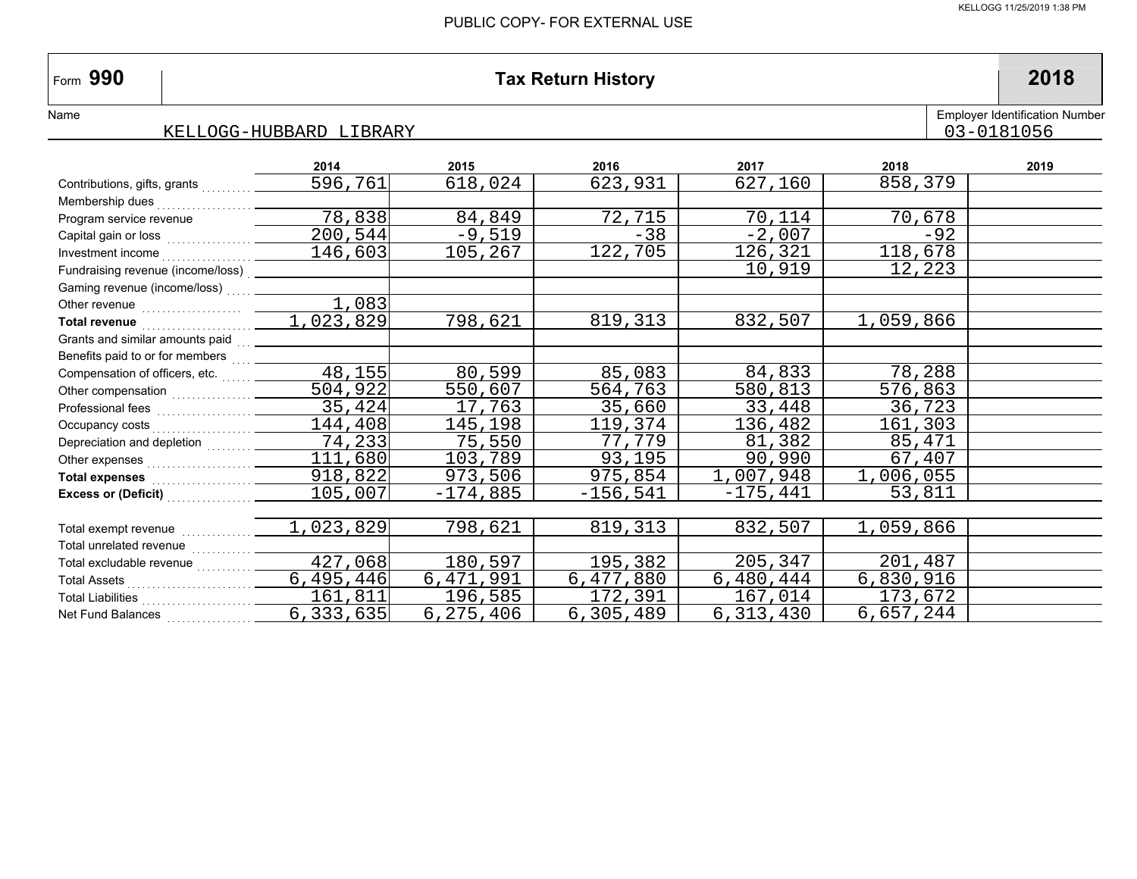# **990 Tax Return History 2018**

#### KELLOGG-HUBBARD LIBRARY

|                                                                                                                                                                                                                                    | 2014      | 2015       | 2016        | 2017       | 2018      | 2019 |
|------------------------------------------------------------------------------------------------------------------------------------------------------------------------------------------------------------------------------------|-----------|------------|-------------|------------|-----------|------|
| Contributions, gifts, grants                                                                                                                                                                                                       | 596,761   | 618,024    | 623,931     | 627,160    | 858,379   |      |
|                                                                                                                                                                                                                                    |           |            |             |            |           |      |
| Program service revenue                                                                                                                                                                                                            | 78,838    | 84,849     | 72,715      | 70,114     | 70,678    |      |
| Capital gain or loss                                                                                                                                                                                                               | 200, 544  | -9,519     | $-38$       | $-2,007$   | $-92$     |      |
| Investment income                                                                                                                                                                                                                  | 146,603   | 105,267    | 122,705     | 126,321    | 118,678   |      |
| Fundraising revenue (income/loss) __                                                                                                                                                                                               |           |            |             | 10,919     | 12,223    |      |
| Gaming revenue (income/loss)                                                                                                                                                                                                       |           |            |             |            |           |      |
|                                                                                                                                                                                                                                    | 1,083     |            |             |            |           |      |
| Total revenue March March 1999                                                                                                                                                                                                     | 1,023,829 | 798,621    | 819,313     | 832,507    | 1,059,866 |      |
|                                                                                                                                                                                                                                    |           |            |             |            |           |      |
| Benefits paid to or for members  ______                                                                                                                                                                                            |           |            |             |            |           |      |
| Compensation of officers, etc.                                                                                                                                                                                                     | 48,155    | 80,599     | 85,083      | 84,833     | 78,288    |      |
|                                                                                                                                                                                                                                    | 504,922   | 550,607    | 564,763     | 580,813    | 576,863   |      |
|                                                                                                                                                                                                                                    | 35, 424   | 17,763     | 35,660      | 33,448     | 36,723    |      |
|                                                                                                                                                                                                                                    | 144,408   | 145,198    | 119,374     | 136,482    | 161,303   |      |
| Depreciation and depletion                                                                                                                                                                                                         | 74,233    | 75,550     | 77,779      | 81,382     | 85,471    |      |
|                                                                                                                                                                                                                                    | 111,680   | 103,789    | 93,195      | 90,990     | 67,407    |      |
| Total expenses <b>Manual</b> State State State State State State State State State State State State State State State State State State State State State State State State State State State State State State State State State | 918,822   | 973,506    | 975,854     | 1,007,948  | 1,006,055 |      |
| Excess or (Deficit)                                                                                                                                                                                                                | 105,007   | $-174,885$ | $-156, 541$ | $-175,441$ | 53,811    |      |
|                                                                                                                                                                                                                                    |           |            |             |            |           |      |
| Total exempt revenue                                                                                                                                                                                                               | 1,023,829 | 798,621    | 819, 313    | 832,507    | 1,059,866 |      |
|                                                                                                                                                                                                                                    |           |            |             |            |           |      |
| Total excludable revenue                                                                                                                                                                                                           | 427,068   | 180,597    | 195,382     | 205,347    | 201,487   |      |
|                                                                                                                                                                                                                                    | 6,495,446 | 6,471,991  | 6,477,880   | 6,480,444  | 6,830,916 |      |
|                                                                                                                                                                                                                                    | 161,811   | 196,585    | 172,391     | 167,014    | 173,672   |      |
| Net Fund Balances                                                                                                                                                                                                                  | 6,333,635 | 6,275,406  | 6,305,489   | 6,313,430  | 6,657,244 |      |

Employer Identification Number

03-0181056

 $\vert$ Form 990

Name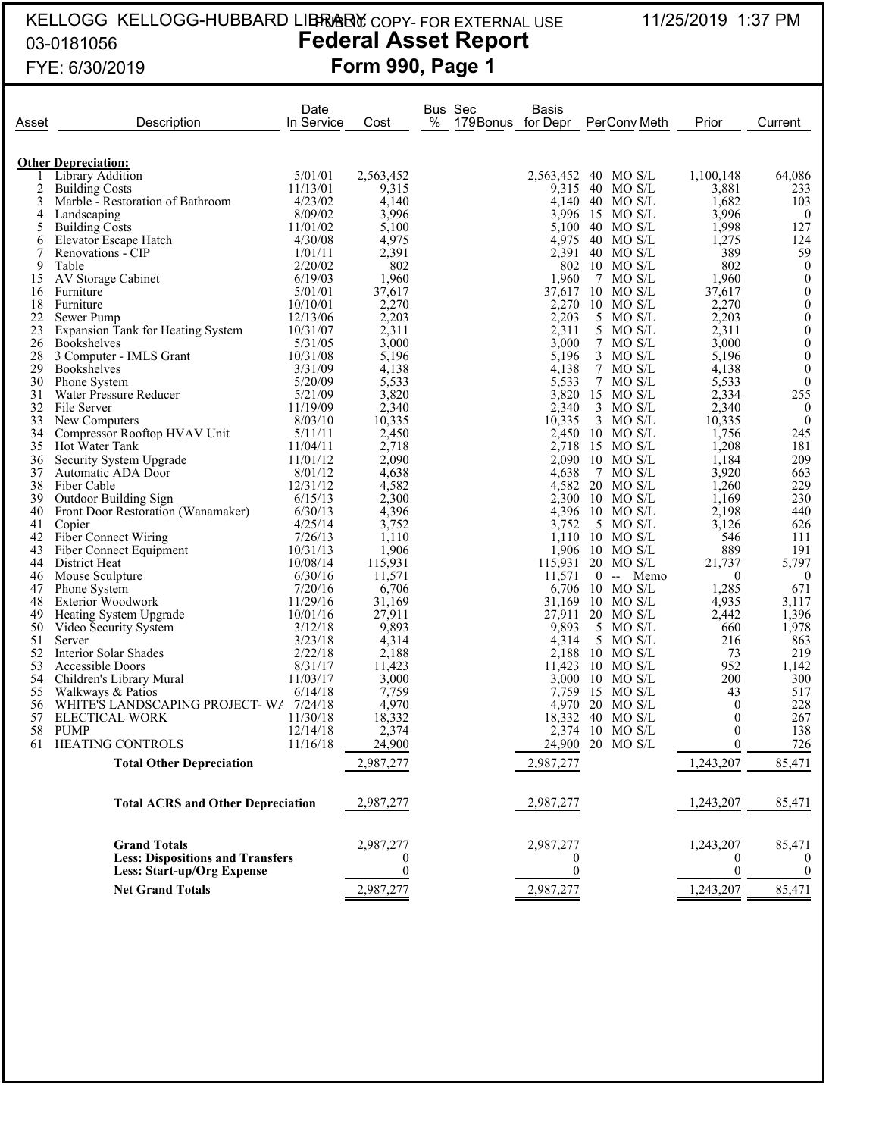#### KELLOGG KELLOGG-HUBBARD LIBRARY COPY- FOR EXTERNAL USE 11/25/2019 1:37 PM 03-0181056 **Federal Asset Report** form **990, Page 1** PUBLIC COPY- FOR EXTERNAL USE

| Asset    | Description                                | Date<br>In Service | Cost             | % | Bus Sec<br>179 Bonus for Depr | Basis            | PerConv Meth                | Prior            | Current                          |
|----------|--------------------------------------------|--------------------|------------------|---|-------------------------------|------------------|-----------------------------|------------------|----------------------------------|
|          | <b>Other Depreciation:</b>                 |                    |                  |   |                               |                  |                             |                  |                                  |
|          | Library Addition                           | 5/01/01            | 2,563,452        |   |                               | 2,563,452        | 40<br>MO S/L                | 1,100,148        | 64,086                           |
| 2        | <b>Building Costs</b>                      | 11/13/01           | 9,315            |   |                               | 9.315            | 40 MO S/L                   | 3,881            | 233                              |
| 3        | Marble - Restoration of Bathroom           | 4/23/02            | 4,140            |   |                               |                  | 4,140 40 MO S/L             | 1,682            | 103                              |
| 4        | Landscaping                                | 8/09/02            | 3,996            |   |                               |                  | 3,996 15 MO S/L             | 3,996            | $\overline{0}$                   |
| 5        | <b>Building Costs</b>                      | 11/01/02           | 5,100            |   |                               | 5,100 40         | MO S/L                      | 1,998            | 127                              |
| 6<br>7   | Elevator Escape Hatch<br>Renovations - CIP | 4/30/08<br>1/01/11 | 4,975<br>2,391   |   |                               | 4,975<br>2,391   | 40 MO S/L<br>40 MO S/L      | 1,275<br>389     | 124<br>59                        |
| 9        | Table                                      | 2/20/02            | 802              |   |                               | 802              | $10$ MO S/L                 | 802              | $\mathbf{0}$                     |
| 15       | AV Storage Cabinet                         | 6/19/03            | 1,960            |   |                               | 1,960            | 7<br>MO S/L                 | 1,960            | $\boldsymbol{0}$                 |
| 16       | Furniture                                  | 5/01/01            | 37,617           |   |                               | 37,617           | 10<br>MO S/L                | 37,617           | $\boldsymbol{0}$                 |
| 18       | Furniture                                  | 10/10/01           | 2,270            |   |                               | 2,270            | $10$ MO S/L                 | 2,270            | $\boldsymbol{0}$                 |
| 22       | Sewer Pump                                 | 12/13/06           | 2,203            |   |                               | 2,203            | 5 MO S/L                    | 2,203            | $\boldsymbol{0}$                 |
| 23       | <b>Expansion Tank for Heating System</b>   | 10/31/07           | 2,311            |   |                               | 2,311            | 5<br>MO S/L                 | 2,311            | $\boldsymbol{0}$                 |
| 26       | <b>Bookshelves</b>                         | 5/31/05            | 3,000            |   |                               | 3,000            | 7 MO S/L                    | 3,000            | $\boldsymbol{0}$                 |
| 28       | 3 Computer - IMLS Grant                    | 10/31/08           | 5,196            |   |                               | 5,196            | MO S/L<br>3                 | 5,196            | $\boldsymbol{0}$                 |
| 29<br>30 | <b>Bookshelves</b><br>Phone System         | 3/31/09<br>5/20/09 | 4,138<br>5,533   |   |                               | 4,138<br>5,533   | MO S/L<br>7<br>7 MO S/L     | 4,138<br>5,533   | $\boldsymbol{0}$<br>$\mathbf{0}$ |
| 31       | Water Pressure Reducer                     | 5/21/09            | 3,820            |   |                               | 3,820            | 15 MO S/L                   | 2,334            | 255                              |
| 32       | File Server                                | 11/19/09           | 2,340            |   |                               | 2,340            | 3 MO S/L                    | 2,340            | $\bf{0}$                         |
| 33       | New Computers                              | 8/03/10            | 10,335           |   |                               | 10,335           | $3$ MO S/L                  | 10,335           | $\mathbf{0}$                     |
| 34       | Compressor Rooftop HVAV Unit               | 5/11/11            | 2,450            |   |                               | 2,450            | 10 MO S/L                   | 1,756            | 245                              |
| 35       | Hot Water Tank                             | 11/04/11           | 2,718            |   |                               | 2,718            | 15 MO S/L                   | 1,208            | 181                              |
| 36       | Security System Upgrade                    | 11/01/12           | 2,090            |   |                               | 2,090            | 10<br>MO S/L                | 1,184            | 209                              |
| 37       | Automatic ADA Door                         | 8/01/12            | 4,638            |   |                               | 4,638            | MO S/L<br>7                 | 3,920            | 663                              |
| 38       | Fiber Cable                                | 12/31/12           | 4,582            |   |                               | 4.582            | $20$ MO S/L                 | 1,260            | 229                              |
| 39       | <b>Outdoor Building Sign</b>               | 6/15/13            | 2,300            |   |                               | 2,300            | $10$ MO S/L                 | 1,169            | 230                              |
| 40<br>41 | Front Door Restoration (Wanamaker)         | 6/30/13<br>4/25/14 | 4,396<br>3,752   |   |                               | 3,752            | 4,396 10 MO S/L<br>5 MO S/L | 2,198<br>3,126   | 440<br>626                       |
| 42       | Copier<br><b>Fiber Connect Wiring</b>      | 7/26/13            | 1,110            |   |                               |                  | $1,110$ 10 MO S/L           | 546              | 111                              |
| 43       | Fiber Connect Equipment                    | 10/31/13           | 1,906            |   |                               |                  | $1,906$ 10 MO S/L           | 889              | 191                              |
| 44       | District Heat                              | 10/08/14           | 115,931          |   |                               | 115,931          | 20<br>MO S/L                | 21,737           | 5,797                            |
| 46       | Mouse Sculpture                            | 6/30/16            | 11,571           |   |                               | 11,571           | $0 -$<br>Memo               | $\overline{0}$   | $\overline{0}$                   |
| 47       | Phone System                               | 7/20/16            | 6,706            |   |                               | 6,706            | 10 MO S/L                   | 1,285            | 671                              |
| 48       | <b>Exterior Woodwork</b>                   | 11/29/16           | 31,169           |   |                               | 31,169           | $10$ MO S/L                 | 4,935            | 3,117                            |
| 49       | Heating System Upgrade                     | 10/01/16           | 27,911           |   |                               | 27,911           | 20 MO S/L                   | 2,442            | 1,396                            |
| 50       | Video Security System                      | 3/12/18            | 9,893            |   |                               | 9,893            | 5 MO S/L                    | 660              | 1,978                            |
| 51       | Server                                     | 3/23/18            | 4,314            |   |                               | 4,314            | 5 MO S/L                    | 216              | 863                              |
| 52<br>53 | Interior Solar Shades<br>Accessible Doors  | 2/22/18<br>8/31/17 | 2,188<br>11,423  |   |                               | 2,188<br>11,423  | $10$ MO S/L<br>$10$ MO S/L  | 73<br>952        | 219<br>1,142                     |
| 54       | Children's Library Mural                   | 11/03/17           | 3,000            |   |                               | 3,000            | 10<br>MO S/L                | 200              | 300                              |
| 55       | Walkways & Patios                          | 6/14/18            | 7,759            |   |                               | 7.759            | -15<br>MO S/L               | 43               | 517                              |
| 56       | WHITE'S LANDSCAPING PROJECT-W/ 7/24/18     |                    | 4,970            |   |                               | 4.970            | 20<br>MO S/L                | $\overline{0}$   | 228                              |
| 57       | <b>ELECTICAL WORK</b>                      | 11/30/18           | 18,332           |   |                               | 18,332           | 40<br>MO S/L                | $\theta$         | 267                              |
| 58       | <b>PUMP</b>                                | 12/14/18           | 2,374            |   |                               | 2,374            | 10 MO S/L                   | $\boldsymbol{0}$ | 138                              |
| 61       | HEATING CONTROLS                           | 11/16/18           | 24,900           |   |                               |                  | 24,900 20 MO S/L            | $\boldsymbol{0}$ | 726                              |
|          | <b>Total Other Depreciation</b>            |                    | 2,987,277        |   |                               | 2,987,277        |                             | 1,243,207        | 85,471                           |
|          |                                            |                    |                  |   |                               |                  |                             |                  |                                  |
|          | <b>Total ACRS and Other Depreciation</b>   |                    | 2,987,277        |   |                               | 2,987,277        |                             | 1,243,207        | 85,471                           |
|          | <b>Grand Totals</b>                        |                    | 2,987,277        |   |                               | 2,987,277        |                             | 1,243,207        | 85,471                           |
|          | <b>Less: Dispositions and Transfers</b>    |                    | 0                |   |                               | $\overline{0}$   |                             | $\bf{0}$         |                                  |
|          | <b>Less: Start-up/Org Expense</b>          |                    | $\boldsymbol{0}$ |   |                               | $\boldsymbol{0}$ |                             | $\boldsymbol{0}$ | $\boldsymbol{0}$                 |
|          | <b>Net Grand Totals</b>                    |                    | 2,987,277        |   |                               | 2,987,277        |                             | 1,243,207        | 85,471                           |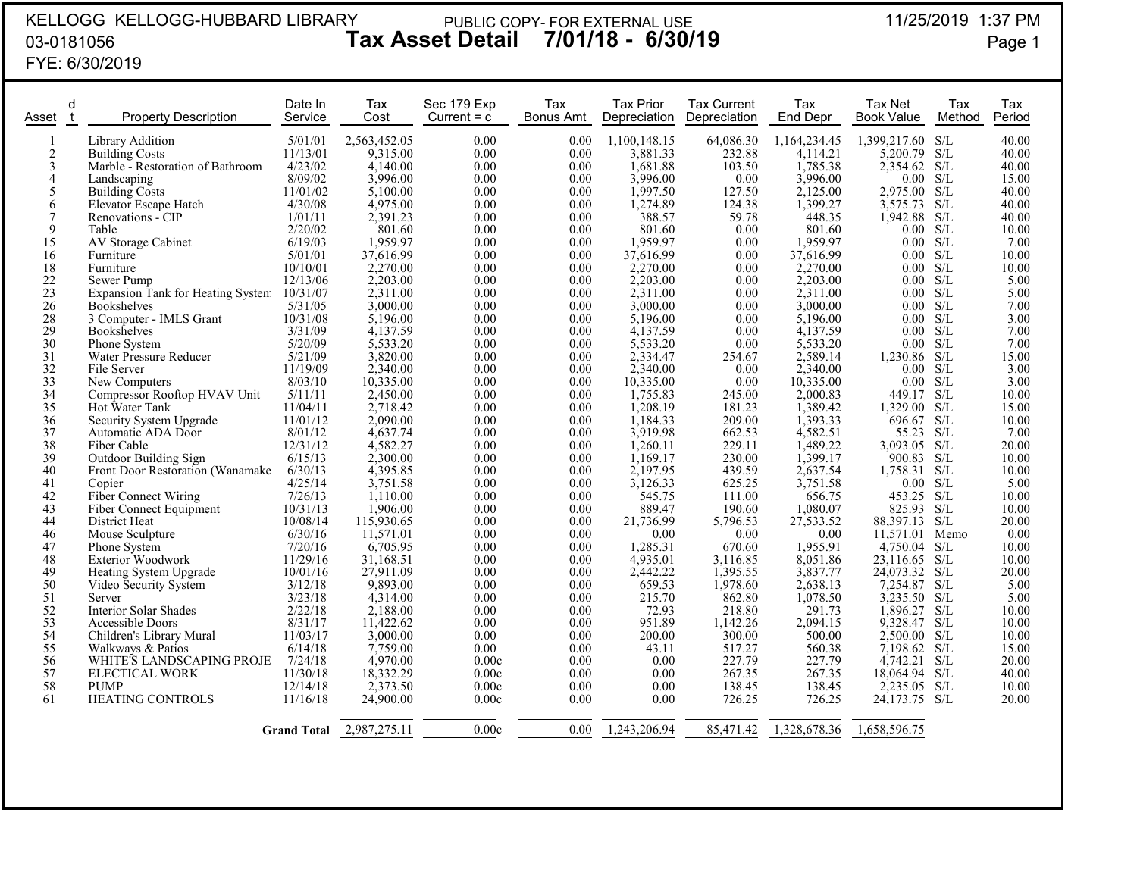## KELLOGG KELLOGG-HUBBARD LIBRARY03-0181056FYE: 6/30/2019

#### 11/25/2019 1:37 PM **Tax Asset Detail 7/01/18 - 6/30/19** Page 1 PUBLIC COPY- FOR EXTERNAL USE

11/25/2019 1:37 PM

| Asset           | d | <b>Property Description</b>              | Date In<br>Service  | Tax<br>Cost           | Sec 179 Exp<br>Current $= c$ | Tax<br>Bonus Amt | Tax Prior<br>Depreciation | <b>Tax Current</b><br>Depreciation | Tax<br>End Depr      | Tax Net<br><b>Book Value</b> | Tax<br>Method | Tax<br>Period  |
|-----------------|---|------------------------------------------|---------------------|-----------------------|------------------------------|------------------|---------------------------|------------------------------------|----------------------|------------------------------|---------------|----------------|
|                 |   | <b>Library Addition</b>                  | 5/01/01             | 2,563,452.05          | 0.00                         | 0.00             | 1,100,148.15              | 64,086.30                          | 1,164,234.45         | 1,399,217.60 S/L             |               | 40.00          |
| $\overline{2}$  |   | <b>Building Costs</b>                    | 11/13/01            | 9,315.00              | 0.00                         | 0.00             | 3,881.33                  | 232.88                             | 4,114.21             | 5,200.79                     | S/L           | 40.00          |
| $\mathfrak{Z}$  |   | Marble - Restoration of Bathroom         | 4/23/02             | 4,140.00              | 0.00                         | 0.00             | 1,681.88                  | 103.50                             | 1,785.38             | 2,354.62 S/L                 |               | 40.00          |
| $\overline{4}$  |   | Landscaping                              | 8/09/02             | 3,996.00              | 0.00                         | 0.00             | 3,996.00                  | $0.00\,$                           | 3,996.00             | 0.00                         | S/L           | 15.00          |
| 5               |   | <b>Building Costs</b>                    | 11/01/02            | 5,100.00              | 0.00                         | 0.00             | 1,997.50                  | 127.50                             | 2,125.00             | 2,975.00                     | S/L           | 40.00          |
| 6               |   | Elevator Escape Hatch                    | 4/30/08             | 4,975.00              | 0.00                         | 0.00             | 1,274.89                  | 124.38                             | 1,399.27             | 3,575.73                     | S/L           | 40.00          |
| 7               |   | Renovations - CIP                        | 1/01/11             | 2,391.23              | 0.00                         | 0.00             | 388.57                    | 59.78                              | 448.35               | 1,942.88                     | S/L           | 40.00          |
| 9               |   | Table                                    | 2/20/02             | 801.60                | 0.00                         | 0.00             | 801.60                    | 0.00                               | 801.60               | 0.00 S/L                     |               | 10.00          |
| 15              |   | AV Storage Cabinet                       | 6/19/03             | 1.959.97              | 0.00                         | 0.00             | 1,959.97                  | 0.00                               | 1,959.97             | 0.00                         | S/L           | 7.00           |
| 16              |   | Furniture                                | 5/01/01             | 37,616.99             | 0.00                         | 0.00             | 37,616.99                 | 0.00                               | 37,616.99            | 0.00 S/L                     |               | 10.00          |
| 18              |   | Furniture                                | 10/10/01            | 2,270.00              | 0.00                         | 0.00             | 2,270.00                  | 0.00                               | 2,270.00             | 0.00                         | S/L           | 10.00          |
| 22              |   | Sewer Pump                               | 12/13/06            | 2,203.00              | 0.00                         | 0.00             | 2,203.00                  | 0.00                               | 2,203.00             | 0.00                         | S/L           | 5.00           |
| 23              |   | <b>Expansion Tank for Heating System</b> | 10/31/07            | 2,311.00              | 0.00                         | 0.00             | 2,311.00                  | 0.00                               | 2,311.00             | 0.00                         | S/L           | 5.00           |
| 26              |   | <b>Bookshelves</b>                       | 5/31/05             | 3,000.00              | 0.00                         | 0.00             | 3,000.00                  | 0.00                               | 3,000.00             | 0.00                         | S/L           | 7.00           |
| 28              |   | 3 Computer - IMLS Grant                  | 10/31/08            | 5,196.00              | 0.00                         | 0.00             | 5,196.00                  | 0.00                               | 5,196.00             | 0.00                         | S/L           | 3.00           |
| 29              |   | <b>Bookshelves</b>                       | 3/31/09             | 4.137.59              | 0.00                         | 0.00             | 4,137.59                  | 0.00                               | 4,137.59             | 0.00                         | S/L           | 7.00           |
| 30              |   | Phone System                             | 5/20/09             | 5,533.20              | 0.00                         | 0.00             | 5,533.20                  | 0.00                               | 5,533.20             | 0.00 S/L                     |               | 7.00           |
| 31              |   | Water Pressure Reducer                   | 5/21/09             | 3,820.00              | 0.00                         | 0.00             | 2,334.47                  | 254.67                             | 2,589.14             | 1,230.86 S/L                 |               | 15.00          |
| 32              |   | File Server                              | 11/19/09            | 2,340.00              | 0.00                         | 0.00             | 2,340.00                  | 0.00                               | 2,340.00             | $0.00\,$                     | S/L           | 3.00           |
| 33              |   | New Computers                            | 8/03/10             | 10,335.00             | 0.00                         | 0.00             | 10,335.00                 | 0.00                               | 10,335.00            | 0.00                         | S/L           | 3.00           |
| 34              |   | Compressor Rooftop HVAV Unit             | 5/11/11             | 2,450.00              | 0.00                         | 0.00             | 1,755.83                  | 245.00                             | 2,000.83             | 449.17                       | S/L           | 10.00          |
| 35              |   | Hot Water Tank                           | 11/04/11            | 2,718.42              | 0.00                         | 0.00             | 1,208.19                  | 181.23                             | 1,389.42             | 1.329.00                     | S/L           | 15.00          |
| $\overline{36}$ |   | Security System Upgrade                  | 11/01/12            | 2,090.00              | 0.00                         | 0.00             | 1,184.33                  | 209.00                             | 1,393.33             | 696.67                       | S/L           | 10.00          |
| 37              |   | Automatic ADA Door                       | 8/01/12             | 4,637.74              | 0.00                         | 0.00             | 3,919.98                  | 662.53                             | 4,582.51             | 55.23                        | S/L           | 7.00           |
| 38              |   | Fiber Cable                              | 12/31/12            | 4,582.27              | 0.00                         | 0.00             | 1,260.11                  | 229.11                             | 1,489.22             | 3,093.05                     | S/L           | 20.00          |
| 39              |   | Outdoor Building Sign                    | 6/15/13             | 2,300.00              | 0.00                         | 0.00             | 1,169.17                  | 230.00                             | 1,399.17             | 900.83                       | S/L           | 10.00          |
| 40              |   | Front Door Restoration (Wanamake)        | 6/30/13             | 4,395.85              | 0.00                         | 0.00             | 2,197.95                  | 439.59                             | 2,637.54             | 1,758.31                     | S/L           | 10.00          |
| 41              |   | Copier                                   | 4/25/14             | 3,751.58              | 0.00                         | 0.00             | 3,126.33                  | 625.25                             | 3,751.58             | 0.00 S/L                     |               | 5.00           |
| 42              |   | <b>Fiber Connect Wiring</b>              | 7/26/13             | 1.110.00              | 0.00                         | 0.00             | 545.75                    | 111.00                             | 656.75               | 453.25                       | S/L           | 10.00          |
| 43              |   | Fiber Connect Equipment                  | 10/31/13            | 1,906.00              | 0.00                         | 0.00             | 889.47                    | 190.60                             | 1,080.07             | 825.93                       | S/L           | 10.00          |
| 44              |   | District Heat                            | 10/08/14            | 115,930.65            | 0.00                         | 0.00             | 21,736.99                 | 5,796.53                           | 27,533.52            | 88,397.13                    | S/L           | 20.00          |
| 46              |   | Mouse Sculpture                          | 6/30/16             | 11,571.01             | 0.00                         | 0.00             | 0.00                      | 0.00                               | 0.00                 | 11,571.01                    | Memo          | 0.00           |
| 47<br>48        |   | Phone System<br><b>Exterior Woodwork</b> | 7/20/16<br>11/29/16 | 6,705.95<br>31,168.51 | 0.00<br>0.00                 | 0.00<br>0.00     | 1,285.31<br>4,935.01      | 670.60                             | 1,955.91<br>8,051.86 | 4,750.04                     | S/L<br>S/L    | 10.00<br>10.00 |
| 49              |   |                                          | 10/01/16            | 27.911.09             | 0.00                         | 0.00             | 2,442.22                  | 3,116.85<br>1,395.55               | 3,837.77             | 23,116.65<br>$24,073.32$ S/L |               | 20.00          |
| 50              |   | Heating System Upgrade                   | 3/12/18             | 9,893.00              | 0.00                         | 0.00             | 659.53                    | 1,978.60                           | 2,638.13             | 7,254.87                     | S/L           | 5.00           |
| 51              |   | Video Security System<br>Server          | 3/23/18             | 4,314.00              | 0.00                         | 0.00             | 215.70                    | 862.80                             | 1,078.50             | 3,235.50 S/L                 |               | 5.00           |
| 52              |   | <b>Interior Solar Shades</b>             | 2/22/18             | 2,188.00              | 0.00                         | 0.00             | 72.93                     | 218.80                             | 291.73               | 1,896.27                     | S/L           | 10.00          |
| 53              |   | Accessible Doors                         | 8/31/17             | 11,422.62             | 0.00                         | 0.00             | 951.89                    | 1,142.26                           | 2,094.15             | 9,328.47 S/L                 |               | 10.00          |
| 54              |   | Children's Library Mural                 | 11/03/17            | 3.000.00              | 0.00                         | 0.00             | 200.00                    | 300.00                             | 500.00               | 2.500.00                     | S/L           | 10.00          |
| 55              |   | Walkways & Patios                        | 6/14/18             | 7,759.00              | 0.00                         | 0.00             | 43.11                     | 517.27                             | 560.38               | 7,198.62                     | S/L           | 15.00          |
| 56              |   | WHITE'S LANDSCAPING PROJE                | 7/24/18             | 4,970.00              | 0.00c                        | 0.00             | 0.00                      | 227.79                             | 227.79               | 4,742.21                     | S/L           | 20.00          |
| 57              |   | ELECTICAL WORK                           | 11/30/18            | 18,332.29             | 0.00c                        | 0.00             | 0.00                      | 267.35                             | 267.35               | 18,064.94                    | S/L           | 40.00          |
| 58              |   | <b>PUMP</b>                              | 12/14/18            | 2,373.50              | 0.00c                        | 0.00             | 0.00                      | 138.45                             | 138.45               | 2,235.05                     | S/L           | 10.00          |
| 61              |   | <b>HEATING CONTROLS</b>                  | 11/16/18            | 24,900.00             | 0.00c                        | 0.00             | 0.00                      | 726.25                             | 726.25               | 24,173.75                    | S/L           | 20.00          |
|                 |   |                                          |                     |                       |                              |                  |                           |                                    |                      |                              |               |                |
|                 |   |                                          | <b>Grand Total</b>  | 2,987,275.11          | 0.00c                        | 0.00             | 1,243,206.94              | 85,471.42                          | 1,328,678.36         | 1,658,596.75                 |               |                |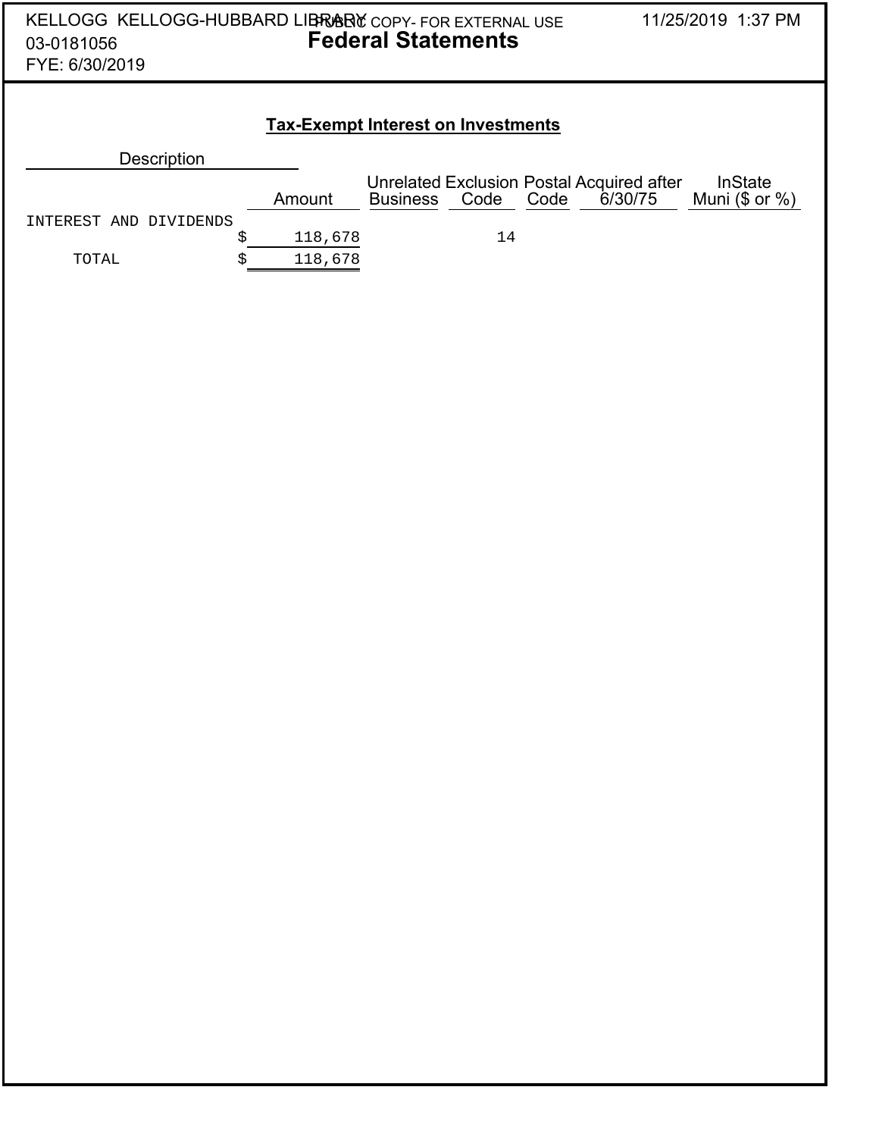## **Tax-Exempt Interest on Investments**

| Description            |         |                 |      |      |                                                      |                                       |
|------------------------|---------|-----------------|------|------|------------------------------------------------------|---------------------------------------|
|                        | Amount  | <b>Business</b> | Code | Code | Unrelated Exclusion Postal Acquired after<br>6/30/75 | <b>InState</b><br>Muni $(\$$ or $%$ ) |
| INTEREST AND DIVIDENDS |         |                 |      |      |                                                      |                                       |
|                        | 118,678 |                 | 14   |      |                                                      |                                       |
| TOTAL                  | 118,678 |                 |      |      |                                                      |                                       |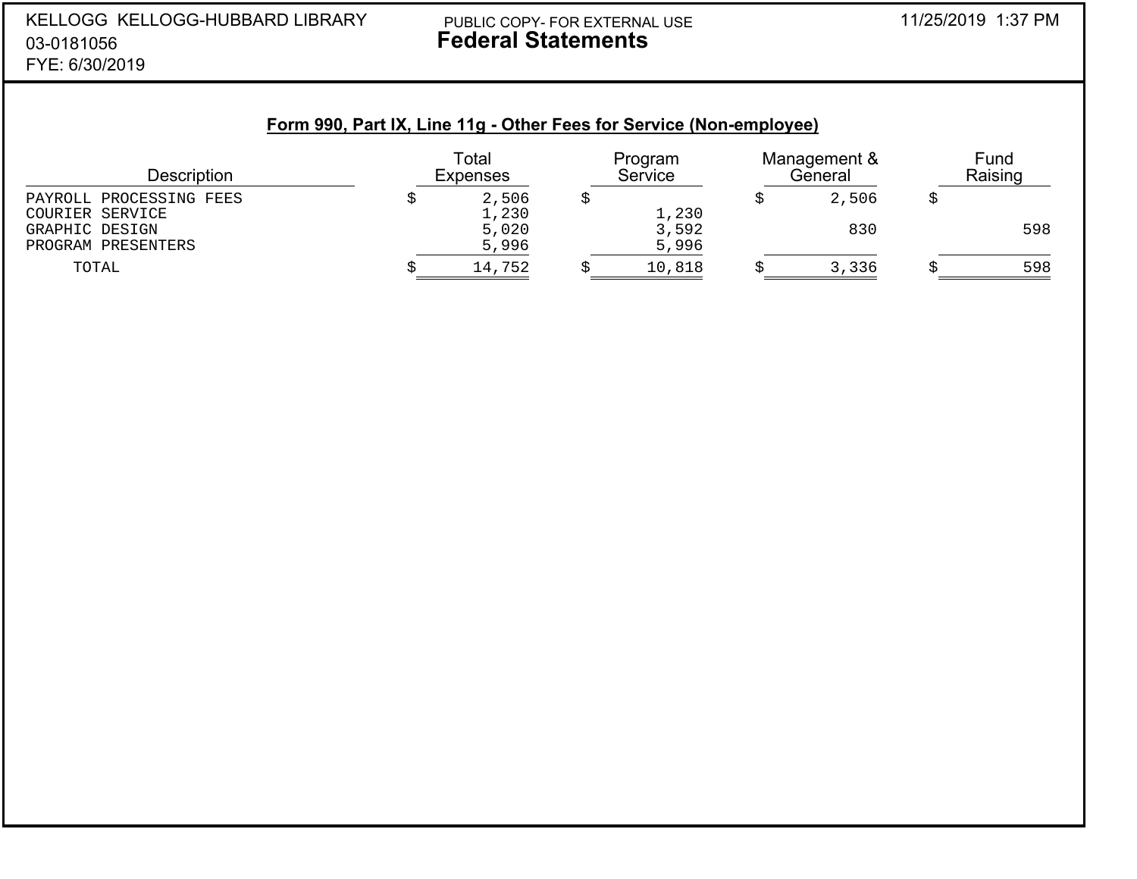## Y PUBLIC COPY- FOR EXTERNAL USE 11/25/2019 1:37 PM **Federal Statements**

## **Form 990, Part IX, Line 11g - Other Fees for Service (Non-employee)**

| <b>Description</b>      | Total<br><b>Expenses</b> |        | Program<br>Service |        | Management &<br>General |       | Fund<br>Raising |     |
|-------------------------|--------------------------|--------|--------------------|--------|-------------------------|-------|-----------------|-----|
| PAYROLL PROCESSING FEES |                          | 2,506  |                    |        |                         | 2,506 |                 |     |
| COURIER SERVICE         |                          | 1,230  |                    | 1,230  |                         |       |                 |     |
| GRAPHIC DESIGN          |                          | 5,020  |                    | 3,592  |                         | 830   |                 | 598 |
| PROGRAM PRESENTERS      |                          | 5,996  |                    | 5,996  |                         |       |                 |     |
| TOTAL                   |                          | 14,752 |                    | 10,818 |                         | 3,336 |                 | 598 |